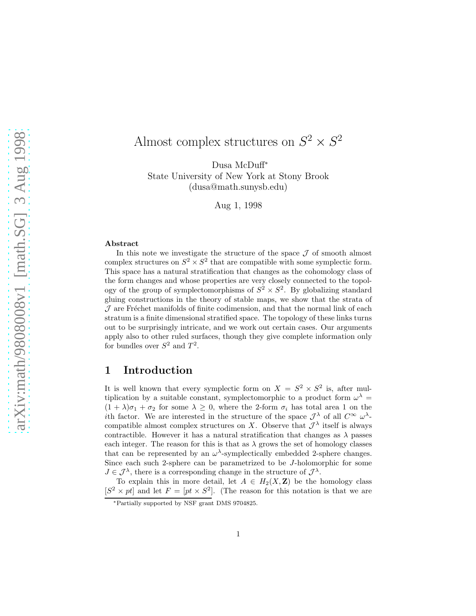# Almost complex structures on  $S^2 \times S^2$

Dusa McDuff<sup>∗</sup> State University of New York at Stony Brook (dusa@math.sunysb.edu)

Aug 1, 1998

### Abstract

In this note we investigate the structure of the space  $\mathcal J$  of smooth almost complex structures on  $S^2 \times S^2$  that are compatible with some symplectic form. This space has a natural stratification that changes as the cohomology class of the form changes and whose properties are very closely connected to the topology of the group of symplectomorphisms of  $S^2 \times S^2$ . By globalizing standard gluing constructions in the theory of stable maps, we show that the strata of  $J$  are Fréchet manifolds of finite codimension, and that the normal link of each stratum is a finite dimensional stratified space. The topology of these links turns out to be surprisingly intricate, and we work out certain cases. Our arguments apply also to other ruled surfaces, though they give complete information only for bundles over  $S^2$  and  $T^2$ .

# 1 Introduction

It is well known that every symplectic form on  $X = S^2 \times S^2$  is, after multiplication by a suitable constant, symplectomorphic to a product form  $\omega^{\lambda}$  =  $(1 + \lambda)\sigma_1 + \sigma_2$  for some  $\lambda \geq 0$ , where the 2-form  $\sigma_i$  has total area 1 on the ith factor. We are interested in the structure of the space  $\mathcal{J}^{\lambda}$  of all  $C^{\infty} \omega^{\lambda}$ compatible almost complex structures on X. Observe that  $\mathcal{J}^{\lambda}$  itself is always contractible. However it has a natural stratification that changes as  $\lambda$  passes each integer. The reason for this is that as  $\lambda$  grows the set of homology classes that can be represented by an  $\omega^{\lambda}$ -symplectically embedded 2-sphere changes. Since each such 2-sphere can be parametrized to be J-holomorphic for some  $J \in \mathcal{J}^{\lambda}$ , there is a corresponding change in the structure of  $\mathcal{J}^{\lambda}$ .

To explain this in more detail, let  $A \in H_2(X, \mathbb{Z})$  be the homology class  $[S^2 \times pt]$  and let  $F = [pt \times S^2]$ . (The reason for this notation is that we are <sup>∗</sup>Partially supported by NSF grant DMS 9704825.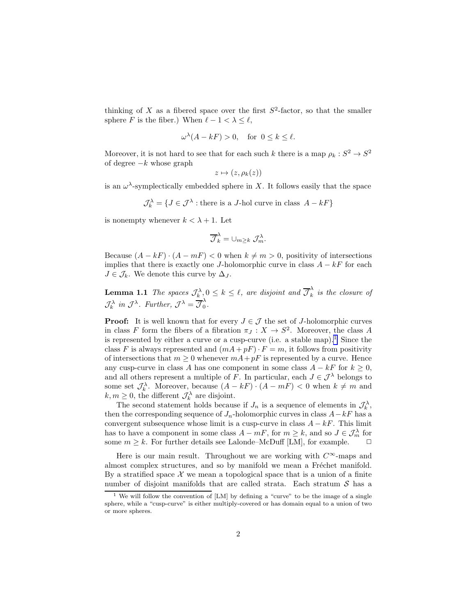<span id="page-1-0"></span>thinking of X as a fibered space over the first  $S^2$ -factor, so that the smaller sphere F is the fiber.) When  $\ell - 1 < \lambda \leq \ell$ ,

$$
\omega^{\lambda}(A - kF) > 0, \text{ for } 0 \le k \le \ell.
$$

Moreover, it is not hard to see that for each such k there is a map  $\rho_k : S^2 \to S^2$ of degree  $-k$  whose graph

$$
z \mapsto (z, \rho_k(z))
$$

is an  $\omega^{\lambda}$ -symplectically embedded sphere in X. It follows easily that the space

$$
\mathcal{J}_k^{\lambda} = \{ J \in \mathcal{J}^{\lambda} : \text{there is a } J \text{-hol curve in class } A - kF \}
$$

is nonempty whenever  $k < \lambda + 1$ . Let

$$
\overline{\mathcal{J}}_k^{\lambda} = \cup_{m \geq k} \mathcal{J}_m^{\lambda}.
$$

Because  $(A - kF) \cdot (A - mF) < 0$  when  $k \neq m > 0$ , positivity of intersections implies that there is exactly one J-holomorphic curve in class  $A - kF$  for each  $J \in \mathcal{J}_k$ . We denote this curve by  $\Delta_J$ .

**Lemma 1.1** The spaces  $\mathcal{J}_k^{\lambda}, 0 \leq k \leq \ell$ , are disjoint and  $\overline{\mathcal{J}}_k^{\lambda}$  $\hat{k}$  is the closure of  $\mathcal{J}_k^{\lambda}$  in  $\mathcal{J}^{\lambda}$ . Further,  $\mathcal{J}^{\lambda} = \overline{\mathcal{J}}_0^{\lambda}$  $\hat{0}$ .

**Proof:** It is well known that for every  $J \in \mathcal{J}$  the set of J-holomorphic curves in class F form the fibers of a fibration  $\pi_J : X \to S^2$ . Moreover, the class A is represented by either a curve or a cusp-curve (i.e. a stable map).<sup>1</sup> Since the class F is always represented and  $(mA + pF) \cdot F = m$ , it follows from positivity of intersections that  $m \geq 0$  whenever  $mA + pF$  is represented by a curve. Hence any cusp-curve in class A has one component in some class  $A - kF$  for  $k \geq 0$ , and all others represent a multiple of F. In particular, each  $J \in \mathcal{J}^{\lambda}$  belongs to some set  $\mathcal{J}_k^{\lambda}$ . Moreover, because  $(A - kF) \cdot (A - mF) < 0$  when  $k \neq m$  and  $k, m \geq 0$ , the different  $\mathcal{J}_k^{\lambda}$  are disjoint.

The second statement holds because if  $J_n$  is a sequence of elements in  $\mathcal{J}_k^{\lambda}$ , then the corresponding sequence of  $J_n$ -holomorphic curves in class  $A-kF$  has a convergent subsequence whose limit is a cusp-curve in class  $A - kF$ . This limit has to have a component in some class  $A - mF$ , for  $m \geq k$ , and so  $J \in \mathcal{J}_m^{\lambda}$  for some  $m \geq k$ . For further details see Lalonde–McDuff [LM], for example.  $\Box$ 

Here is our main result. Throughout we are working with  $C^{\infty}$ -maps and almost complex structures, and so by manifold we mean a Fréchet manifold. By a stratified space  $\mathcal X$  we mean a topological space that is a union of a finite number of disjoint manifolds that are called strata. Each stratum  $S$  has a

<sup>&</sup>lt;sup>1</sup> We will follow the convention of [LM] by defining a "curve" to be the image of a single sphere, while a "cusp-curve" is either multiply-covered or has domain equal to a union of two or more spheres.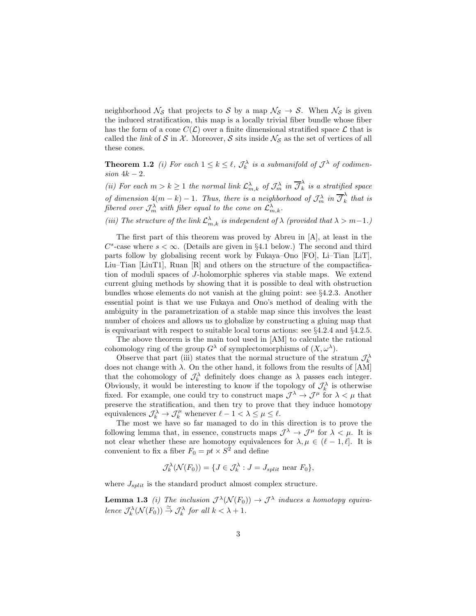<span id="page-2-0"></span>neighborhood  $\mathcal{N}_{\mathcal{S}}$  that projects to  $\mathcal{S}$  by a map  $\mathcal{N}_{\mathcal{S}} \to \mathcal{S}$ . When  $\mathcal{N}_{\mathcal{S}}$  is given the induced stratification, this map is a locally trivial fiber bundle whose fiber has the form of a cone  $C(\mathcal{L})$  over a finite dimensional stratified space  $\mathcal{L}$  that is called the *link* of S in X. Moreover, S sits inside  $\mathcal{N}_{\mathcal{S}}$  as the set of vertices of all these cones.

**Theorem 1.2** (i) For each  $1 \leq k \leq \ell$ ,  $\mathcal{J}_k^{\lambda}$  is a submanifold of  $\mathcal{J}^{\lambda}$  of codimension  $4k - 2$ .

(ii) For each  $m > k \geq 1$  the normal link  $\mathcal{L}^{\lambda}_{m,k}$  of  $\mathcal{J}^{\lambda}_m$  in  $\overline{\mathcal{J}}^{\lambda}_k$  $\hat{k}$  is a stratified space of dimension  $4(m-k)-1$ . Thus, there is a neighborhood of  $\mathcal{J}_m^{\lambda}$  in  $\overline{\mathcal{J}}_k^{\lambda}$  $\hat{k}$  that is fibered over  $\mathcal{J}^{\lambda}_m$  with fiber equal to the cone on  $\mathcal{L}^{\lambda}_{m,k}$ .

(iii) The structure of the link  $\mathcal{L}_{m,k}^{\lambda}$  is independent of  $\lambda$  (provided that  $\lambda > m-1$ .)

The first part of this theorem was proved by Abreu in [A], at least in the  $C<sup>s</sup>$ -case where  $s < \infty$ . (Details are given in §4.1 below.) The second and third parts follow by globalising recent work by Fukaya–Ono [FO], Li–Tian [LiT], Liu–Tian [LiuT1], Ruan [R] and others on the structure of the compactification of moduli spaces of J-holomorphic spheres via stable maps. We extend current gluing methods by showing that it is possible to deal with obstruction bundles whose elements do not vanish at the gluing point: see §4.2.3. Another essential point is that we use Fukaya and Ono's method of dealing with the ambiguity in the parametrization of a stable map since this involves the least number of choices and allows us to globalize by constructing a gluing map that is equivariant with respect to suitable local torus actions: see  $\S 4.2.4$  and  $\S 4.2.5$ .

The above theorem is the main tool used in [AM] to calculate the rational cohomology ring of the group  $G^{\lambda}$  of symplectomorphisms of  $(X, \omega^{\lambda})$ .

Observe that part (iii) states that the normal structure of the stratum  $\mathcal{J}_k^{\lambda}$ does not change with  $\lambda$ . On the other hand, it follows from the results of [AM] that the cohomology of  $\mathcal{J}_k^{\lambda}$  definitely does change as  $\lambda$  passes each integer. Obviously, it would be interesting to know if the topology of  $\mathcal{J}_k^{\lambda}$  is otherwise fixed. For example, one could try to construct maps  $\mathcal{J}^{\lambda} \to \mathcal{J}^{\mu}$  for  $\lambda \lt \mu$  that preserve the stratification, and then try to prove that they induce homotopy equivalences  $\mathcal{J}_k^{\lambda} \to \mathcal{J}_k^{\mu}$  whenever  $\ell - 1 < \lambda \leq \mu \leq \ell$ .

The most we have so far managed to do in this direction is to prove the following lemma that, in essence, constructs maps  $\mathcal{J}^{\lambda} \to \mathcal{J}^{\mu}$  for  $\lambda \lt \mu$ . It is not clear whether these are homotopy equivalences for  $\lambda, \mu \in (\ell - 1, \ell]$ . It is convenient to fix a fiber  $F_0 = pt \times S^2$  and define

$$
\mathcal{J}_k^{\lambda}(\mathcal{N}(F_0)) = \{ J \in \mathcal{J}_k^{\lambda} : J = J_{split} \text{ near } F_0 \},
$$

where  $J_{split}$  is the standard product almost complex structure.

**Lemma 1.3** (i) The inclusion  $\mathcal{J}^{\lambda}(\mathcal{N}(F_0)) \to \mathcal{J}^{\lambda}$  induces a homotopy equivalence  $\mathcal{J}_k^{\lambda}(\mathcal{N}(F_0)) \stackrel{\simeq}{\to} \mathcal{J}_k^{\lambda}$  for all  $k < \lambda + 1$ .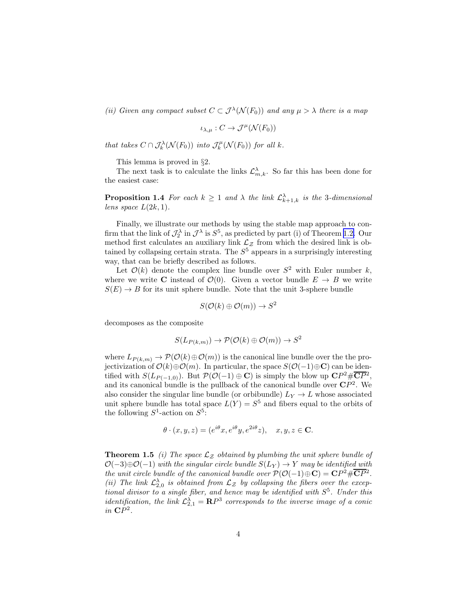<span id="page-3-0"></span>(ii) Given any compact subset  $C \subset \mathcal{J}^{\lambda}(\mathcal{N}(F_0))$  and any  $\mu > \lambda$  there is a map

$$
\iota_{\lambda,\mu}: C \to \mathcal{J}^{\mu}(\mathcal{N}(F_0))
$$

that takes  $C \cap \mathcal{J}_k^{\lambda}(\mathcal{N}(F_0))$  into  $\mathcal{J}_k^{\mu}(\mathcal{N}(F_0))$  for all k.

This lemma is proved in §2.

The next task is to calculate the links  $\mathcal{L}_{m,k}^{\lambda}$ . So far this has been done for the easiest case:

**Proposition 1.4** For each  $k \geq 1$  and  $\lambda$  the link  $\mathcal{L}^{\lambda}_{k+1,k}$  is the 3-dimensional lens space  $L(2k, 1)$ .

Finally, we illustrate our methods by using the stable map approach to confirm that the link of  $\mathcal{J}_2^{\lambda}$  in  $\mathcal{J}^{\lambda}$  is  $S^5$ , as predicted by part (i) of Theorem [1.2.](#page-2-0) Our method first calculates an auxiliary link  $\mathcal{L}_{\mathcal{Z}}$  from which the desired link is obtained by collapsing certain strata. The  $S<sup>5</sup>$  appears in a surprisingly interesting way, that can be briefly described as follows.

Let  $\mathcal{O}(k)$  denote the complex line bundle over  $S^2$  with Euler number k, where we write C instead of  $\mathcal{O}(0)$ . Given a vector bundle  $E \to B$  we write  $S(E) \rightarrow B$  for its unit sphere bundle. Note that the unit 3-sphere bundle

$$
S(\mathcal{O}(k) \oplus \mathcal{O}(m)) \to S^2
$$

decomposes as the composite

$$
S(L_{P(k,m)}) \to \mathcal{P}(\mathcal{O}(k) \oplus \mathcal{O}(m)) \to S^2
$$

where  $L_{P(k,m)} \to \mathcal{P}(\mathcal{O}(k) \oplus \mathcal{O}(m))$  is the canonical line bundle over the the projectivization of  $\mathcal{O}(k) \oplus \mathcal{O}(m)$ . In particular, the space  $S(\mathcal{O}(-1) \oplus \mathbf{C})$  can be identified with  $S(L_{P(-1,0)})$ . But  $\mathcal{P}(\mathcal{O}(-1) \oplus \mathbf{C})$  is simply the blow up  $\mathbf{C}P^2 \# \overline{\mathbf{C}P}^2$ , and its canonical bundle is the pullback of the canonical bundle over  $\mathbb{C}P^2$ . We also consider the singular line bundle (or orbibundle)  $L_Y \rightarrow L$  whose associated unit sphere bundle has total space  $L(Y) = S^5$  and fibers equal to the orbits of the following  $S^1$ -action on  $S^5$ :

$$
\theta \cdot (x, y, z) = (e^{i\theta}x, e^{i\theta}y, e^{2i\theta}z), \quad x, y, z \in \mathbf{C}.
$$

**Theorem 1.5** (i) The space  $\mathcal{L}_z$  obtained by plumbing the unit sphere bundle of  $\mathcal{O}(-3) \oplus \mathcal{O}(-1)$  with the singular circle bundle  $S(L_Y) \to Y$  may be identified with the unit circle bundle of the canonical bundle over  $\mathcal{P}(\mathcal{O}(-1) \oplus \mathbf{C}) = \mathbf{C}P^2 \# \overline{\mathbf{C}P^2}$ . (ii) The link  $\mathcal{L}_{2,0}^{\lambda}$  is obtained from  $\mathcal{L}_z$  by collapsing the fibers over the exceptional divisor to a single fiber, and hence may be identified with  $S<sup>5</sup>$ . Under this identification, the link  $\mathcal{L}_{2,1}^{\lambda} = \mathbf{R}P^3$  corresponds to the inverse image of a conic in  $\mathbb{C}P^2$ .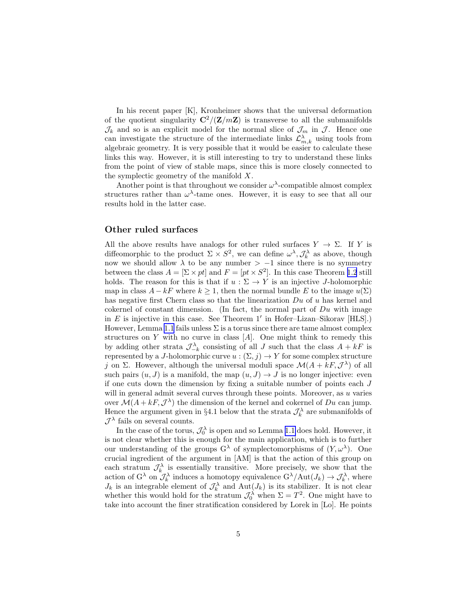In his recent paper [K], Kronheimer shows that the universal deformation of the quotient singularity  $\mathbb{C}^2/(\mathbb{Z}/m\mathbb{Z})$  is transverse to all the submanifolds  $\mathcal{J}_k$  and so is an explicit model for the normal slice of  $\mathcal{J}_m$  in  $\mathcal{J}$ . Hence one can investigate the structure of the intermediate links  $\mathcal{L}_{m,k}^{\lambda}$  using tools from algebraic geometry. It is very possible that it would be easier to calculate these links this way. However, it is still interesting to try to understand these links from the point of view of stable maps, since this is more closely connected to the symplectic geometry of the manifold  $X$ .

Another point is that throughout we consider  $\omega^{\lambda}$ -compatible almost complex structures rather than  $\omega^{\lambda}$ -tame ones. However, it is easy to see that all our results hold in the latter case.

# Other ruled surfaces

All the above results have analogs for other ruled surfaces  $Y \to \Sigma$ . If Y is diffeomorphic to the product  $\Sigma \times S^2$ , we can define  $\omega^{\lambda}$ ,  $\mathcal{J}^{\lambda}_{k}$  as above, though now we should allow  $\lambda$  to be any number  $> -1$  since there is no symmetry between the class  $A = [\Sigma \times pt]$  and  $F = [pt \times S^2]$ . In this case Theorem [1.2](#page-2-0) still holds. The reason for this is that if  $u : \Sigma \to Y$  is an injective *J*-holomorphic map in class  $A - kF$  where  $k \geq 1$ , then the normal bundle E to the image  $u(\Sigma)$ has negative first Chern class so that the linearization Du of u has kernel and cokernel of constant dimension. (In fact, the normal part of  $Du$  with image in  $E$  is injective in this case. See Theorem  $1'$  in Hofer-Lizan-Sikorav [HLS].) However, Lemma [1.1](#page-1-0) fails unless  $\Sigma$  is a torus since there are tame almost complex structures on  $Y$  with no curve in class  $[A]$ . One might think to remedy this by adding other strata  $\mathcal{J}_{-k}^{\lambda}$  consisting of all J such that the class  $A + kF$  is represented by a J-holomorphic curve  $u : (\Sigma, j) \to Y$  for some complex structure j on  $\Sigma$ . However, although the universal moduli space  $\mathcal{M}(A + kF, \mathcal{J}^{\lambda})$  of all such pairs  $(u, J)$  is a manifold, the map  $(u, J) \rightarrow J$  is no longer injective: even if one cuts down the dimension by fixing a suitable number of points each J will in general admit several curves through these points. Moreover, as  $u$  varies over  $\mathcal{M}(A + kF, \mathcal{J}^{\lambda})$  the dimension of the kernel and cokernel of Du can jump. Hence the argument given in §4.1 below that the strata  $\mathcal{J}_k^{\lambda}$  are submanifolds of  $\mathcal{J}^{\lambda}$  fails on several counts.

In the case of the torus,  $\mathcal{J}_0^{\lambda}$  is open and so Lemma [1.1](#page-1-0) does hold. However, it is not clear whether this is enough for the main application, which is to further our understanding of the groups  $G^{\lambda}$  of symplectomorphisms of  $(Y, \omega^{\lambda})$ . One crucial ingredient of the argument in [AM] is that the action of this group on each stratum  $\mathcal{J}_k^{\lambda}$  is essentially transitive. More precisely, we show that the action of  $G^{\lambda}$  on  $\mathcal{J}_k^{\lambda}$  induces a homotopy equivalence  $G^{\lambda}/\text{Aut}(J_k) \to \mathcal{J}_k^{\lambda}$ , where  $J_k$  is an integrable element of  $\mathcal{J}_k^{\lambda}$  and  $\text{Aut}(J_k)$  is its stabilizer. It is not clear whether this would hold for the stratum  $\mathcal{J}_0^{\lambda}$  when  $\Sigma = T^2$ . One might have to take into account the finer stratification considered by Lorek in [Lo]. He points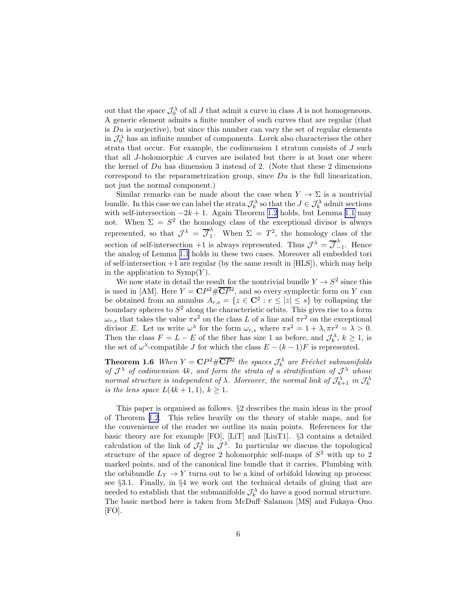out that the space  $\mathcal{J}_0^{\lambda}$  of all J that admit a curve in class A is not homogeneous. A generic element admits a finite number of such curves that are regular (that is  $Du$  is surjective), but since this number can vary the set of regular elements in  $\mathcal{J}_0^{\lambda}$  has an infinite number of components. Lorek also characterises the other strata that occur. For example, the codimension 1 stratum consists of J such that all J-holomorphic A curves are isolated but there is at least one where the kernel of  $Du$  has dimension 3 instead of 2. (Note that these 2 dimensions correspond to the reparametrization group, since  $Du$  is the full linearization, not just the normal component.)

Similar remarks can be made about the case when  $Y \to \Sigma$  is a nontrivial bundle. In this case we can label the strata  $\mathcal{J}_k^{\lambda}$  so that the  $J \in \mathcal{J}_k^{\lambda}$  admit sections with self-intersection  $-2k + 1$ . Again Theorem [1.2](#page-2-0) holds, but Lemma [1.1](#page-1-0) may not. When  $\Sigma = S^2$  the homology class of the exceptional divisor is always represented, so that  $\mathcal{J}^{\lambda} = \overline{\mathcal{J}}^{\lambda}_{1}$  $\int_{1}^{\lambda}$ . When  $\Sigma = T^2$ , the homology class of the section of self-intersection +1 is always represented. Thus  $\mathcal{J}^{\lambda} = \overline{\mathcal{J}}^{\lambda}_{-}$  $\hat{ }_{-1}$ . Hence the analog of Lemma [1.1](#page-1-0) holds in these two cases. Moreover all embedded tori of self-intersection  $+1$  are regular (by the same result in [HLS]), which may help in the application to  $Symp(Y)$ .

We now state in detail the result for the nontrivial bundle  $Y \to S^2$  since this is used in [AM]. Here  $Y = \mathbb{C}P^2 \# \overline{\mathbb{C}P}^2$ , and so every symplectic form on Y can be obtained from an annulus  $A_{r,s} = \{z \in \mathbb{C}^2 : r \leq |z| \leq s\}$  by collapsing the boundary spheres to  $S^2$  along the characteristic orbits. This gives rise to a form  $\omega_{r,s}$  that takes the value  $\pi s^2$  on the class L of a line and  $\pi r^2$  on the exceptional divisor E. Let us write  $\omega^{\lambda}$  for the form  $\omega_{r,s}$  where  $\pi s^2 = 1 + \lambda, \pi r^2 = \lambda > 0$ . Then the class  $F = L - E$  of the fiber has size 1 as before, and  $\mathcal{J}_k^{\lambda}$ ,  $k \geq 1$ , is the set of  $\omega^{\lambda}$ -compatible J for which the class  $E - (k-1)F$  is represented.

**Theorem 1.6** When  $Y = \mathbf{C}P^2 \# \overline{\mathbf{C}P}^2$  the spaces  $\mathcal{J}_k^{\lambda}$  are Fréchet submanifolds of  $\mathcal{J}^{\lambda}$  of codimension 4k, and form the strata of a stratification of  $\mathcal{J}^{\lambda}$  whose normal structure is independent of  $\lambda$ . Moreover, the normal link of  $\mathcal{J}^\lambda_{k+1}$  in  $\mathcal{J}^\lambda_k$ is the lens space  $L(4k+1,1), k \geq 1$ .

This paper is organised as follows. §2 describes the main ideas in the proof of Theorem [1.2](#page-2-0). This relies heavily on the theory of stable maps, and for the convenience of the reader we outline its main points. References for the basic theory are for example [FO], [LiT] and [LiuT1]. §3 contains a detailed calculation of the link of  $\mathcal{J}_2^{\lambda}$  in  $\mathcal{J}^{\lambda}$ . In particular we discuss the topological structure of the space of degree 2 holomorphic self-maps of  $S^2$  with up to 2 marked points, and of the canonical line bundle that it carries. Plumbing with the orbibundle  $L_Y \to Y$  turns out to be a kind of orbifold blowing up process: see §3.1. Finally, in §4 we work out the technical details of gluing that are needed to establish that the submanifolds  $\mathcal{J}_k^{\lambda}$  do have a good normal structure. The basic method here is taken from McDuff–Salamon [MS] and Fukaya–Ono  $[FO].$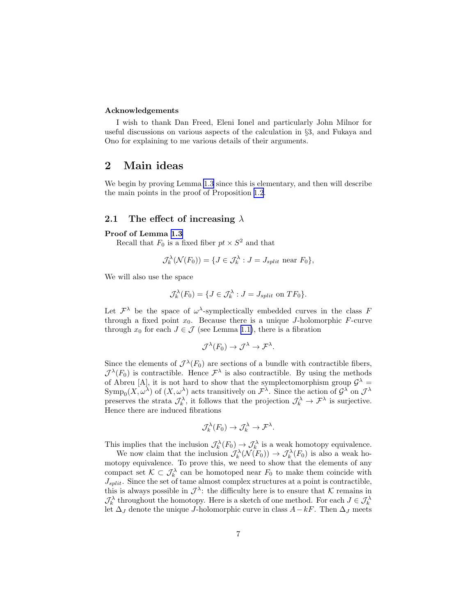#### Acknowledgements

I wish to thank Dan Freed, Eleni Ionel and particularly John Milnor for useful discussions on various aspects of the calculation in §3, and Fukaya and Ono for explaining to me various details of their arguments.

# 2 Main ideas

We begin by proving Lemma [1.3](#page-2-0) since this is elementary, and then will describe the main points in the proof of Proposition [1.2](#page-2-0).

# 2.1 The effect of increasing  $\lambda$

#### Proof of Lemma [1.3](#page-2-0)

Recall that  $F_0$  is a fixed fiber  $pt \times S^2$  and that

$$
\mathcal{J}_k^{\lambda}(\mathcal{N}(F_0)) = \{ J \in \mathcal{J}_k^{\lambda} : J = J_{split} \text{ near } F_0 \},
$$

We will also use the space

$$
\mathcal{J}_k^{\lambda}(F_0) = \{ J \in \mathcal{J}_k^{\lambda} : J = J_{split} \text{ on } TF_0 \}.
$$

Let  $\mathcal{F}^{\lambda}$  be the space of  $\omega^{\lambda}$ -symplectically embedded curves in the class F through a fixed point  $x_0$ . Because there is a unique *J*-holomorphic *F*-curve through  $x_0$  for each  $J \in \mathcal{J}$  (see Lemma [1.1\)](#page-1-0), there is a fibration

$$
\mathcal{J}^{\lambda}(F_0) \to \mathcal{J}^{\lambda} \to \mathcal{F}^{\lambda}.
$$

Since the elements of  $\mathcal{J}^{\lambda}(F_0)$  are sections of a bundle with contractible fibers,  $\mathcal{J}^{\lambda}(F_0)$  is contractible. Hence  $\mathcal{F}^{\lambda}$  is also contractible. By using the methods of Abreu [A], it is not hard to show that the symplectomorphism group  $\mathcal{G}^{\lambda}$  =  $\text{Symp}_0(X,\omega^\lambda)$  of  $(X,\omega^\lambda)$  acts transitively on  $\mathcal{F}^\lambda$ . Since the action of  $\mathcal{G}^\lambda$  on  $\mathcal{J}^\lambda$ preserves the strata  $\mathcal{J}_k^{\lambda}$ , it follows that the projection  $\mathcal{J}_k^{\lambda} \to \mathcal{F}^{\lambda}$  is surjective. Hence there are induced fibrations

$$
\mathcal{J}_k^{\lambda}(F_0) \to \mathcal{J}_k^{\lambda} \to \mathcal{F}^{\lambda}.
$$

This implies that the inclusion  $\mathcal{J}_k^{\lambda}(F_0) \to \mathcal{J}_k^{\lambda}$  is a weak homotopy equivalence.

We now claim that the inclusion  $\mathcal{J}_k^{\lambda}(\mathcal{N}(F_0)) \to \mathcal{J}_k^{\lambda}(F_0)$  is also a weak homotopy equivalence. To prove this, we need to show that the elements of any compact set  $\mathcal{K} \subset \mathcal{J}_k^{\lambda}$  can be homotoped near  $F_0$  to make them coincide with  $J_{split}$ . Since the set of tame almost complex structures at a point is contractible, this is always possible in  $\mathcal{J}^{\lambda}$ : the difficulty here is to ensure that K remains in  $\mathcal{J}_k^{\lambda}$  throughout the homotopy. Here is a sketch of one method. For each  $J \in \mathcal{J}_k^{\lambda}$ let  $\Delta_J$  denote the unique J-holomorphic curve in class  $A-kF$ . Then  $\Delta_J$  meets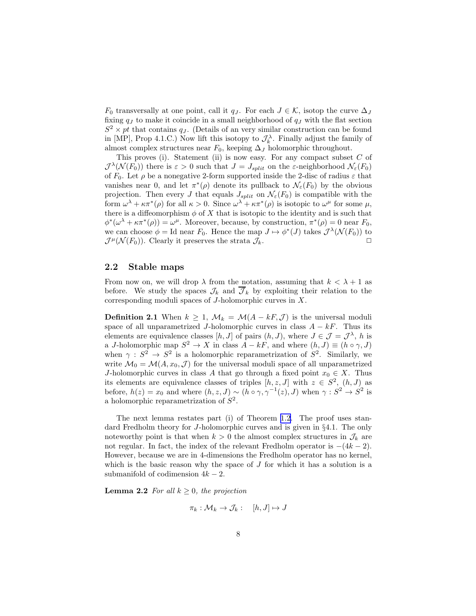<span id="page-7-0"></span> $F_0$  transversally at one point, call it  $q_J$ . For each  $J \in \mathcal{K}$ , isotop the curve  $\Delta_J$ fixing  $q_J$  to make it coincide in a small neighborhood of  $q_J$  with the flat section  $S^2 \times pt$  that contains  $q_J$ . (Details of an very similar construction can be found in [MP], Prop 4.1.C.) Now lift this isotopy to  $\mathcal{J}_k^{\lambda}$ . Finally adjust the family of almost complex structures near  $F_0$ , keeping  $\Delta_J$  holomorphic throughout.

This proves (i). Statement (ii) is now easy. For any compact subset  $C$  of  $\mathcal{J}^{\lambda}(\mathcal{N}(F_0))$  there is  $\varepsilon > 0$  such that  $J = J_{split}$  on the  $\varepsilon$ -neighborhood  $\mathcal{N}_{\varepsilon}(F_0)$ of  $F_0$ . Let  $\rho$  be a nonegative 2-form supported inside the 2-disc of radius  $\varepsilon$  that vanishes near 0, and let  $\pi^*(\rho)$  denote its pullback to  $\mathcal{N}_{\varepsilon}(F_0)$  by the obvious projection. Then every J that equals  $J_{split}$  on  $\mathcal{N}_{\varepsilon}(F_0)$  is compatible with the form  $\omega^{\lambda} + \kappa \pi^*(\rho)$  for all  $\kappa > 0$ . Since  $\omega^{\lambda} + \kappa \pi^*(\rho)$  is isotopic to  $\omega^{\mu}$  for some  $\mu$ , there is a diffeomorphism  $\phi$  of X that is isotopic to the identity and is such that  $\phi^*(\omega^\lambda + \kappa \pi^*(\rho)) = \omega^\mu$ . Moreover, because, by construction,  $\pi^*(\rho) = 0$  near  $F_0$ , we can choose  $\phi = \text{Id}$  near  $F_0$ . Hence the map  $J \mapsto \phi^*(J)$  takes  $\mathcal{J}^{\lambda}(\mathcal{N}(F_0))$  to  $\mathcal{J}^{\mu}(\mathcal{N}(F_0)).$  Clearly it preserves the strata  $\mathcal{J}_k$ .

### 2.2 Stable maps

From now on, we will drop  $\lambda$  from the notation, assuming that  $k < \lambda + 1$  as before. We study the spaces  $\mathcal{J}_k$  and  $\overline{\mathcal{J}}_k$  by exploiting their relation to the corresponding moduli spaces of J-holomorphic curves in X.

**Definition 2.1** When  $k \geq 1$ ,  $\mathcal{M}_k = \mathcal{M}(A - kF, \mathcal{J})$  is the universal moduli space of all unparametrized J-holomorphic curves in class  $A - kF$ . Thus its elements are equivalence classes  $[h, J]$  of pairs  $(h, J)$ , where  $J \in \mathcal{J} = \mathcal{J}^{\lambda}$ , h is a J-holomorphic map  $S^2 \to X$  in class  $A - kF$ , and where  $(h, J) \equiv (h \circ \gamma, J)$ when  $\gamma : S^2 \to S^2$  is a holomorphic reparametrization of  $S^2$ . Similarly, we write  $\mathcal{M}_0 = \mathcal{M}(A, x_0, \mathcal{J})$  for the universal moduli space of all unparametrized J-holomorphic curves in class A that go through a fixed point  $x_0 \in X$ . Thus its elements are equivalence classes of triples  $[h, z, J]$  with  $z \in S^2$ ,  $(h, J)$  as before,  $h(z) = x_0$  and where  $(h, z, J) \sim (h \circ \gamma, \gamma^{-1}(z), J)$  when  $\gamma : S^2 \to S^2$  is a holomorphic reparametrization of  $S^2$ .

The next lemma restates part (i) of Theorem [1.2.](#page-2-0) The proof uses standard Fredholm theory for J-holomorphic curves and is given in §4.1. The only noteworthy point is that when  $k > 0$  the almost complex structures in  $\mathcal{J}_k$  are not regular. In fact, the index of the relevant Fredholm operator is  $-(4k-2)$ . However, because we are in 4-dimensions the Fredholm operator has no kernel, which is the basic reason why the space of  $J$  for which it has a solution is a submanifold of codimension  $4k - 2$ .

**Lemma 2.2** For all  $k \geq 0$ , the projection

$$
\pi_k: \mathcal{M}_k \to \mathcal{J}_k: \quad [h, J] \mapsto J
$$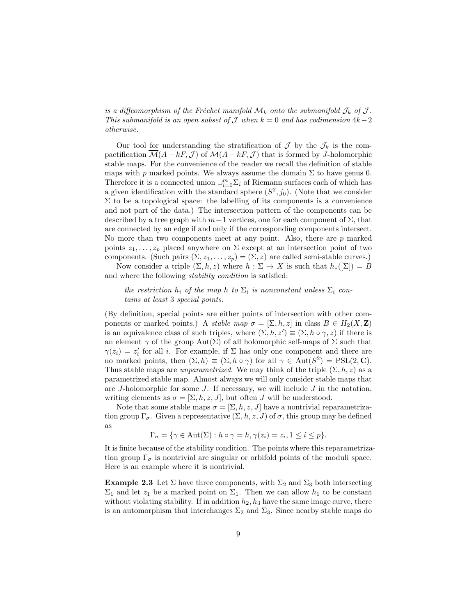is a diffeomorphism of the Fréchet manifold  $\mathcal{M}_k$  onto the submanifold  $\mathcal{J}_k$  of  $\mathcal{J}$ . This submanifold is an open subset of  $\mathcal J$  when  $k = 0$  and has codimension  $4k-2$ otherwise.

Our tool for understanding the stratification of  $\mathcal J$  by the  $\mathcal J_k$  is the compactification  $\overline{\mathcal{M}}(A - kF, \mathcal{J})$  of  $\mathcal{M}(A - kF, \mathcal{J})$  that is formed by J-holomorphic stable maps. For the convenience of the reader we recall the definition of stable maps with p marked points. We always assume the domain  $\Sigma$  to have genus 0. Therefore it is a connected union  $\cup_{i=0}^m \Sigma_i$  of Riemann surfaces each of which has a given identification with the standard sphere  $(S^2, j_0)$ . (Note that we consider  $\Sigma$  to be a topological space: the labelling of its components is a convenience and not part of the data.) The intersection pattern of the components can be described by a tree graph with  $m+1$  vertices, one for each component of  $\Sigma$ , that are connected by an edge if and only if the corresponding components intersect. No more than two components meet at any point. Also, there are  $p$  marked points  $z_1, \ldots, z_p$  placed anywhere on  $\Sigma$  except at an intersection point of two components. (Such pairs  $(\Sigma, z_1, \ldots, z_p) = (\Sigma, z)$  are called semi-stable curves.)

Now consider a triple  $(\Sigma, h, z)$  where  $h : \Sigma \to X$  is such that  $h_*([\Sigma]) = B$ and where the following stability condition is satisfied:

the restriction  $h_i$  of the map h to  $\Sigma_i$  is nonconstant unless  $\Sigma_i$  contains at least 3 special points.

(By definition, special points are either points of intersection with other components or marked points.) A *stable map*  $\sigma = [\Sigma, h, z]$  in class  $B \in H_2(X, \mathbf{Z})$ is an equivalence class of such triples, where  $(\Sigma, h, z') \equiv (\Sigma, h \circ \gamma, z)$  if there is an element  $\gamma$  of the group Aut( $\Sigma$ ) of all holomorphic self-maps of  $\Sigma$  such that  $\gamma(z_i) = z'_i$  for all i. For example, if  $\Sigma$  has only one component and there are no marked points, then  $(\Sigma, h) \equiv (\Sigma, h \circ \gamma)$  for all  $\gamma \in Aut(S^2) = PSL(2, \mathbb{C})$ . Thus stable maps are *unparametrized*. We may think of the triple  $(\Sigma, h, z)$  as a parametrized stable map. Almost always we will only consider stable maps that are  $J$ -holomorphic for some  $J$ . If necessary, we will include  $J$  in the notation, writing elements as  $\sigma = [\Sigma, h, z, J]$ , but often J will be understood.

Note that some stable maps  $\sigma = [\Sigma, h, z, J]$  have a nontrivial reparametrization group  $\Gamma_{\sigma}$ . Given a representative  $(\Sigma, h, z, J)$  of  $\sigma$ , this group may be defined as

$$
\Gamma_{\sigma} = \{ \gamma \in \text{Aut}(\Sigma) : h \circ \gamma = h, \gamma(z_i) = z_i, 1 \le i \le p \}.
$$

It is finite because of the stability condition. The points where this reparametrization group  $\Gamma_{\sigma}$  is nontrivial are singular or orbifold points of the moduli space. Here is an example where it is nontrivial.

**Example 2.3** Let  $\Sigma$  have three components, with  $\Sigma_2$  and  $\Sigma_3$  both intersecting  $\Sigma_1$  and let  $z_1$  be a marked point on  $\Sigma_1$ . Then we can allow  $h_1$  to be constant without violating stability. If in addition  $h_2$ ,  $h_3$  have the same image curve, there is an automorphism that interchanges  $\Sigma_2$  and  $\Sigma_3$ . Since nearby stable maps do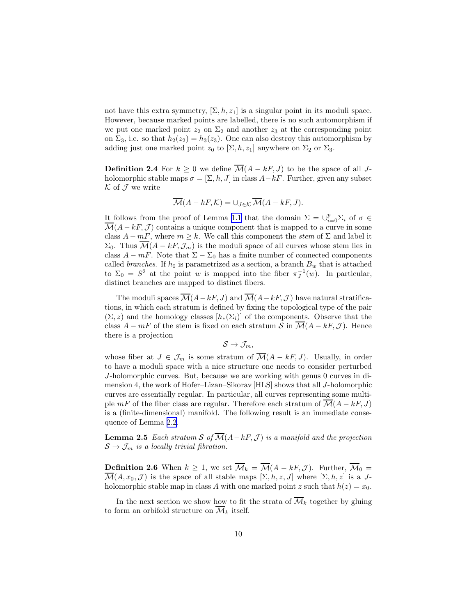<span id="page-9-0"></span>not have this extra symmetry,  $[\Sigma, h, z_1]$  is a singular point in its moduli space. However, because marked points are labelled, there is no such automorphism if we put one marked point  $z_2$  on  $\Sigma_2$  and another  $z_3$  at the corresponding point on  $\Sigma_3$ , i.e. so that  $h_2(z_2) = h_3(z_3)$ . One can also destroy this automorphism by adding just one marked point  $z_0$  to  $[\Sigma, h, z_1]$  anywhere on  $\Sigma_2$  or  $\Sigma_3$ .

**Definition 2.4** For  $k \geq 0$  we define  $\overline{\mathcal{M}}(A - kF, J)$  to be the space of all Jholomorphic stable maps  $\sigma = [\Sigma, h, J]$  in class  $A-kF$ . Further, given any subset  $K$  of  $J$  we write

$$
\overline{\mathcal{M}}(A - kF, \mathcal{K}) = \bigcup_{J \in \mathcal{K}} \overline{\mathcal{M}}(A - kF, J).
$$

It follows from the proof of Lemma [1.1](#page-1-0) that the domain  $\Sigma = \bigcup_{i=0}^{p} \Sigma_i$  of  $\sigma \in$  $\overline{\mathcal{M}}(A - kF, \mathcal{J})$  contains a unique component that is mapped to a curve in some class  $A - mF$ , where  $m \geq k$ . We call this component the stem of  $\Sigma$  and label it  $\Sigma_0$ . Thus  $\overline{\mathcal{M}}(A - kF, \mathcal{J}_m)$  is the moduli space of all curves whose stem lies in class  $A - mF$ . Note that  $\Sigma - \Sigma_0$  has a finite number of connected components called *branches*. If  $h_0$  is parametrized as a section, a branch  $B_w$  that is attached to  $\Sigma_0 = S^2$  at the point w is mapped into the fiber  $\pi_J^{-1}(w)$ . In particular, distinct branches are mapped to distinct fibers.

The moduli spaces  $\overline{\mathcal{M}}(A-kF, J)$  and  $\overline{\mathcal{M}}(A-kF, \mathcal{J})$  have natural stratifications, in which each stratum is defined by fixing the topological type of the pair  $(\Sigma, z)$  and the homology classes  $[h_*(\Sigma_i)]$  of the components. Observe that the class  $A - mF$  of the stem is fixed on each stratum S in  $\overline{\mathcal{M}}(A - kF, \mathcal{J})$ . Hence there is a projection

$$
\mathcal{S}\rightarrow \mathcal{J}_m,
$$

whose fiber at  $J \in \mathcal{J}_m$  is some stratum of  $\overline{\mathcal{M}}(A - kF, J)$ . Usually, in order to have a moduli space with a nice structure one needs to consider perturbed J-holomorphic curves. But, because we are working with genus 0 curves in dimension 4, the work of Hofer–Lizan–Sikorav [HLS] shows that all J-holomorphic curves are essentially regular. In particular, all curves representing some multiple  $mF$  of the fiber class are regular. Therefore each stratum of  $\mathcal{M}(A - kF, J)$ is a (finite-dimensional) manifold. The following result is an immediate consequence of Lemma [2.2](#page-7-0).

**Lemma 2.5** Each stratum S of  $\overline{\mathcal{M}}(A-kF,\mathcal{J})$  is a manifold and the projection  $S \to \mathcal{J}_m$  is a locally trivial fibration.

**Definition 2.6** When  $k \geq 1$ , we set  $\overline{\mathcal{M}}_k = \overline{\mathcal{M}}(A - kF, \mathcal{J})$ . Further,  $\overline{\mathcal{M}}_0 =$  $\overline{\mathcal{M}}(A, x_0, \mathcal{J})$  is the space of all stable maps  $[\Sigma, h, z, J]$  where  $[\Sigma, h, z]$  is a Jholomorphic stable map in class A with one marked point z such that  $h(z) = x_0$ .

In the next section we show how to fit the strata of  $\overline{\mathcal{M}}_k$  together by gluing to form an orbifold structure on  $\overline{\mathcal{M}}_k$  itself.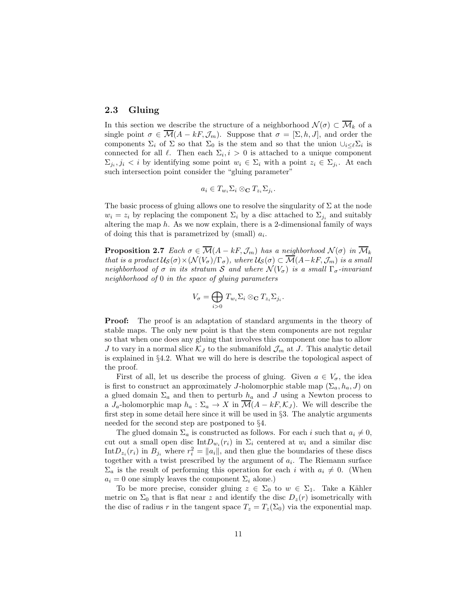### <span id="page-10-0"></span>2.3 Gluing

In this section we describe the structure of a neighborhood  $\mathcal{N}(\sigma) \subset \overline{\mathcal{M}}_k$  of a single point  $\sigma \in \overline{\mathcal{M}}(A - kF, \mathcal{J}_m)$ . Suppose that  $\sigma = [\Sigma, h, J]$ , and order the components  $\Sigma_i$  of  $\Sigma$  so that  $\Sigma_0$  is the stem and so that the union  $\cup_{i\leq \ell} \Sigma_i$  is connected for all  $\ell$ . Then each  $\Sigma_i, i > 0$  is attached to a unique component  $\Sigma_{j_i}, j_i < i$  by identifying some point  $w_i \in \Sigma_i$  with a point  $z_i \in \Sigma_{j_i}$ . At each such intersection point consider the "gluing parameter"

$$
a_i \in T_{w_i} \Sigma_i \otimes_{\mathbf{C}} T_{z_i} \Sigma_{j_i}.
$$

The basic process of gluing allows one to resolve the singularity of  $\Sigma$  at the node  $w_i = z_i$  by replacing the component  $\Sigma_i$  by a disc attached to  $\Sigma_{j_i}$  and suitably altering the map  $h$ . As we now explain, there is a 2-dimensional family of ways of doing this that is parametrized by (small)  $a_i$ .

**Proposition 2.7** Each  $\sigma \in \overline{\mathcal{M}}(A - kF, \mathcal{J}_m)$  has a neighborhood  $\mathcal{N}(\sigma)$  in  $\overline{\mathcal{M}}_k$ that is a product  $\mathcal{U}_{\mathcal{S}}(\sigma) \times (\mathcal{N}(V_{\sigma})/\Gamma_{\sigma})$ , where  $\mathcal{U}_{\mathcal{S}}(\sigma) \subset \overline{\mathcal{M}}(A-kF,\mathcal{J}_m)$  is a small neighborhood of  $\sigma$  in its stratum S and where  $\mathcal{N}(V_{\sigma})$  is a small  $\Gamma_{\sigma}$ -invariant neighborhood of 0 in the space of gluing parameters

$$
V_{\sigma} = \bigoplus_{i>0} T_{w_i} \Sigma_i \otimes_{\mathbf{C}} T_{z_i} \Sigma_{j_i}.
$$

Proof: The proof is an adaptation of standard arguments in the theory of stable maps. The only new point is that the stem components are not regular so that when one does any gluing that involves this component one has to allow J to vary in a normal slice  $\mathcal{K}_J$  to the submanifold  $\mathcal{J}_m$  at J. This analytic detail is explained in §4.2. What we will do here is describe the topological aspect of the proof.

First of all, let us describe the process of gluing. Given  $a \in V_{\sigma}$ , the idea is first to construct an approximately J-holomorphic stable map  $(\Sigma_a, h_a, J)$  on a glued domain  $\Sigma_a$  and then to perturb  $h_a$  and J using a Newton process to a  $J_a$ -holomorphic map  $h_a: \Sigma_a \to X$  in  $\overline{\mathcal{M}}(A - kF, \mathcal{K}_J)$ . We will describe the first step in some detail here since it will be used in §3. The analytic arguments needed for the second step are postponed to §4.

The glued domain  $\Sigma_a$  is constructed as follows. For each i such that  $a_i \neq 0$ , cut out a small open disc  $IntD_{w_i}(r_i)$  in  $\Sigma_i$  centered at  $w_i$  and a similar disc  $\text{Int}D_{z_i}(r_i)$  in  $B_{j_i}$  where  $r_i^2 = ||a_i||$ , and then glue the boundaries of these discs together with a twist prescribed by the argument of  $a_i$ . The Riemann surface  $\Sigma_a$  is the result of performing this operation for each i with  $a_i \neq 0$ . (When  $a_i = 0$  one simply leaves the component  $\Sigma_i$  alone.)

To be more precise, consider gluing  $z \in \Sigma_0$  to  $w \in \Sigma_1$ . Take a Kähler metric on  $\Sigma_0$  that is flat near z and identify the disc  $D_z(r)$  isometrically with the disc of radius r in the tangent space  $T_z = T_z(\Sigma_0)$  via the exponential map.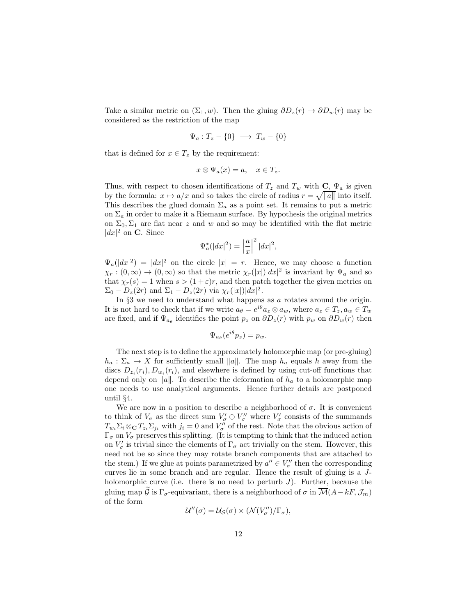Take a similar metric on  $(\Sigma_1, w)$ . Then the gluing  $\partial D_z(r) \to \partial D_w(r)$  may be considered as the restriction of the map

$$
\Psi_a: T_z - \{0\} \longrightarrow T_w - \{0\}
$$

that is defined for  $x \in T_z$  by the requirement:

$$
x\otimes\Psi_a(x)=a,\quad x\in T_z.
$$

Thus, with respect to chosen identifications of  $T_z$  and  $T_w$  with  $\mathbf{C}, \Psi_a$  is given by the formula:  $x \mapsto a/x$  and so takes the circle of radius  $r = \sqrt{\|a\|}$  into itself. This describes the glued domain  $\Sigma_a$  as a point set. It remains to put a metric on  $\Sigma_a$  in order to make it a Riemann surface. By hypothesis the original metrics on  $\Sigma_0$ ,  $\Sigma_1$  are flat near z and w and so may be identified with the flat metric  $|dx|^2$  on **C**. Since

$$
\Psi_a^*(|dx|^2) = \left|\frac{a}{x}\right|^2 |dx|^2,
$$

 $\Psi_a(|dx|^2) = |dx|^2$  on the circle  $|x| = r$ . Hence, we may choose a function  $\chi_r:(0,\infty)\to(0,\infty)$  so that the metric  $\chi_r(|x|)|dx|^2$  is invariant by  $\Psi_a$  and so that  $\chi_r(s) = 1$  when  $s > (1 + \varepsilon)r$ , and then patch together the given metrics on  $\Sigma_0 - D_z(2r)$  and  $\Sigma_1 - D_z(2r)$  via  $\chi_r(|x|)|dx|^2$ .

In §3 we need to understand what happens as a rotates around the origin. It is not hard to check that if we write  $a_{\theta} = e^{i\theta} a_z \otimes a_w$ , where  $a_z \in T_z, a_w \in T_w$ are fixed, and if  $\Psi_{a_{\theta}}$  identifies the point  $p_z$  on  $\partial D_z(r)$  with  $p_w$  on  $\partial D_w(r)$  then

$$
\Psi_{a_{\theta}}(e^{i\theta}p_z) = p_w.
$$

The next step is to define the approximately holomorphic map (or pre-gluing)  $h_a: \Sigma_a \to X$  for sufficiently small  $||a||$ . The map  $h_a$  equals h away from the discs  $D_{z_i}(r_i)$ ,  $D_{w_i}(r_i)$ , and elsewhere is defined by using cut-off functions that depend only on  $||a||$ . To describe the deformation of  $h_a$  to a holomorphic map one needs to use analytical arguments. Hence further details are postponed until §4.

We are now in a position to describe a neighborhood of  $\sigma$ . It is convenient to think of  $V_{\sigma}$  as the direct sum  $V'_{\sigma} \oplus V''_{\sigma}$  where  $V'_{\sigma}$  consists of the summands  $T_{w_i}\Sigma_i\otimes_{\mathbf{C}} T_{z_i}\Sigma_{j_i}$  with  $j_i=0$  and  $V''_{\sigma}$  of the rest. Note that the obvious action of  $\Gamma_{\sigma}$  on  $V_{\sigma}$  preserves this splitting. (It is tempting to think that the induced action on  $V'_{\sigma}$  is trivial since the elements of  $\Gamma_{\sigma}$  act trivially on the stem. However, this need not be so since they may rotate branch components that are attached to the stem.) If we glue at points parametrized by  $a'' \in V''_{\sigma}$  then the corresponding curves lie in some branch and are regular. Hence the result of gluing is a Jholomorphic curve (i.e. there is no need to perturb  $J$ ). Further, because the gluing map  $\widetilde{\mathcal{G}}$  is  $\Gamma_{\sigma}$ -equivariant, there is a neighborhood of  $\sigma$  in  $\overline{\mathcal{M}}(A-kF,\mathcal{J}_m)$ of the form

$$
\mathcal{U}''(\sigma) = \mathcal{U}_{\mathcal{S}}(\sigma) \times (\mathcal{N}(V''_{\sigma})/\Gamma_{\sigma}),
$$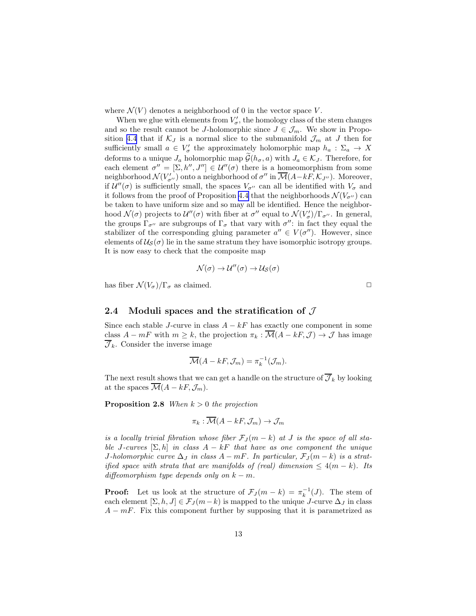<span id="page-12-0"></span>where  $\mathcal{N}(V)$  denotes a neighborhood of 0 in the vector space V.

When we glue with elements from  $V'_{\sigma}$ , the homology class of the stem changes and so the result cannot be J-holomorphic since  $J \in \mathcal{J}_m$ . We show in Propo-sition [4.4](#page-33-0) that if  $\mathcal{K}_J$  is a normal slice to the submanifold  $\mathcal{J}_m$  at J then for sufficiently small  $a \in V'_{\sigma}$  the approximately holomorphic map  $h_a : \Sigma_a \to X$ deforms to a unique  $J_a$  holomorphic map  $\mathcal{G}(h_{\sigma}, a)$  with  $J_a \in \mathcal{K}_J$ . Therefore, for each element  $\sigma'' = [\Sigma, h'', J''] \in \mathcal{U}''(\sigma)$  there is a homeomorphism from some neighborhood  $\mathcal{N}(V'_{\sigma''})$  onto a neighborhood of  $\sigma''$  in  $\overline{\mathcal{M}}(A-kF,\mathcal{K}_{J''})$ . Moreover, if  $\mathcal{U}''(\sigma)$  is sufficiently small, the spaces  $V_{\sigma''}$  can all be identified with  $V_{\sigma}$  and it follows from the proof of Proposition [4.4](#page-33-0) that the neighborhoods  $\mathcal{N}(V_{\sigma''})$  can be taken to have uniform size and so may all be identified. Hence the neighborhood  $\mathcal{N}(\sigma)$  projects to  $\mathcal{U}''(\sigma)$  with fiber at  $\sigma''$  equal to  $\mathcal{N}(V'_{\sigma})/\Gamma_{\sigma''}$ . In general, the groups  $\Gamma_{\sigma''}$  are subgroups of  $\Gamma_{\sigma}$  that vary with  $\sigma''$ : in fact they equal the stabilizer of the corresponding gluing parameter  $a'' \in V(\sigma'')$ . However, since elements of  $\mathcal{U}_{\mathcal{S}}(\sigma)$  lie in the same stratum they have isomorphic isotropy groups. It is now easy to check that the composite map

$$
\mathcal{N}(\sigma) \to \mathcal{U}''(\sigma) \to \mathcal{U}_{\mathcal{S}}(\sigma)
$$

has fiber  $\mathcal{N}(V_{\sigma})/\Gamma_{\sigma}$  as claimed.

### 2.4 Moduli spaces and the stratification of  $\mathcal J$

Since each stable J-curve in class  $A - kF$  has exactly one component in some class  $A - mF$  with  $m \geq k$ , the projection  $\pi_k : \overline{\mathcal{M}}(A - kF, \mathcal{J}) \to \mathcal{J}$  has image  $\overline{\mathcal{J}}_k$ . Consider the inverse image

$$
\overline{\mathcal{M}}(A - kF, \mathcal{J}_m) = \pi_k^{-1}(\mathcal{J}_m).
$$

The next result shows that we can get a handle on the structure of  $\overline{\mathcal{J}}_k$  by looking at the spaces  $\overline{\mathcal{M}}(A - kF, \mathcal{J}_m)$ .

**Proposition 2.8** When  $k > 0$  the projection

$$
\pi_k : \overline{\mathcal{M}}(A - kF, \mathcal{J}_m) \to \mathcal{J}_m
$$

is a locally trivial fibration whose fiber  $\mathcal{F}_J(m-k)$  at J is the space of all stable J-curves  $[\Sigma, h]$  in class  $A - kF$  that have as one component the unique J-holomorphic curve  $\Delta_J$  in class  $A - mF$ . In particular,  $\mathcal{F}_J(m-k)$  is a stratified space with strata that are manifolds of (real) dimension  $\leq 4(m-k)$ . Its diffeomorphism type depends only on  $k - m$ .

**Proof:** Let us look at the structure of  $\mathcal{F}_J(m-k) = \pi_k^{-1}(J)$ . The stem of each element  $[\Sigma, h, J] \in \mathcal{F}_J(m-k)$  is mapped to the unique J-curve  $\Delta_J$  in class  $A - mF$ . Fix this component further by supposing that it is parametrized as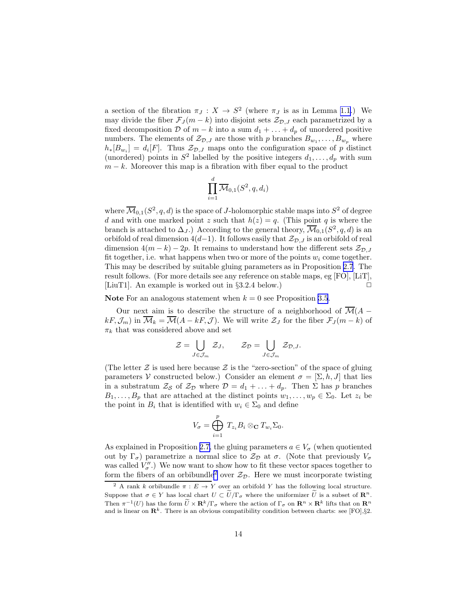a section of the fibration  $\pi_J : X \to S^2$  (where  $\pi_J$  is as in Lemma [1.1.](#page-1-0)) We may divide the fiber  $\mathcal{F}_J(m-k)$  into disjoint sets  $\mathcal{Z}_{\mathcal{D},J}$  each parametrized by a fixed decomposition D of  $m - k$  into a sum  $d_1 + \ldots + d_p$  of unordered positive numbers. The elements of  $\mathcal{Z}_{\mathcal{D},J}$  are those with p branches  $B_{w_1}, \ldots, B_{w_p}$  where  $h_*[B_{w_i}] = d_i[F]$ . Thus  $\mathcal{Z}_{\mathcal{D},J}$  maps onto the configuration space of p distinct (unordered) points in  $S^2$  labelled by the positive integers  $d_1, \ldots, d_p$  with sum  $m - k$ . Moreover this map is a fibration with fiber equal to the product

$$
\prod_{i=1}^d \overline{\mathcal{M}}_{0,1}(S^2,q,d_i)
$$

where  $\overline{\mathcal{M}}_{0,1}(S^2,q,d)$  is the space of J-holomorphic stable maps into  $S^2$  of degree d and with one marked point z such that  $h(z) = q$ . (This point q is where the branch is attached to  $\Delta_J$ .) According to the general theory,  $\overline{\mathcal{M}}_{0,1}(S^2,q,d)$  is an orbifold of real dimension 4(d-1). It follows easily that  $\mathcal{Z}_{\mathcal{D},J}$  is an orbifold of real dimension  $4(m-k)-2p$ . It remains to understand how the different sets  $\mathcal{Z}_{\mathcal{D},J}$ fit together, i.e. what happens when two or more of the points  $w_i$  come together. This may be described by suitable gluing parameters as in Proposition [2.7](#page-10-0). The result follows. (For more details see any reference on stable maps, eg [FO], [LiT], [LiuT1]. An example is worked out in  $\S 3.2.4$  below.)

Note For an analogous statement when  $k = 0$  see Proposition [3.5](#page-20-0).

Our next aim is to describe the structure of a neighborhood of  $\overline{\mathcal{M}}(A$  $kF, \mathcal{J}_m$  in  $\overline{\mathcal{M}}_k = \overline{\mathcal{M}}(A - kF, \mathcal{J})$ . We will write  $\mathcal{Z}_J$  for the fiber  $\mathcal{F}_J(m-k)$  of  $\pi_k$  that was considered above and set

$$
\mathcal{Z} = \bigcup_{J \in \mathcal{J}_m} \mathcal{Z}_J, \qquad \mathcal{Z}_{\mathcal{D}} = \bigcup_{J \in \mathcal{J}_m} \mathcal{Z}_{\mathcal{D},J}.
$$

(The letter  $\mathcal Z$  is used here because  $\mathcal Z$  is the "zero-section" of the space of gluing parameters V constructed below.) Consider an element  $\sigma = [\Sigma, h, J]$  that lies in a substratum  $\mathcal{Z}_{\mathcal{S}}$  of  $\mathcal{Z}_{\mathcal{D}}$  where  $\mathcal{D} = d_1 + \ldots + d_p$ . Then  $\Sigma$  has p branches  $B_1, \ldots, B_p$  that are attached at the distinct points  $w_1, \ldots, w_p \in \Sigma_0$ . Let  $z_i$  be the point in  $B_i$  that is identified with  $w_i \in \Sigma_0$  and define

$$
V_{\sigma} = \bigoplus_{i=1}^{p} T_{z_i} B_i \otimes_{\mathbf{C}} T_{w_i} \Sigma_0.
$$

As explained in Proposition [2.7,](#page-10-0) the gluing parameters  $a \in V_{\sigma}$  (when quotiented out by Γ<sub>σ</sub>) parametrize a normal slice to  $\mathcal{Z}_{\mathcal{D}}$  at σ. (Note that previously  $V_{\sigma}$ was called  $V''_{\sigma}$ .) We now want to show how to fit these vector spaces together to form the fibers of an orbibundle<sup>2</sup> over  $\mathcal{Z}_{\mathcal{D}}$ . Here we must incorporate twisting

<sup>&</sup>lt;sup>2</sup> A rank k orbibundle  $\pi : E \to Y$  over an orbifold Y has the following local structure. Suppose that  $\sigma \in Y$  has local chart  $U \subset \widetilde{U}/\Gamma_{\sigma}$  where the uniformizer  $\widetilde{U}$  is a subset of  $\mathbb{R}^{n}$ . Then  $\pi^{-1}(U)$  has the form  $\widetilde{U} \times \mathbf{R}^k/\Gamma_\sigma$  where the action of  $\Gamma_\sigma$  on  $\mathbf{R}^n \times \mathbf{R}^k$  lifts that on  $\mathbf{R}^n$ <br>and is linear on  $\mathbf{R}^k$ . There is an obvious compatibility condition between sharts, see and is linear on  $\mathbb{R}^k$ . There is an obvious compatibility condition between charts: see [FO], §2.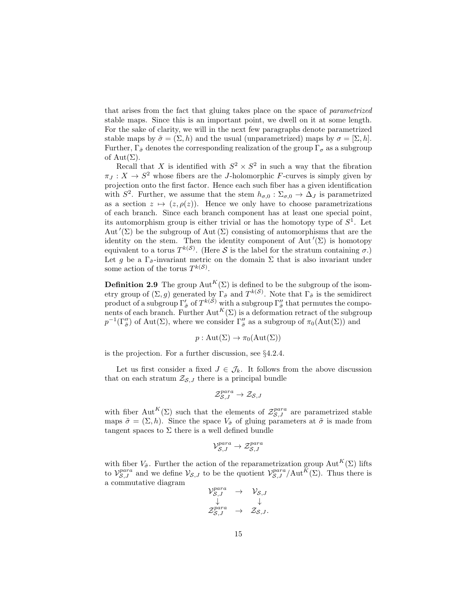<span id="page-14-0"></span>that arises from the fact that gluing takes place on the space of parametrized stable maps. Since this is an important point, we dwell on it at some length. For the sake of clarity, we will in the next few paragraphs denote parametrized stable maps by  $\tilde{\sigma} = (\Sigma, h)$  and the usual (unparametrized) maps by  $\sigma = [\Sigma, h]$ . Further,  $\Gamma_{\tilde{\sigma}}$  denotes the corresponding realization of the group  $\Gamma_{\sigma}$  as a subgroup of  $Aut(\Sigma)$ .

Recall that X is identified with  $S^2 \times S^2$  in such a way that the fibration  $\pi_J : X \to S^2$  whose fibers are the *J*-holomorphic *F*-curves is simply given by projection onto the first factor. Hence each such fiber has a given identification with  $S^2$ . Further, we assume that the stem  $h_{\sigma,0} : \Sigma_{\sigma,0} \to \Delta_J$  is parametrized as a section  $z \mapsto (z, \rho(z))$ . Hence we only have to choose parametrizations of each branch. Since each branch component has at least one special point, its automorphism group is either trivial or has the homotopy type of  $S<sup>1</sup>$ . Let Aut  $'(\Sigma)$  be the subgroup of Aut  $(\Sigma)$  consisting of automorphisms that are the identity on the stem. Then the identity component of  $\text{Aut}^{\prime}(\Sigma)$  is homotopy equivalent to a torus  $T^{k(S)}$ . (Here S is the label for the stratum containing  $\sigma$ .) Let g be a  $\Gamma_{\tilde{\sigma}}$ -invariant metric on the domain  $\Sigma$  that is also invariant under some action of the torus  $T^{k(S)}$ .

**Definition 2.9** The group  $\text{Aut}^K(\Sigma)$  is defined to be the subgroup of the isometry group of  $(\Sigma, g)$  generated by  $\Gamma_{\tilde{\sigma}}$  and  $T^{k(S)}$ . Note that  $\Gamma_{\tilde{\sigma}}$  is the semidirect product of a subgroup  $\Gamma'_{\tilde{\sigma}}$  of  $T^{k(\mathcal{S})}$  with a subgroup  $\Gamma''_{\tilde{\sigma}}$  that permutes the components of each branch. Further  $\mathrm{Aut}^K(\Sigma)$  is a deformation retract of the subgroup  $p^{-1}(\Gamma''_{\tilde{\sigma}})$  of Aut( $\Sigma$ ), where we consider  $\Gamma''_{\tilde{\sigma}}$  as a subgroup of  $\pi_0(\text{Aut}(\Sigma))$  and

$$
p: \mathrm{Aut}(\Sigma) \to \pi_0(\mathrm{Aut}(\Sigma))
$$

is the projection. For a further discussion, see §4.2.4.

Let us first consider a fixed  $J \in \mathcal{J}_k$ . It follows from the above discussion that on each stratum  $\mathcal{Z}_{\mathcal{S},J}$  there is a principal bundle

$$
\mathcal{Z}_{\mathcal{S},J}^{para} \rightarrow \mathcal{Z}_{\mathcal{S},J}
$$

with fiber Aut<sup>K</sup>( $\Sigma$ ) such that the elements of  $\mathcal{Z}_{\mathcal{S},J}^{para}$  are parametrized stable maps  $\tilde{\sigma} = (\Sigma, h)$ . Since the space  $V_{\tilde{\sigma}}$  of gluing parameters at  $\tilde{\sigma}$  is made from tangent spaces to  $\Sigma$  there is a well defined bundle

$$
\mathcal{V}_{\mathcal{S},J}^{para} \rightarrow \mathcal{Z}_{\mathcal{S},J}^{para}
$$

with fiber  $V_{\tilde{\sigma}}$ . Further the action of the reparametrization group  $\mathrm{Aut}^K(\Sigma)$  lifts to  $\mathcal{V}_{\mathcal{S},J}^{para}$  and we define  $\mathcal{V}_{\mathcal{S},J}$  to be the quotient  $\mathcal{V}_{\mathcal{S},J}^{para}/\text{Aut}^K(\Sigma)$ . Thus there is a commutative diagram

$$
\begin{array}{ccc}\n\mathcal{V}_{\mathcal{S},J}^{para} & \rightarrow & \mathcal{V}_{\mathcal{S},J} \\
\downarrow & & \downarrow \\
\mathcal{Z}_{\mathcal{S},J}^{para} & \rightarrow & \mathcal{Z}_{\mathcal{S},J}.\n\end{array}
$$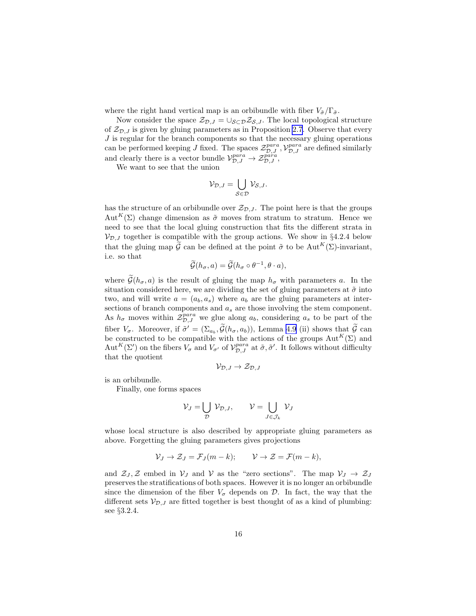<span id="page-15-0"></span>where the right hand vertical map is an orbibundle with fiber  $V_{\tilde{\sigma}}/\Gamma_{\tilde{\sigma}}$ .

Now consider the space  $\mathcal{Z}_{\mathcal{D},J} = \bigcup_{\mathcal{S}\subset\mathcal{D}}\mathcal{Z}_{\mathcal{S},J}$ . The local topological structure of  $\mathcal{Z}_{\mathcal{D},J}$  is given by gluing parameters as in Proposition [2.7](#page-10-0). Observe that every J is regular for the branch components so that the necessary gluing operations can be performed keeping J fixed. The spaces  $\mathcal{Z}_{\mathcal{D},J}^{para}$ ,  $\mathcal{V}_{\mathcal{D},J}^{para}$  are defined similarly and clearly there is a vector bundle  $\mathcal{V}_{\mathcal{D},J}^{para} \rightarrow \mathcal{Z}_{\mathcal{D},J}^{para}$ ,

We want to see that the union

$$
\mathcal{V}_{\mathcal{D},J} = \bigcup_{\mathcal{S}\in\mathcal{D}} \mathcal{V}_{\mathcal{S},J}.
$$

has the structure of an orbibundle over  $\mathcal{Z}_{\mathcal{D},J}$ . The point here is that the groups Aut<sup>K</sup>(Σ) change dimension as  $\tilde{\sigma}$  moves from stratum to stratum. Hence we need to see that the local gluing construction that fits the different strata in  $V_{\mathcal{D},J}$  together is compatible with the group actions. We show in §4.2.4 below that the gluing map  $\widetilde{\mathcal{G}}$  can be defined at the point  $\widetilde{\sigma}$  to be Aut<sup>K</sup>(Σ)-invariant, i.e. so that

$$
\widetilde{\mathcal{G}}(h_{\sigma}, a) = \widetilde{\mathcal{G}}(h_{\sigma} \circ \theta^{-1}, \theta \cdot a),
$$

where  $\mathcal{G}(h_{\sigma}, a)$  is the result of gluing the map  $h_{\sigma}$  with parameters a. In the situation considered here, we are dividing the set of gluing parameters at  $\tilde{\sigma}$  into two, and will write  $a = (a_b, a_s)$  where  $a_b$  are the gluing parameters at intersections of branch components and  $a_s$  are those involving the stem component. As  $h_{\sigma}$  moves within  $\mathcal{Z}_{\mathcal{D},J}^{para}$  we glue along  $a_b$ , considering  $a_s$  to be part of the fiber  $V_{\sigma}$ . Moreover, if  $\tilde{\sigma}' = (\Sigma_{a_b}, \mathcal{G}(h_{\sigma}, a_b))$ , Lemma [4.9](#page-40-0) (ii) shows that  $\tilde{\mathcal{G}}$  can be constructed to be compatible with the actions of the groups  ${\rm Aut}^K(\Sigma)$  and  $\mathrm{Aut}^K(\Sigma')$  on the fibers  $V_{\sigma}$  and  $V_{\sigma'}$  of  $\mathcal{V}_{\mathcal{D},J}^{para}$  at  $\tilde{\sigma},\tilde{\sigma}'$ . It follows without difficulty that the quotient

$$
\mathcal{V}_{\mathcal{D},J} \to \mathcal{Z}_{\mathcal{D},J}
$$

is an orbibundle.

Finally, one forms spaces

$$
\mathcal{V}_J = \bigcup_{\mathcal{D}} \mathcal{V}_{\mathcal{D},J}, \qquad \mathcal{V} = \bigcup_{J \in \mathcal{J}_k} \mathcal{V}_J
$$

whose local structure is also described by appropriate gluing parameters as above. Forgetting the gluing parameters gives projections

$$
\mathcal{V}_J \to \mathcal{Z}_J = \mathcal{F}_J(m-k); \qquad \mathcal{V} \to \mathcal{Z} = \mathcal{F}(m-k),
$$

and  $\mathcal{Z}_J$ ,  $\mathcal{Z}$  embed in  $\mathcal{V}_J$  and  $\mathcal{V}$  as the "zero sections". The map  $\mathcal{V}_J \rightarrow \mathcal{Z}_J$ preserves the stratifications of both spaces. However it is no longer an orbibundle since the dimension of the fiber  $V_{\sigma}$  depends on  $\mathcal{D}$ . In fact, the way that the different sets  $V_{\mathcal{D},J}$  are fitted together is best thought of as a kind of plumbing: see §3.2.4.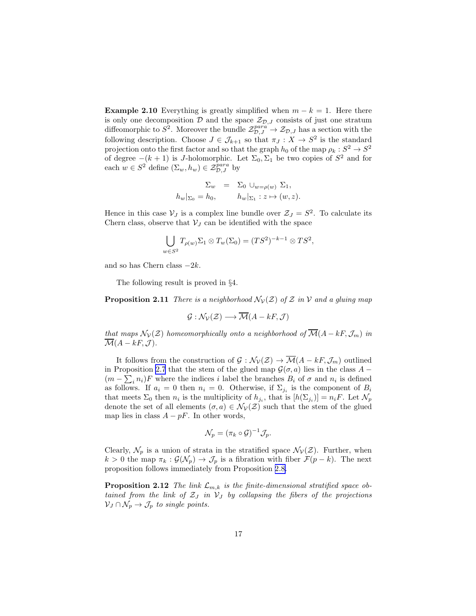<span id="page-16-0"></span>**Example 2.10** Everything is greatly simplified when  $m - k = 1$ . Here there is only one decomposition  $\mathcal D$  and the space  $\mathcal Z_{\mathcal D,J}$  consists of just one stratum diffeomorphic to  $S^2$ . Moreover the bundle  $\mathcal{Z}_{\mathcal{D},J}^{para} \to \mathcal{Z}_{\mathcal{D},J}$  has a section with the following description. Choose  $J \in \mathcal{J}_{k+1}$  so that  $\pi_J : X \to S^2$  is the standard projection onto the first factor and so that the graph  $h_0$  of the map  $\rho_k : S^2 \to S^2$ of degree  $-(k+1)$  is J-holomorphic. Let  $\Sigma_0, \Sigma_1$  be two copies of  $S^2$  and for each  $w \in S^2$  define  $(\Sigma_w, h_w) \in \mathcal{Z}_{\mathcal{D},J}^{para}$  by

$$
\Sigma_w = \Sigma_0 \cup_{w=\rho(w)} \Sigma_1,
$$
  
\n
$$
h_w|_{\Sigma_0} = h_0, \qquad h_w|_{\Sigma_1} : z \mapsto (w, z).
$$

Hence in this case  $V_J$  is a complex line bundle over  $\mathcal{Z}_J = S^2$ . To calculate its Chern class, observe that  $V_J$  can be identified with the space

$$
\bigcup_{w \in S^2} T_{\rho(w)} \Sigma_1 \otimes T_w(\Sigma_0) = (TS^2)^{-k-1} \otimes TS^2,
$$

and so has Chern class  $-2k$ .

The following result is proved in §4.

**Proposition 2.11** There is a neighborhood  $\mathcal{N}_{\mathcal{V}}(\mathcal{Z})$  of Z in V and a gluing map

$$
\mathcal{G}: \mathcal{N}_{\mathcal{V}}(\mathcal{Z}) \longrightarrow \overline{\mathcal{M}}(A - kF, \mathcal{J})
$$

that maps  $\mathcal{N}_{\mathcal{V}}(\mathcal{Z})$  homeomorphically onto a neighborhood of  $\overline{\mathcal{M}}(A - kF, \mathcal{J}_m)$  in  $\overline{\mathcal{M}}(A - kF, \mathcal{J}).$ 

It follows from the construction of  $\mathcal{G}: \mathcal{N}_{\mathcal{V}}(\mathcal{Z}) \to \overline{\mathcal{M}}(A - kF, \mathcal{J}_m)$  outlined in Proposition [2.7](#page-10-0) that the stem of the glued map  $\mathcal{G}(\sigma, a)$  lies in the class A –  $(m - \sum_i n_i)F$  where the indices i label the branches  $B_i$  of  $\sigma$  and  $n_i$  is defined as follows. If  $a_i = 0$  then  $n_i = 0$ . Otherwise, if  $\Sigma_{j_i}$  is the component of  $B_i$ that meets  $\Sigma_0$  then  $n_i$  is the multiplicity of  $h_{j_i}$ , that is  $[h(\Sigma_{j_i})] = n_i F$ . Let  $\mathcal{N}_p$ denote the set of all elements  $(\sigma, a) \in \mathcal{N}_{\mathcal{V}}(\mathcal{Z})$  such that the stem of the glued map lies in class  $A - pF$ . In other words,

$$
\mathcal{N}_p = (\pi_k \circ \mathcal{G})^{-1} \mathcal{J}_p.
$$

Clearly,  $\mathcal{N}_p$  is a union of strata in the stratified space  $\mathcal{N}_{\mathcal{V}}(\mathcal{Z})$ . Further, when  $k > 0$  the map  $\pi_k : \mathcal{G}(\mathcal{N}_p) \to \mathcal{J}_p$  is a fibration with fiber  $\mathcal{F}(p-k)$ . The next proposition follows immediately from Proposition [2.8.](#page-12-0)

**Proposition 2.12** The link  $\mathcal{L}_{m,k}$  is the finite-dimensional stratified space obtained from the link of  $Z_J$  in  $V_J$  by collapsing the fibers of the projections  $\mathcal{V}_J \cap \mathcal{N}_p \rightarrow \mathcal{J}_p$  to single points.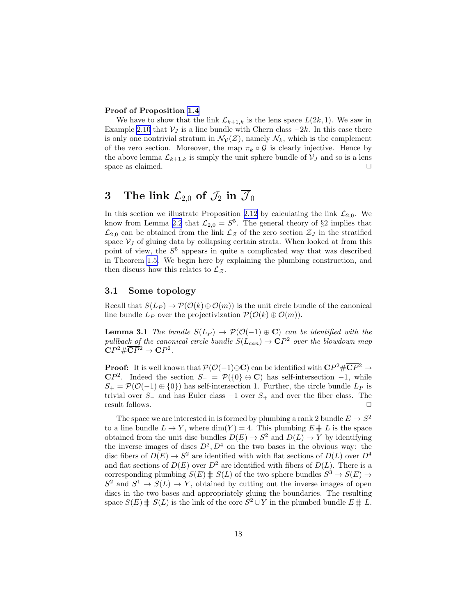#### Proof of Proposition [1.4](#page-3-0)

We have to show that the link  $\mathcal{L}_{k+1,k}$  is the lens space  $L(2k,1)$ . We saw in Example [2.10](#page-15-0) that  $V_J$  is a line bundle with Chern class  $-2k$ . In this case there is only one nontrivial stratum in  $\mathcal{N}_{\mathcal{V}}(\mathcal{Z})$ , namely  $\mathcal{N}_k$ , which is the complement of the zero section. Moreover, the map  $\pi_k \circ \mathcal{G}$  is clearly injective. Hence by the above lemma  $\mathcal{L}_{k+1,k}$  is simply the unit sphere bundle of  $\mathcal{V}_J$  and so is a lens space as claimed.  $\Box$ 

# 3 The link  $\mathcal{L}_{2,0}$  of  $\mathcal{J}_2$  in  $\overline{\mathcal{J}}_0$

In this section we illustrate Proposition [2.12](#page-16-0) by calculating the link  $\mathcal{L}_{2,0}$ . We know from Lemma [2.2](#page-7-0) that  $\mathcal{L}_{2,0} = S^5$ . The general theory of §2 implies that  $\mathcal{L}_{2,0}$  can be obtained from the link  $\mathcal{L}_z$  of the zero section  $\mathcal{Z}_j$  in the stratified space  $V_J$  of gluing data by collapsing certain strata. When looked at from this point of view, the  $S<sup>5</sup>$  appears in quite a complicated way that was described in Theorem [1.5](#page-3-0). We begin here by explaining the plumbing construction, and then discuss how this relates to  $\mathcal{L}_{\mathcal{Z}}$ .

## 3.1 Some topology

Recall that  $S(L_P) \to \mathcal{P}(\mathcal{O}(k) \oplus \mathcal{O}(m))$  is the unit circle bundle of the canonical line bundle  $L_P$  over the projectivization  $\mathcal{P}(\mathcal{O}(k) \oplus \mathcal{O}(m)).$ 

**Lemma 3.1** The bundle  $S(L_P) \rightarrow \mathcal{P}(\mathcal{O}(-1) \oplus \mathbf{C})$  can be identified with the pullback of the canonical circle bundle  $S(L_{can}) \rightarrow {\bf C}P^2$  over the blowdown map  $\mathbf{C}P^2 \# \overline{\mathbf{C}P}^2 \to \mathbf{C}P^2.$ 

**Proof:** It is well known that  $\mathcal{P}(\mathcal{O}(-1) \oplus \mathbf{C})$  can be identified with  $\mathbf{C}P^2 \# \overline{\mathbf{C}P^2} \to$  $\mathbb{C}P^2$ . Indeed the section  $S_-=\mathcal{P}(\{0\} \oplus \mathbb{C})$  has self-intersection -1, while  $S_+ = \mathcal{P}(\mathcal{O}(-1) \oplus \{0\})$  has self-intersection 1. Further, the circle bundle  $L_P$  is trivial over  $S_$  and has Euler class  $-1$  over  $S_+$  and over the fiber class. The result follows.  $\Box$ 

The space we are interested in is formed by plumbing a rank 2 bundle  $E \to S^2$ to a line bundle  $L \to Y$ , where  $\dim(Y) = 4$ . This plumbing  $E \not\equiv L$  is the space obtained from the unit disc bundles  $D(E) \to S^2$  and  $D(L) \to Y$  by identifying the inverse images of discs  $D^2, D^4$  on the two bases in the obvious way: the disc fibers of  $D(E) \to S^2$  are identified with with flat sections of  $D(L)$  over  $D^4$ and flat sections of  $D(E)$  over  $D^2$  are identified with fibers of  $D(L)$ . There is a corresponding plumbing  $S(E) \# S(L)$  of the two sphere bundles  $S^3 \to S(E) \to$  $S^2$  and  $S^1 \rightarrow S(L) \rightarrow Y$ , obtained by cutting out the inverse images of open discs in the two bases and appropriately gluing the boundaries. The resulting space  $S(E) \# S(L)$  is the link of the core  $S^2 \cup Y$  in the plumbed bundle  $E \# L$ .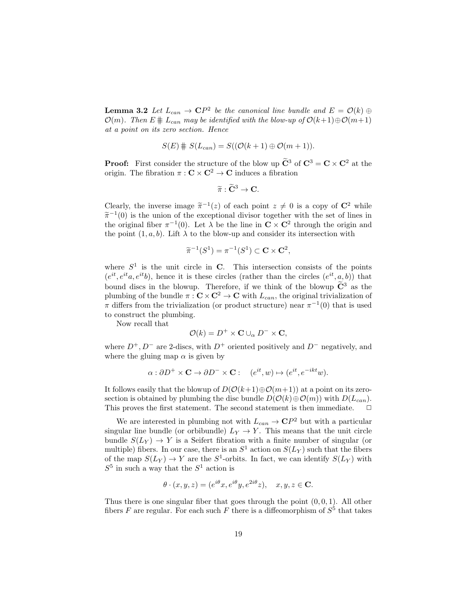**Lemma 3.2** Let  $L_{can} \to \mathbb{C}P^2$  be the canonical line bundle and  $E = \mathcal{O}(k) \oplus$  $\mathcal{O}(m)$ . Then  $E \n\equiv L_{can}$  may be identified with the blow-up of  $\mathcal{O}(k+1) \oplus \mathcal{O}(m+1)$ at a point on its zero section. Hence

$$
S(E) \nparallel S(L_{can}) = S((\mathcal{O}(k+1) \oplus \mathcal{O}(m+1)).
$$

**Proof:** First consider the structure of the blow up  $\widetilde{C}^3$  of  $C^3 = C \times C^2$  at the origin. The fibration  $\pi:\mathbf{C}\times\mathbf{C}^2\to\mathbf{C}$  induces a fibration

$$
\widetilde{\pi}: \widetilde{\mathbf{C}}^3 \to \mathbf{C}.
$$

Clearly, the inverse image  $\tilde{\pi}^{-1}(z)$  of each point  $z \neq 0$  is a copy of  $\mathbb{C}^2$  while  $\tilde{\pi}^{-1}(z)$  $\tilde{\pi}^{-1}(0)$  is the union of the exceptional divisor together with the set of lines in the principal fibre  $\pi^{-1}(0)$ . Let  $\lambda$  be the line in  $\mathbf{G} \times \mathbf{G}^2$  then we have principal fibre the original fiber  $\pi^{-1}(0)$ . Let  $\lambda$  be the line in  $\mathbb{C} \times \mathbb{C}^2$  through the origin and the point  $(1, a, b)$ . Lift  $\lambda$  to the blow-up and consider its intersection with

$$
\widetilde{\pi}^{-1}(S^1) = \pi^{-1}(S^1) \subset \mathbf{C} \times \mathbf{C}^2,
$$

where  $S^1$  is the unit circle in C. This intersection consists of the points  $(e^{it}, e^{it}a, e^{it}b)$ , hence it is these circles (rather than the circles  $(e^{it}, a, b)$ ) that bound discs in the blowup. Therefore, if we think of the blowup  $\tilde{\mathbf{C}}^3$  as the plumbing of the bundle  $\pi : \mathbf{C} \times \mathbf{C}^2 \to \mathbf{C}$  with  $L_{can}$ , the original trivialization of  $\pi$  differs from the trivialization (or product structure) near  $\pi^{-1}(0)$  that is used to construct the plumbing.

Now recall that

$$
\mathcal{O}(k) = D^+ \times \mathbf{C} \cup_{\alpha} D^- \times \mathbf{C},
$$

where  $D^+$ ,  $D^-$  are 2-discs, with  $D^+$  oriented positively and  $D^-$  negatively, and where the gluing map  $\alpha$  is given by

$$
\alpha: \partial D^+ \times \mathbf{C} \to \partial D^- \times \mathbf{C} : (e^{it}, w) \mapsto (e^{it}, e^{-ikt}w).
$$

It follows easily that the blowup of  $D(\mathcal{O}(k+1) \oplus \mathcal{O}(m+1))$  at a point on its zerosection is obtained by plumbing the disc bundle  $D(\mathcal{O}(k) \oplus \mathcal{O}(m))$  with  $D(L_{can})$ . This proves the first statement. The second statement is then immediate.  $\Box$ 

We are interested in plumbing not with  $L_{can} \to \mathbb{C}P^2$  but with a particular singular line bundle (or orbibundle)  $L_Y \rightarrow Y$ . This means that the unit circle bundle  $S(L_Y) \rightarrow Y$  is a Seifert fibration with a finite number of singular (or multiple) fibers. In our case, there is an  $S^1$  action on  $S(L_Y)$  such that the fibers of the map  $S(L_Y) \to Y$  are the  $S^1$ -orbits. In fact, we can identify  $S(L_Y)$  with  $S<sup>5</sup>$  in such a way that the  $S<sup>1</sup>$  action is

$$
\theta \cdot (x, y, z) = (e^{i\theta}x, e^{i\theta}y, e^{2i\theta}z), \quad x, y, z \in \mathbf{C}.
$$

Thus there is one singular fiber that goes through the point  $(0, 0, 1)$ . All other fibers  $F$  are regular. For each such  $F$  there is a diffeomorphism of  $S^5$  that takes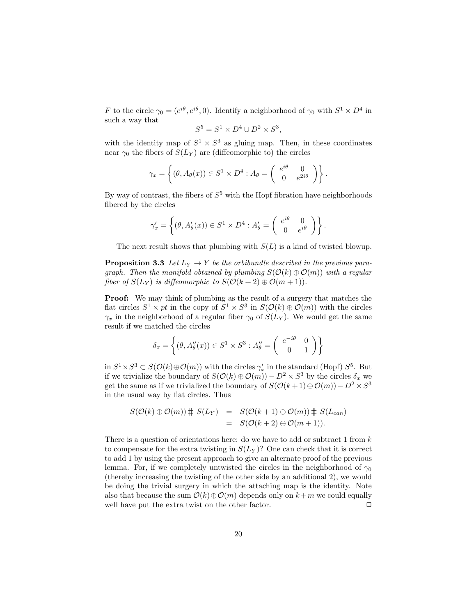<span id="page-19-0"></span>F to the circle  $\gamma_0 = (e^{i\theta}, e^{i\theta}, 0)$ . Identify a neighborhood of  $\gamma_0$  with  $S^1 \times D^4$  in such a way that

$$
S^5 = S^1 \times D^4 \cup D^2 \times S^3,
$$

with the identity map of  $S^1 \times S^3$  as gluing map. Then, in these coordinates near  $\gamma_0$  the fibers of  $S(L_Y)$  are (diffeomorphic to) the circles

$$
\gamma_x = \left\{ (\theta, A_{\theta}(x)) \in S^1 \times D^4 : A_{\theta} = \begin{pmatrix} e^{i\theta} & 0 \\ 0 & e^{2i\theta} \end{pmatrix} \right\}.
$$

By way of contrast, the fibers of  $S^5$  with the Hopf fibration have neighborhoods fibered by the circles

$$
\gamma'_x = \left\{ (\theta, A'_\theta(x)) \in S^1 \times D^4 : A'_\theta = \begin{pmatrix} e^{i\theta} & 0 \\ 0 & e^{i\theta} \end{pmatrix} \right\}.
$$

The next result shows that plumbing with  $S(L)$  is a kind of twisted blowup.

**Proposition 3.3** Let  $L_Y \rightarrow Y$  be the orbibundle described in the previous paragraph. Then the manifold obtained by plumbing  $S(\mathcal{O}(k) \oplus \mathcal{O}(m))$  with a regular fiber of  $S(L_Y)$  is diffeomorphic to  $S(\mathcal{O}(k+2) \oplus \mathcal{O}(m+1)).$ 

Proof: We may think of plumbing as the result of a surgery that matches the flat circles  $S^1 \times pt$  in the copy of  $S^1 \times S^3$  in  $S(\mathcal{O}(k) \oplus \mathcal{O}(m))$  with the circles  $\gamma_x$  in the neighborhood of a regular fiber  $\gamma_0$  of  $S(L_Y)$ . We would get the same result if we matched the circles

$$
\delta_x = \left\{ (\theta, A''_{\theta}(x)) \in S^1 \times S^3 : A''_{\theta} = \left( \begin{array}{cc} e^{-i\theta} & 0 \\ 0 & 1 \end{array} \right) \right\}
$$

in  $S^1 \times S^3 \subset S(\mathcal{O}(k) \oplus \mathcal{O}(m))$  with the circles  $\gamma'_x$  in the standard (Hopf)  $S^5$ . But if we trivialize the boundary of  $S(\mathcal{O}(k) \oplus \mathcal{O}(m)) - D^2 \times S^3$  by the circles  $\delta_x$  we get the same as if we trivialized the boundary of  $S(\mathcal{O}(k+1) \oplus \mathcal{O}(m)) - D^2 \times S^3$ in the usual way by flat circles. Thus

$$
S(\mathcal{O}(k) \oplus \mathcal{O}(m)) \nparallel S(L_Y) = S(\mathcal{O}(k+1) \oplus \mathcal{O}(m)) \nparallel S(L_{can})
$$
  
= 
$$
S(\mathcal{O}(k+2) \oplus \mathcal{O}(m+1)).
$$

There is a question of orientations here: do we have to add or subtract 1 from  $k$ to compensate for the extra twisting in  $S(L_Y)$ ? One can check that it is correct to add 1 by using the present approach to give an alternate proof of the previous lemma. For, if we completely untwisted the circles in the neighborhood of  $\gamma_0$ (thereby increasing the twisting of the other side by an additional 2), we would be doing the trivial surgery in which the attaching map is the identity. Note also that because the sum  $\mathcal{O}(k) \oplus \mathcal{O}(m)$  depends only on  $k+m$  we could equally well have put the extra twist on the other factor.  $\Box$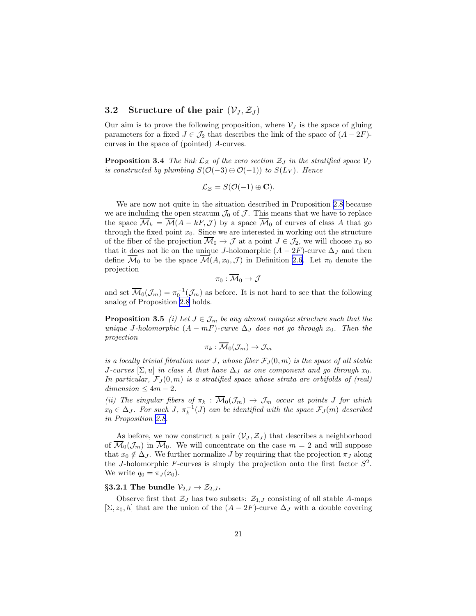# <span id="page-20-0"></span>3.2 Structure of the pair  $(\mathcal{V}_J, \mathcal{Z}_J)$

Our aim is to prove the following proposition, where  $\mathcal{V}_J$  is the space of gluing parameters for a fixed  $J \in \mathcal{J}_2$  that describes the link of the space of  $(A - 2F)$ curves in the space of (pointed) A-curves.

**Proposition 3.4** The link  $\mathcal{L}_z$  of the zero section  $\mathcal{Z}_j$  in the stratified space  $\mathcal{V}_j$ is constructed by plumbing  $S(\mathcal{O}(-3) \oplus \mathcal{O}(-1))$  to  $S(L_Y)$ . Hence

$$
\mathcal{L}_{\mathcal{Z}} = S(\mathcal{O}(-1) \oplus \mathbf{C}).
$$

We are now not quite in the situation described in Proposition [2.8](#page-12-0) because we are including the open stratum  $\mathcal{J}_0$  of  $\mathcal{J}$ . This means that we have to replace the space  $\overline{\mathcal{M}}_k = \overline{\mathcal{M}}(A - kF, \mathcal{J})$  by a space  $\overline{\mathcal{M}}_0$  of curves of class A that go through the fixed point  $x_0$ . Since we are interested in working out the structure of the fiber of the projection  $\overline{\mathcal{M}}_0 \to \mathcal{J}$  at a point  $J \in \mathcal{J}_2$ , we will choose  $x_0$  so that it does not lie on the unique J-holomorphic  $(A - 2F)$ -curve  $\Delta_J$  and then define  $\overline{\mathcal{M}}_0$  to be the space  $\overline{\mathcal{M}}(A, x_0, \mathcal{J})$  in Definition [2.6](#page-9-0). Let  $\pi_0$  denote the projection

$$
\pi_0:\overline{\mathcal{M}}_0\to\mathcal{J}
$$

and set  $\overline{\mathcal{M}}_0(\mathcal{J}_m) = \pi_0^{-1}(\mathcal{J}_m)$  as before. It is not hard to see that the following analog of Proposition [2.8](#page-12-0) holds.

**Proposition 3.5** (i) Let  $J \in \mathcal{J}_m$  be any almost complex structure such that the unique J-holomorphic  $(A - mF)$ -curve  $\Delta_J$  does not go through  $x_0$ . Then the projection

$$
\pi_k: \overline{\mathcal{M}}_0(\mathcal{J}_m) \to \mathcal{J}_m
$$

is a locally trivial fibration near J, whose fiber  $\mathcal{F}_I(0,m)$  is the space of all stable J-curves  $[\Sigma, u]$  in class A that have  $\Delta_J$  as one component and go through  $x_0$ . In particular,  $F_J(0,m)$  is a stratified space whose strata are orbifolds of (real)  $dimension < 4m-2$ .

(ii) The singular fibers of  $\pi_k : \overline{M}_0(\mathcal{J}_m) \to \mathcal{J}_m$  occur at points J for which  $x_0 \in \Delta_J$ . For such J,  $\pi_k^{-1}(J)$  can be identified with the space  $\mathcal{F}_J(m)$  described in Proposition [2.8](#page-12-0).

As before, we now construct a pair  $(\mathcal{V}_J, \mathcal{Z}_J)$  that describes a neighborhood of  $\overline{\mathcal{M}}_0(\mathcal{J}_m)$  in  $\overline{\mathcal{M}}_0$ . We will concentrate on the case  $m = 2$  and will suppose that  $x_0 \notin \Delta_J$ . We further normalize J by requiring that the projection  $\pi_J$  along the J-holomorphic F-curves is simply the projection onto the first factor  $S^2$ . We write  $q_0 = \pi_J(x_0)$ .

# §3.2.1 The bundle  $\mathcal{V}_{2,J} \to \mathcal{Z}_{2,J}$ .

Observe first that  $\mathcal{Z}_J$  has two subsets:  $\mathcal{Z}_{1,J}$  consisting of all stable A-maps [ $\Sigma, z_0, h$ ] that are the union of the  $(A - 2F)$ -curve  $\Delta_J$  with a double covering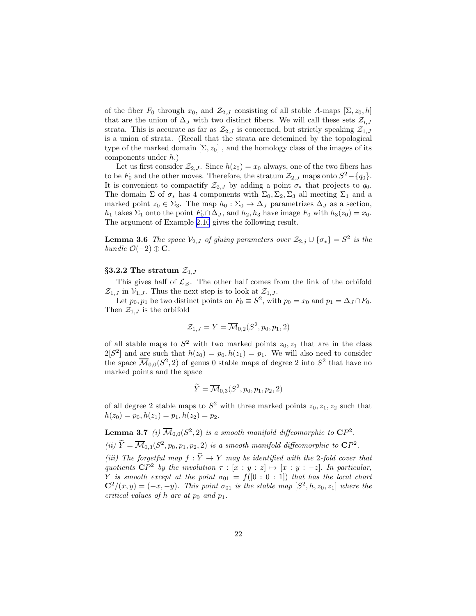<span id="page-21-0"></span>of the fiber  $F_0$  through  $x_0$ , and  $\mathcal{Z}_{2,J}$  consisting of all stable A-maps  $[\Sigma, z_0, h]$ that are the union of  $\Delta_J$  with two distinct fibers. We will call these sets  $\mathcal{Z}_{i,J}$ strata. This is accurate as far as  $\mathcal{Z}_{2,J}$  is concerned, but strictly speaking  $\mathcal{Z}_{1,J}$ is a union of strata. (Recall that the strata are detemined by the topological type of the marked domain  $[\Sigma, z_0]$ , and the homology class of the images of its components under h.)

Let us first consider  $\mathcal{Z}_{2,J}$ . Since  $h(z_0) = x_0$  always, one of the two fibers has to be  $F_0$  and the other moves. Therefore, the stratum  $\mathcal{Z}_{2,J}$  maps onto  $S^2 - \{q_0\}$ . It is convenient to compactify  $\mathcal{Z}_{2,J}$  by adding a point  $\sigma_*$  that projects to  $q_0$ . The domain  $\Sigma$  of  $\sigma_*$  has 4 components with  $\Sigma_0$ ,  $\Sigma_2$ ,  $\Sigma_3$  all meeting  $\Sigma_1$  and a marked point  $z_0 \in \Sigma_3$ . The map  $h_0 : \Sigma_0 \to \Delta_J$  parametrizes  $\Delta_J$  as a section,  $h_1$  takes  $\Sigma_1$  onto the point  $F_0 \cap \Delta_J$ , and  $h_2, h_3$  have image  $F_0$  with  $h_3(z_0) = x_0$ . The argument of Example [2.10](#page-15-0) gives the following result.

**Lemma 3.6** The space  $\mathcal{V}_{2,J}$  of gluing parameters over  $\mathcal{Z}_{2,j} \cup {\sigma_*} = S^2$  is the bundle  $\mathcal{O}(-2) \oplus \mathbf{C}$ .

#### §3.2.2 The stratum  $\mathcal{Z}_{1,J}$

This gives half of  $\mathcal{L}_{\mathcal{Z}}$ . The other half comes from the link of the orbifold  $\mathcal{Z}_{1,J}$  in  $\mathcal{V}_{1,J}$ . Thus the next step is to look at  $\mathcal{Z}_{1,J}$ .

Let  $p_0, p_1$  be two distinct points on  $F_0 \equiv S^2$ , with  $p_0 = x_0$  and  $p_1 = \Delta_J \cap F_0$ . Then  $\mathcal{Z}_{1,J}$  is the orbifold

$$
\mathcal{Z}_{1,J} = Y = \overline{\mathcal{M}}_{0,2}(S^2, p_0, p_1, 2)
$$

of all stable maps to  $S^2$  with two marked points  $z_0, z_1$  that are in the class  $2[S^2]$  and are such that  $h(z_0) = p_0, h(z_1) = p_1$ . We will also need to consider the space  $\overline{\mathcal{M}}_{0,0}(S^2,2)$  of genus 0 stable maps of degree 2 into  $S^2$  that have no marked points and the space

$$
\widetilde{Y} = \overline{\mathcal{M}}_{0,3}(S^2, p_0, p_1, p_2, 2)
$$

of all degree 2 stable maps to  $S^2$  with three marked points  $z_0, z_1, z_2$  such that  $h(z_0) = p_0, h(z_1) = p_1, h(z_2) = p_2.$ 

**Lemma 3.7** (i)  $\overline{M}_{0,0}(S^2, 2)$  is a smooth manifold diffeomorphic to  $\mathbb{C}P^2$ . (ii)  $\widetilde{Y} = \overline{\mathcal{M}}_{0,3}(S^2, p_0, p_1, p_2, 2)$  is a smooth manifold diffeomorphic to  $\mathbb{C}P^2$ . (iii) The forgetful map  $f : \widetilde{Y} \to Y$  may be identified with the 2-fold cover that quotients  $\mathbb{C}P^2$  by the involution  $\tau : [x : y : z] \mapsto [x : y : -z]$ . In particular, Y is smooth except at the point  $\sigma_{01} = f([0:0:1])$  that has the local chart  $\mathbf{C}^2/(x,y) = (-x,-y)$ . This point  $\sigma_{01}$  is the stable map  $[S^2,h,z_0,z_1]$  where the critical values of h are at  $p_0$  and  $p_1$ .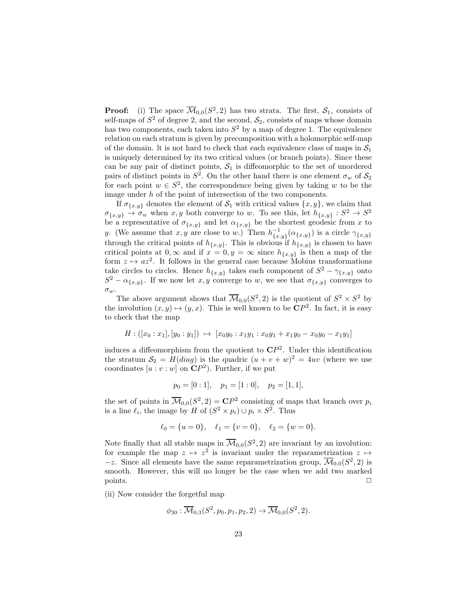**Proof:** (i) The space  $\overline{\mathcal{M}}_{0,0}(S^2,2)$  has two strata. The first,  $\mathcal{S}_1$ , consists of self-maps of  $S^2$  of degree 2, and the second,  $S_2$ , consists of maps whose domain has two components, each taken into  $S^2$  by a map of degree 1. The equivalence relation on each stratum is given by precomposition with a holomorphic self-map of the domain. It is not hard to check that each equivalence class of maps in  $S_1$ is uniquely determined by its two critical values (or branch points). Since these can be any pair of distinct points,  $S_1$  is diffeomorphic to the set of unordered pairs of distinct points in  $S^2$ . On the other hand there is one element  $\sigma_w$  of  $S_2$ for each point  $w \in S^2$ , the correspondence being given by taking w to be the image under h of the point of intersection of the two components.

If  $\sigma_{\{x,y\}}$  denotes the element of  $S_1$  with critical values  $\{x,y\}$ , we claim that  $\sigma_{\{x,y\}} \to \sigma_w$  when  $x, y$  both converge to w. To see this, let  $h_{\{x,y\}} : S^2 \to S^2$ be a representative of  $\sigma_{\{x,y\}}$  and let  $\alpha_{\{x,y\}}$  be the shortest geodesic from x to y. (We assume that x, y are close to w.) Then  $h_{\{x,y\}}^{-1}(\alpha_{\{x,y\}})$  is a circle  $\gamma_{\{x,y\}}$ through the critical points of  $h_{\{x,y\}}$ . This is obvious if  $h_{\{x,y\}}$  is chosen to have critical points at  $0, \infty$  and if  $x = 0, y = \infty$  since  $h_{\{x,y\}}$  is then a map of the form  $z \mapsto a z^2$ . It follows in the general case because Mobius transformations take circles to circles. Hence  $h_{\{x,y\}}$  takes each component of  $S^2 - \gamma_{\{x,y\}}$  onto  $S^2 - \alpha_{\{x,y\}}$ . If we now let x, y converge to w, we see that  $\sigma_{\{x,y\}}$  converges to  $\sigma_w$ .

The above argument shows that  $\overline{\mathcal{M}}_{0,0}(S^2, 2)$  is the quotient of  $S^2 \times S^2$  by the involution  $(x, y) \mapsto (y, x)$ . This is well known to be  $\mathbb{C}P^2$ . In fact, it is easy to check that the map

$$
H: ([x_0:x_1],[y_0:y_1]) \mapsto [x_0y_0:x_1y_1:x_0y_1+x_1y_0-x_0y_0-x_1y_1]
$$

induces a diffeomorphism from the quotient to  $\mathbb{C}P^2$ . Under this identification the stratum  $S_2 = H(diag)$  is the quadric  $(u + v + w)^2 = 4uv$  (where we use coordinates  $[u : v : w]$  on  $\mathbb{C}P^2$ ). Further, if we put

$$
p_0 = [0:1], \quad p_1 = [1:0], \quad p_2 = [1,1],
$$

the set of points in  $\overline{\mathcal{M}}_{0,0}(S^2, 2) = \mathbb{C}P^2$  consisting of maps that branch over  $p_i$ is a line  $\ell_i$ , the image by H of  $(S^2 \times p_i) \cup p_i \times S^2$ . Thus

$$
\ell_0 = \{u = 0\}, \quad \ell_1 = \{v = 0\}, \quad \ell_2 = \{w = 0\}.
$$

Note finally that all stable maps in  $\overline{\mathcal{M}}_{0,0}(S^2, 2)$  are invariant by an involution: for example the map  $z \mapsto z^2$  is invariant under the reparametrization  $z \mapsto z^2$  $-z$ . Since all elements have the same reparametrization group,  $\overline{\mathcal{M}}_{0,0}(S^2, 2)$  is smooth. However, this will no longer be the case when we add two marked  $\Box$  points.  $\Box$ 

(ii) Now consider the forgetful map

$$
\phi_{30} : \overline{\mathcal{M}}_{0,3}(S^2, p_0, p_1, p_2, 2) \to \overline{\mathcal{M}}_{0,0}(S^2, 2).
$$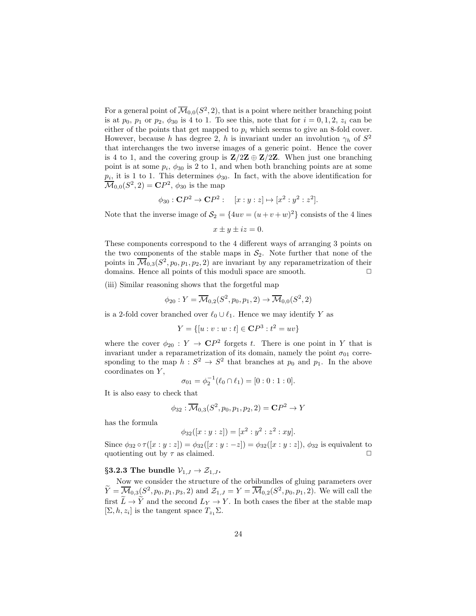For a general point of  $\overline{\mathcal{M}}_{0,0}(S^2, 2)$ , that is a point where neither branching point is at  $p_0$ ,  $p_1$  or  $p_2$ ,  $\phi_{30}$  is 4 to 1. To see this, note that for  $i = 0, 1, 2, z_i$  can be either of the points that get mapped to  $p_i$  which seems to give an 8-fold cover. However, because h has degree 2, h is invariant under an involution  $\gamma_h$  of  $S^2$ that interchanges the two inverse images of a generic point. Hence the cover is 4 to 1, and the covering group is  $\mathbb{Z}/2\mathbb{Z} \oplus \mathbb{Z}/2\mathbb{Z}$ . When just one branching point is at some  $p_i$ ,  $\phi_{30}$  is 2 to 1, and when both branching points are at some  $p_i$ , it is 1 to 1. This determines  $\phi_{30}$ . In fact, with the above identification for  $\overline{\mathcal{M}}_{0,0}(S^2, 2) = \mathbb{C}P^2$ ,  $\phi_{30}$  is the map

$$
\phi_{30} : \mathbf{C}P^2 \to \mathbf{C}P^2 : [x:y:z] \mapsto [x^2:y^2:z^2].
$$

Note that the inverse image of  $S_2 = \{4uv = (u+v+w)^2\}$  consists of the 4 lines

$$
x \pm y \pm iz = 0.
$$

These components correspond to the 4 different ways of arranging 3 points on the two components of the stable maps in  $S_2$ . Note further that none of the points in  $\overline{\mathcal{M}}_{0,3}(S^2, p_0, p_1, p_2, 2)$  are invariant by any reparametrization of their domains. Hence all points of this moduli space are smooth.  $\hfill \Box$ 

(iii) Similar reasoning shows that the forgetful map

$$
\phi_{20}: Y = \overline{\mathcal{M}}_{0,2}(S^2, p_0, p_1, 2) \to \overline{\mathcal{M}}_{0,0}(S^2, 2)
$$

is a 2-fold cover branched over  $\ell_0 \cup \ell_1$ . Hence we may identify Y as

$$
Y = \{ [u : v : w : t] \in \mathbf{C}P^3 : t^2 = uv \}
$$

where the cover  $\phi_{20}: Y \to \mathbb{C}P^2$  forgets t. There is one point in Y that is invariant under a reparametrization of its domain, namely the point  $\sigma_{01}$  corresponding to the map  $h: S^2 \to S^2$  that branches at  $p_0$  and  $p_1$ . In the above coordinates on Y,

$$
\sigma_{01} = \phi_2^{-1}(\ell_0 \cap \ell_1) = [0:0:1:0].
$$

It is also easy to check that

$$
\phi_{32} : \overline{\mathcal{M}}_{0,3}(S^2, p_0, p_1, p_2, 2) = \mathbb{C}P^2 \to Y
$$

has the formula

$$
\phi_{32}([x:y:z]) = [x^2:y^2:z^2:xy].
$$

Since  $\phi_{32} \circ \tau([x:y:z]) = \phi_{32}([x:y:-z]) = \phi_{32}([x:y:z])$ ,  $\phi_{32}$  is equivalent to quotienting out by  $\tau$  as claimed.  $\Box$ 

# §3.2.3 The bundle  $\mathcal{V}_{1,J} \rightarrow \mathcal{Z}_{1,J}$ .

Now we consider the structure of the orbibundles of gluing parameters over  $\widetilde{Y} = \overline{\mathcal{M}}_{0,3}(S^2, p_0, p_1, p_3, 2)$  and  $\mathcal{Z}_{1,J} = Y = \overline{\mathcal{M}}_{0,2}(S^2, p_0, p_1, 2)$ . We will call the first  $\widetilde{L} \to \widetilde{Y}$  and the second  $L_Y \to Y$ . In both cases the fiber at the stable map  $[\Sigma, h, z_i]$  is the tangent space  $T_{z_1} \Sigma$ .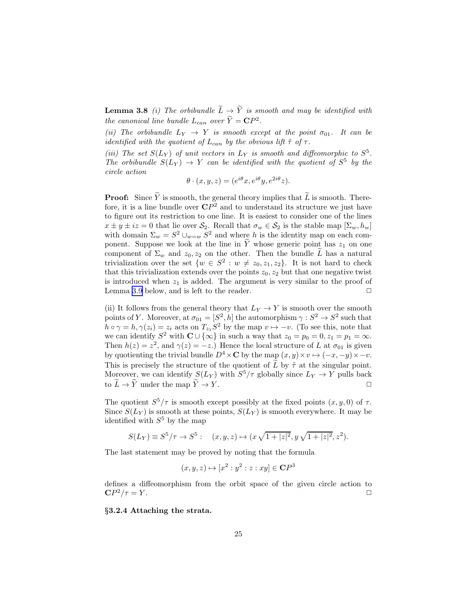**Lemma 3.8** (i) The orbibundle  $\widetilde{L} \rightarrow \widetilde{Y}$  is smooth and may be identified with the canonical line bundle  $L_{can}$  over  $\tilde{Y} = \mathbb{C}P^2$ .

(ii) The orbibundle  $L_Y \rightarrow Y$  is smooth except at the point  $\sigma_{01}$ . It can be identified with the quotient of  $L_{can}$  by the obvious lift  $\tilde{\tau}$  of  $\tau$ .

(iii) The set  $S(L_Y)$  of unit vectors in  $L_Y$  is smooth and diffeomorphic to  $S^5$ . The orbibundle  $S(L_Y) \rightarrow Y$  can be identified with the quotient of  $S^5$  by the circle action

$$
\theta \cdot (x, y, z) = (e^{i\theta}x, e^{i\theta}y, e^{2i\theta}z).
$$

**Proof:** Since  $\widetilde{Y}$  is smooth, the general theory implies that  $\widetilde{L}$  is smooth. Therefore, it is a line bundle over  $\mathbb{C}P^2$  and to understand its structure we just have to figure out its restriction to one line. It is easiest to consider one of the lines  $x \pm y \pm iz = 0$  that lie over  $\mathcal{S}_2$ . Recall that  $\sigma_w \in \mathcal{S}_2$  is the stable map  $[\Sigma_w, h_w]$ with domain  $\Sigma_w = S^2 \cup_{w=w} S^2$  and where h is the identity map on each component. Suppose we look at the line in Y whose generic point has  $z_1$  on one component of  $\Sigma_w$  and  $z_0, z_2$  on the other. Then the bundle L has a natural trivialization over the set  $\{w \in S^2 : w \neq z_0, z_1, z_2\}$ . It is not hard to check that this trivialization extends over the points  $z_0, z_2$  but that one negative twist is introduced when  $z_1$  is added. The argument is very similar to the proof of Lemma [3.9](#page-25-0) below, and is left to the reader.  $\Box$ 

(ii) It follows from the general theory that  $L_Y \to Y$  is smooth over the smooth points of Y. Moreover, at  $\sigma_{01} = [S^2, h]$  the automorphism  $\gamma : S^2 \to S^2$  such that  $h \circ \gamma = h, \gamma(z_i) = z_i$  acts on  $T_{z_1} S^2$  by the map  $v \mapsto -v$ . (To see this, note that we can identify  $S^2$  with  $\mathbb{C} \cup \{\infty\}$  in such a way that  $z_0 = p_0 = 0, z_1 = p_1 = \infty$ . Then  $h(z) = z^2$ , and  $\gamma(z) = -z$ .) Hence the local structure of L at  $\sigma_{01}$  is given by quotienting the trivial bundle  $D^4 \times \mathbf{C}$  by the map  $(x, y) \times v \mapsto (-x, -y) \times -v$ . This is precisely the structure of the quotient of  $\tilde{L}$  by  $\tilde{\tau}$  at the singular point. Moreover, we can identify  $S(L_Y)$  with  $S^5/\tau$  globally since  $L_Y \to Y$  pulls back to  $\widetilde{L} \to \widetilde{Y}$  under the map  $\widetilde{Y} \to Y$ .

The quotient  $S^5/\tau$  is smooth except possibly at the fixed points  $(x, y, 0)$  of  $\tau$ . Since  $S(L_Y)$  is smooth at these points,  $S(L_Y)$  is smooth everywhere. It may be identified with  $S^5$  by the map

$$
S(L_Y) \equiv S^5/\tau \to S^5: \quad (x, y, z) \mapsto (x\sqrt{1+|z|^2}, y\sqrt{1+|z|^2}, z^2).
$$

The last statement may be proved by noting that the formula

$$
(x, y, z) \mapsto [x^2 : y^2 : z : xy] \in \mathbb{C}P^3
$$

defines a diffeomorphism from the orbit space of the given circle action to  $\mathbf{C}P^2/\tau = Y.$ 

§3.2.4 Attaching the strata.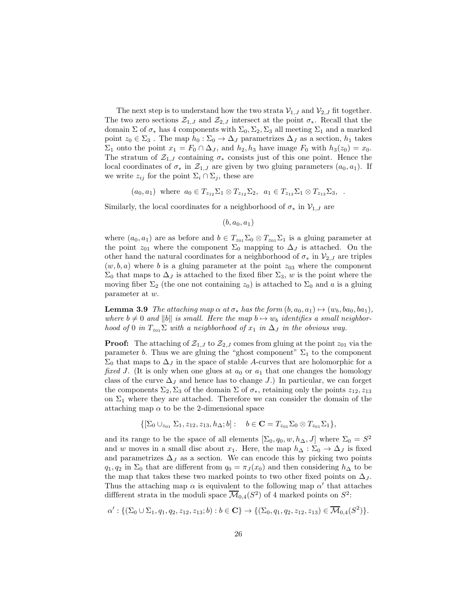<span id="page-25-0"></span>The next step is to understand how the two strata  $\mathcal{V}_{1,J}$  and  $\mathcal{V}_{2,J}$  fit together. The two zero sections  $\mathcal{Z}_{1,J}$  and  $\mathcal{Z}_{2,J}$  intersect at the point  $\sigma_*$ . Recall that the domain  $\Sigma$  of  $\sigma_*$  has 4 components with  $\Sigma_0$ ,  $\Sigma_2$ ,  $\Sigma_3$  all meeting  $\Sigma_1$  and a marked point  $z_0 \in \Sigma_3$ . The map  $h_0 : \Sigma_0 \to \Delta_J$  parametrizes  $\Delta_J$  as a section,  $h_1$  takes  $\Sigma_1$  onto the point  $x_1 = F_0 \cap \Delta_J$ , and  $h_2, h_3$  have image  $F_0$  with  $h_3(z_0) = x_0$ . The stratum of  $\mathcal{Z}_{1,J}$  containing  $\sigma_*$  consists just of this one point. Hence the local coordinates of  $\sigma_*$  in  $\mathcal{Z}_{1,J}$  are given by two gluing parameters  $(a_0, a_1)$ . If we write  $z_{ij}$  for the point  $\Sigma_i \cap \Sigma_j$ , these are

 $(a_0, a_1)$  where  $a_0 \in T_{z_{12}} \Sigma_1 \otimes T_{z_{12}} \Sigma_2$ ,  $a_1 \in T_{z_{13}} \Sigma_1 \otimes T_{z_{13}} \Sigma_3$ , .

Similarly, the local coordinates for a neighborhood of  $\sigma_*$  in  $\mathcal{V}_{1,J}$  are

 $(b, a_0, a_1)$ 

where  $(a_0, a_1)$  are as before and  $b \in T_{z_{01}}\Sigma_0 \otimes T_{z_{01}}\Sigma_1$  is a gluing parameter at the point  $z_{01}$  where the component  $\Sigma_0$  mapping to  $\Delta_J$  is attached. On the other hand the natural coordinates for a neighborhood of  $\sigma_*$  in  $\mathcal{V}_{2,J}$  are triples  $(w, b, a)$  where b is a gluing parameter at the point  $z_{03}$  where the component  $\Sigma_0$  that maps to  $\Delta_J$  is attached to the fixed fiber  $\Sigma_3$ , w is the point where the moving fiber  $\Sigma_2$  (the one not containing  $z_0$ ) is attached to  $\Sigma_0$  and a is a gluing parameter at w.

**Lemma 3.9** The attaching map  $\alpha$  at  $\sigma_*$  has the form  $(b, a_0, a_1) \mapsto (w_b, ba_0, ba_1)$ , where  $b \neq 0$  and  $||b||$  is small. Here the map  $b \mapsto w_b$  identifies a small neighborhood of 0 in  $T_{z_{01}}\Sigma$  with a neighborhood of  $x_1$  in  $\Delta_J$  in the obvious way.

**Proof:** The attaching of  $\mathcal{Z}_{1,J}$  to  $\mathcal{Z}_{2,J}$  comes from gluing at the point  $z_{01}$  via the parameter b. Thus we are gluing the "ghost component"  $\Sigma_1$  to the component  $\Sigma_0$  that maps to  $\Delta_J$  in the space of stable A-curves that are holomorphic for a fixed J. (It is only when one glues at  $a_0$  or  $a_1$  that one changes the homology class of the curve  $\Delta_J$  and hence has to change J.) In particular, we can forget the components  $\Sigma_2$ ,  $\Sigma_3$  of the domain  $\Sigma$  of  $\sigma_*$ , retaining only the points  $z_{12}$ ,  $z_{13}$ on  $\Sigma_1$  where they are attached. Therefore we can consider the domain of the attaching map  $\alpha$  to be the 2-dimensional space

$$
\{[\Sigma_0 \cup_{z_{01}} \Sigma_1, z_{12}, z_{13}, h_\Delta; b]: \quad b \in \mathbf{C} = T_{z_{01}} \Sigma_0 \otimes T_{z_{01}} \Sigma_1\},\
$$

and its range to be the space of all elements  $[\Sigma_0, q_0, w, h_\Delta, J]$  where  $\Sigma_0 = S^2$ and w moves in a small disc about  $x_1$ . Here, the map  $h_{\Delta} : \Sigma_0 \to \Delta_J$  is fixed and parametrizes  $\Delta_J$  as a section. We can encode this by picking two points  $q_1, q_2$  in  $\Sigma_0$  that are different from  $q_0 = \pi_J(x_0)$  and then considering  $h_{\Delta}$  to be the map that takes these two marked points to two other fixed points on  $\Delta_J$ . Thus the attaching map  $\alpha$  is equivalent to the following map  $\alpha'$  that attaches different strata in the moduli space  $\overline{\mathcal{M}}_{0,4}(S^2)$  of 4 marked points on  $S^2$ :

$$
\alpha': \{(\Sigma_0 \cup \Sigma_1, q_1, q_2, z_{12}, z_{13}; b) : b \in \mathbf{C}\} \to \{(\Sigma_0, q_1, q_2, z_{12}, z_{13}) \in \overline{\mathcal{M}}_{0,4}(S^2)\}.
$$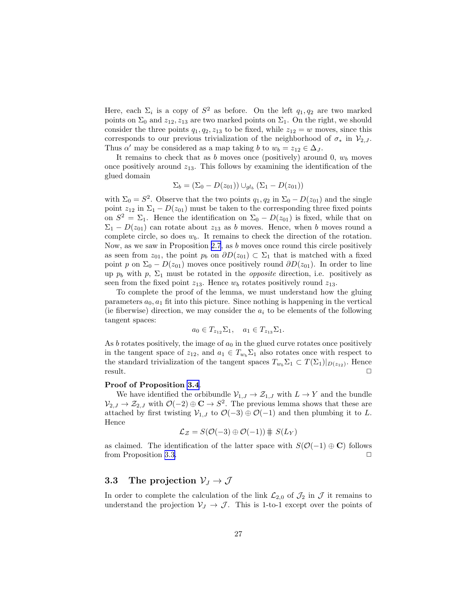Here, each  $\Sigma_i$  is a copy of  $S^2$  as before. On the left  $q_1, q_2$  are two marked points on  $\Sigma_0$  and  $z_{12}, z_{13}$  are two marked points on  $\Sigma_1$ . On the right, we should consider the three points  $q_1, q_2, z_{13}$  to be fixed, while  $z_{12} = w$  moves, since this corresponds to our previous trivialization of the neighborhood of  $\sigma_*$  in  $\mathcal{V}_{2,J}$ . Thus  $\alpha'$  may be considered as a map taking b to  $w_b = z_{12} \in \Delta_J$ .

It remains to check that as  $b$  moves once (positively) around 0,  $w_b$  moves once positively around  $z_{13}$ . This follows by examining the identification of the glued domain

$$
\Sigma_b = (\Sigma_0 - D(z_{01})) \cup_{gl_b} (\Sigma_1 - D(z_{01}))
$$

with  $\Sigma_0 = S^2$ . Observe that the two points  $q_1, q_2$  in  $\Sigma_0 - D(z_{01})$  and the single point  $z_{12}$  in  $\Sigma_1 - D(z_{01})$  must be taken to the corresponding three fixed points on  $S^2 = \Sigma_1$ . Hence the identification on  $\Sigma_0 - D(z_{01})$  is fixed, while that on  $\Sigma_1 - D(z_{01})$  can rotate about  $z_{13}$  as b moves. Hence, when b moves round a complete circle, so does  $w_b$ . It remains to check the direction of the rotation. Now, as we saw in Proposition [2.7](#page-10-0), as b moves once round this circle positively as seen from  $z_{01}$ , the point  $p_b$  on  $\partial D(z_{01}) \subset \Sigma_1$  that is matched with a fixed point p on  $\Sigma_0 - D(z_{01})$  moves once positively round  $\partial D(z_{01})$ . In order to line up  $p_b$  with  $p$ ,  $\Sigma_1$  must be rotated in the *opposite* direction, i.e. positively as seen from the fixed point  $z_{13}$ . Hence  $w_b$  rotates positively round  $z_{13}$ .

To complete the proof of the lemma, we must understand how the gluing parameters  $a_0, a_1$  fit into this picture. Since nothing is happening in the vertical (ie fiberwise) direction, we may consider the  $a_i$  to be elements of the following tangent spaces:

$$
a_0 \in T_{z_{12}}\Sigma_1, \quad a_1 \in T_{z_{13}}\Sigma_1.
$$

As  $b$  rotates positively, the image of  $a_0$  in the glued curve rotates once positively in the tangent space of  $z_{12}$ , and  $a_1 \in T_{w_b} \Sigma_1$  also rotates once with respect to the standard trivialization of the tangent spaces  $T_{w_b}\Sigma_1 \subset T(\Sigma_1)|_{D(z_{12})}$ . Hence result.  $\square$ 

#### Proof of Proposition [3.4](#page-20-0).

We have identified the orbibundle  $\mathcal{V}_{1,J} \to \mathcal{Z}_{1,J}$  with  $L \to Y$  and the bundle  $\mathcal{V}_{2,J} \to \mathcal{Z}_{2,J}$  with  $\mathcal{O}(-2) \oplus \mathbf{C} \to S^2$ . The previous lemma shows that these are attached by first twisting  $V_{1,J}$  to  $\mathcal{O}(-3) \oplus \mathcal{O}(-1)$  and then plumbing it to L. Hence

$$
\mathcal{L}_{\mathcal{Z}} = S(\mathcal{O}(-3) \oplus \mathcal{O}(-1)) \n\equiv S(L_Y)
$$

as claimed. The identification of the latter space with  $S(\mathcal{O}(-1) \oplus \mathbf{C})$  follows from Proposition [3.3.](#page-19-0)

# 3.3 The projection  $V_J \rightarrow \mathcal{J}$

In order to complete the calculation of the link  $\mathcal{L}_{2,0}$  of  $\mathcal{J}_2$  in  $\mathcal{J}$  it remains to understand the projection  $V_J \rightarrow \mathcal{J}$ . This is 1-to-1 except over the points of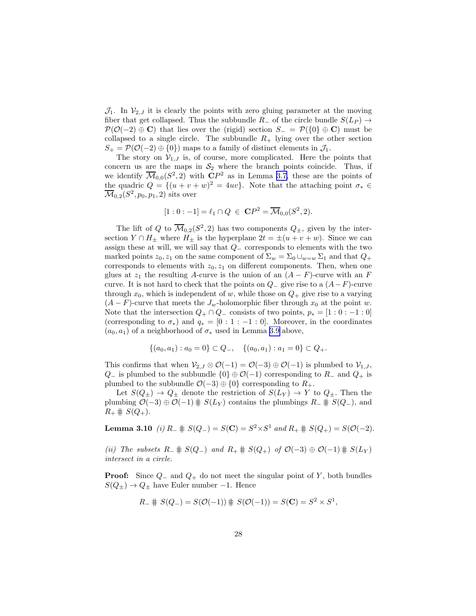$\mathcal{J}_1$ . In  $\mathcal{V}_{2,J}$  it is clearly the points with zero gluing parameter at the moving fiber that get collapsed. Thus the subbundle  $R_-\,$  of the circle bundle  $S(L_P) \rightarrow$  $\mathcal{P}(\mathcal{O}(-2) \oplus \mathbf{C})$  that lies over the (rigid) section  $S_-=\mathcal{P}(\{0\} \oplus \mathbf{C})$  must be collapsed to a single circle. The subbundle  $R_+$  lying over the other section  $S_+ = \mathcal{P}(\mathcal{O}(-2) \oplus \{0\})$  maps to a family of distinct elements in  $\mathcal{J}_1$ .

The story on  $V_{1,J}$  is, of course, more complicated. Here the points that concern us are the maps in  $S_2$  where the branch points coincide. Thus, if we identify  $\overline{\mathcal{M}}_{0,0}(S^2, 2)$  with  $\mathbb{C}P^2$  as in Lemma [3.7,](#page-21-0) these are the points of the quadric  $Q = \{(u + v + w)^2 = 4uv\}$ . Note that the attaching point  $\sigma_* \in$  $\overline{\mathcal M}_{0,2}(S^2,p_0,p_1,2)$  sits over

$$
[1:0:-1] = \ell_1 \cap Q \in \mathbf{C}P^2 = \overline{\mathcal{M}}_{0,0}(S^2, 2).
$$

The lift of Q to  $\overline{\mathcal{M}}_{0,2}(S^2, 2)$  has two components  $Q_{\pm}$ , given by the intersection  $Y \cap H_{\pm}$  where  $H_{\pm}$  is the hyperplane  $2t = \pm (u + v + w)$ . Since we can assign these at will, we will say that  $Q_-\$  corresponds to elements with the two marked points  $z_0, z_1$  on the same component of  $\Sigma_w = \Sigma_0 \cup_{w=w} \Sigma_1$  and that  $Q_+$ corresponds to elements with  $z_0, z_1$  on different components. Then, when one glues at  $z_1$  the resulting A-curve is the union of an  $(A - F)$ -curve with an F curve. It is not hard to check that the points on  $Q_-\,$  give rise to a  $(A-F)$ -curve through  $x_0$ , which is independent of w, while those on  $Q_+$  give rise to a varying  $(A - F)$ -curve that meets the  $J_w$ -holomorphic fiber through  $x_0$  at the point w. Note that the intersection  $Q_+ \cap Q_-$  consists of two points,  $p_* = [1 : 0 : -1 : 0]$ (corresponding to  $\sigma_*$ ) and  $q_* = [0:1:-1:0]$ . Moreover, in the coordinates  $(a_0, a_1)$  of a neighborhood of  $\sigma_*$  used in Lemma [3.9](#page-25-0) above,

$$
\{(a_0, a_1) : a_0 = 0\} \subset Q_-, \quad \{(a_0, a_1) : a_1 = 0\} \subset Q_+.
$$

This confirms that when  $\mathcal{V}_{2,J} \otimes \mathcal{O}(-1) = \mathcal{O}(-3) \oplus \mathcal{O}(-1)$  is plumbed to  $\mathcal{V}_{1,J}$ ,  $Q_-\$  is plumbed to the subbundle  $\{0\} \oplus \mathcal{O}(-1)$  corresponding to  $R_-\$  and  $Q_+\$  is plumbed to the subbundle  $\mathcal{O}(-3) \oplus \{0\}$  corresponding to  $R_+$ .

Let  $S(Q_{\pm}) \to Q_{\pm}$  denote the restriction of  $S(L_Y) \to Y$  to  $Q_{\pm}$ . Then the plumbing  $\mathcal{O}(-3) \oplus \mathcal{O}(-1) \not\equiv S(L_Y)$  contains the plumbings  $R_-\not\equiv S(Q_-)$ , and  $R_+ \ddagger S(Q_+).$ 

Lemma 3.10 (i)  $R_-\,\sharp\, S(Q_-) = S(\mathbf{C}) = S^2 \times S^1$  and  $R_+\,\sharp\, S(Q_+) = S(\mathcal{O}(-2)$ .

(ii) The subsets  $R_-\ \frac{m}{\pi} S(Q_+)$  and  $R_+\ \frac{m}{\pi} S(Q_+)$  of  $\mathcal{O}(-3) \oplus \mathcal{O}(-1) \frac{m}{\pi} S(L_Y)$ intersect in a circle.

**Proof:** Since  $Q_-\$  and  $Q_+\$  do not meet the singular point of Y, both bundles  $S(Q_{\pm}) \rightarrow Q_{\pm}$  have Euler number -1. Hence

$$
R_{-} \nparallel S(Q_{-}) = S(\mathcal{O}(-1)) \nparallel S(\mathcal{O}(-1)) = S(\mathbf{C}) = S^{2} \times S^{1},
$$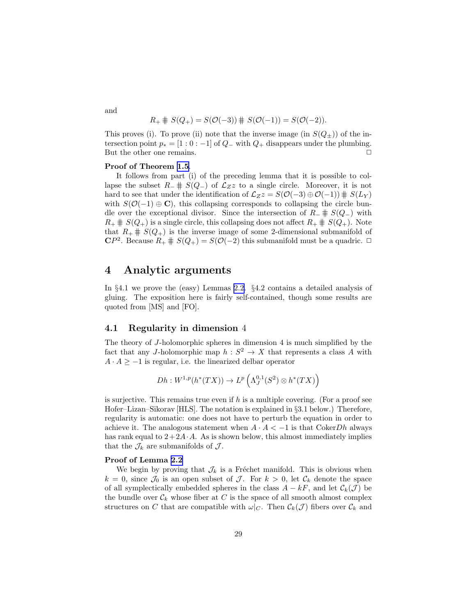$$
R_{+} \n\# S(Q_{+}) = S(\mathcal{O}(-3)) \n\# S(\mathcal{O}(-1)) = S(\mathcal{O}(-2)).
$$

This proves (i). To prove (ii) note that the inverse image (in  $S(Q_{\pm})$ ) of the intersection point  $p_* = [1:0:-1]$  of  $Q_-\$  with  $Q_+$  disappears under the plumbing. But the other one remains.

#### Proof of Theorem [1.5](#page-3-0).

It follows from part (i) of the preceding lemma that it is possible to collapse the subset  $R_-\ddot{=}S(Q_+)$  of  $\mathcal{L}_Zz$  to a single circle. Moreover, it is not hard to see that under the identification of  $\mathcal{L}_{Z}z = S(\mathcal{O}(-3) \oplus \mathcal{O}(-1)) \not\equiv S(L_Y)$ with  $S(\mathcal{O}(-1) \oplus \mathbf{C})$ , this collapsing corresponds to collapsing the circle bundle over the exceptional divisor. Since the intersection of  $R_-\nparallel S(Q_+)$  with  $R_+ \nightharpoonup S(Q_+)$  is a single circle, this collapsing does not affect  $R_+ \nightharpoonup S(Q_+)$ . Note that  $R_+ \nightharpoonup R \left( \mathcal{Q}_+ \right)$  is the inverse image of some 2-dimensional submanifold of  $\mathbb{C}P^2$ . Because  $R_+ \nvert\equiv S(\mathcal{O}(-2))$  this submanifold must be a quadric.  $\Box$ 

# 4 Analytic arguments

In §4.1 we prove the (easy) Lemmas [2.2](#page-7-0). §4.2 contains a detailed analysis of gluing. The exposition here is fairly self-contained, though some results are quoted from [MS] and [FO].

### 4.1 Regularity in dimension 4

The theory of J-holomorphic spheres in dimension 4 is much simplified by the fact that any J-holomorphic map  $h: S^2 \to X$  that represents a class A with  $A \cdot A \ge -1$  is regular, i.e. the linearized delbar operator

$$
Dh:W^{1,p}(h^*(TX))\to L^p\left(\Lambda^{0,1}_J(S^2)\otimes h^*(TX)\right)
$$

is surjective. This remains true even if  $h$  is a multiple covering. (For a proof see Hofer–Lizan–Sikorav [HLS]. The notation is explained in §3.1 below.) Therefore, regularity is automatic: one does not have to perturb the equation in order to achieve it. The analogous statement when  $A \cdot A < -1$  is that CokerDh always has rank equal to  $2+2A\cdot A$ . As is shown below, this almost immediately implies that the  $\mathcal{J}_k$  are submanifolds of  $\mathcal{J}$ .

#### Proof of Lemma [2.2](#page-7-0)

We begin by proving that  $\mathcal{J}_k$  is a Fréchet manifold. This is obvious when  $k = 0$ , since  $\mathcal{J}_0$  is an open subset of  $\mathcal{J}$ . For  $k > 0$ , let  $\mathcal{C}_k$  denote the space of all symplectically embedded spheres in the class  $A - kF$ , and let  $\mathcal{C}_k(\mathcal{J})$  be the bundle over  $\mathcal{C}_k$  whose fiber at C is the space of all smooth almost complex structures on C that are compatible with  $\omega|_C$ . Then  $\mathcal{C}_k(\mathcal{J})$  fibers over  $\mathcal{C}_k$  and

and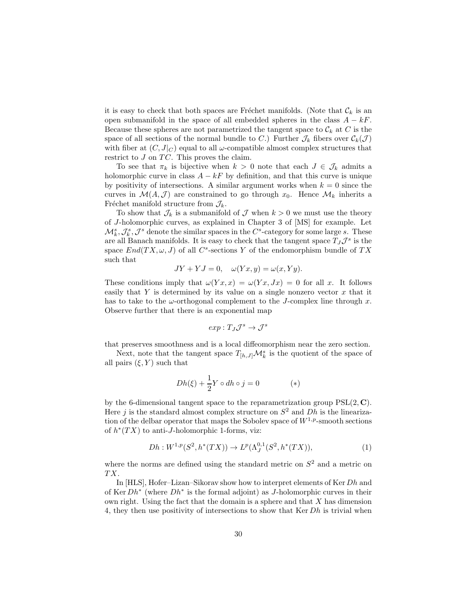<span id="page-29-0"></span>it is easy to check that both spaces are Fréchet manifolds. (Note that  $\mathcal{C}_k$  is an open submanifold in the space of all embedded spheres in the class  $A - kF$ . Because these spheres are not parametrized the tangent space to  $\mathcal{C}_k$  at C is the space of all sections of the normal bundle to C.) Further  $\mathcal{J}_k$  fibers over  $\mathcal{C}_k(\mathcal{J})$ with fiber at  $(C, J|_C)$  equal to all  $\omega$ -compatible almost complex structures that restrict to  $J$  on  $TC$ . This proves the claim.

To see that  $\pi_k$  is bijective when  $k > 0$  note that each  $J \in \mathcal{J}_k$  admits a holomorphic curve in class  $A - kF$  by definition, and that this curve is unique by positivity of intersections. A similar argument works when  $k = 0$  since the curves in  $\mathcal{M}(A,\mathcal{J})$  are constrained to go through  $x_0$ . Hence  $\mathcal{M}_k$  inherits a Fréchet manifold structure from  $\mathcal{J}_k$ .

To show that  $\mathcal{J}_k$  is a submanifold of  $\mathcal J$  when  $k > 0$  we must use the theory of J-holomorphic curves, as explained in Chapter 3 of [MS] for example. Let  $\mathcal{M}_k^s, \mathcal{J}_k^s, \mathcal{J}^s$  denote the similar spaces in the  $C^s$ -category for some large s. These are all Banach manifolds. It is easy to check that the tangent space  $T_J \mathcal{J}^s$  is the space  $End(TX, \omega, J)$  of all C<sup>s</sup>-sections Y of the endomorphism bundle of TX such that

$$
JY + YJ = 0, \quad \omega(Yx, y) = \omega(x, Yy).
$$

These conditions imply that  $\omega(Yx, x) = \omega(Yx, Jx) = 0$  for all x. It follows easily that  $Y$  is determined by its value on a single nonzero vector  $x$  that it has to take to the  $\omega$ -orthogonal complement to the J-complex line through x. Observe further that there is an exponential map

$$
exp: T_J \mathcal{J}^s \to \mathcal{J}^s
$$

that preserves smoothness and is a local diffeomorphism near the zero section.

Next, note that the tangent space  $T_{[h,J]}\mathcal{M}^s_k$  is the quotient of the space of all pairs  $(\xi, Y)$  such that

$$
Dh(\xi) + \frac{1}{2}Y \circ dh \circ j = 0 \qquad (*)
$$

by the 6-dimensional tangent space to the reparametrization group  $PSL(2, \mathbb{C})$ . Here j is the standard almost complex structure on  $S^2$  and  $Dh$  is the linearization of the delbar operator that maps the Sobolev space of  $W^{1,p}$ -smooth sections of  $h^*(TX)$  to anti-J-holomorphic 1-forms, viz:

$$
Dh: W^{1,p}(S^2, h^*(TX)) \to L^p(\Lambda_J^{0,1}(S^2, h^*(TX)), \tag{1}
$$

where the norms are defined using the standard metric on  $S<sup>2</sup>$  and a metric on TX.

In [HLS], Hofer–Lizan–Sikorav show how to interpret elements of Ker Dh and of Ker  $Dh^*$  (where  $Dh^*$  is the formal adjoint) as J-holomorphic curves in their own right. Using the fact that the domain is a sphere and that  $X$  has dimension 4, they then use positivity of intersections to show that  $\text{Ker }Dh$  is trivial when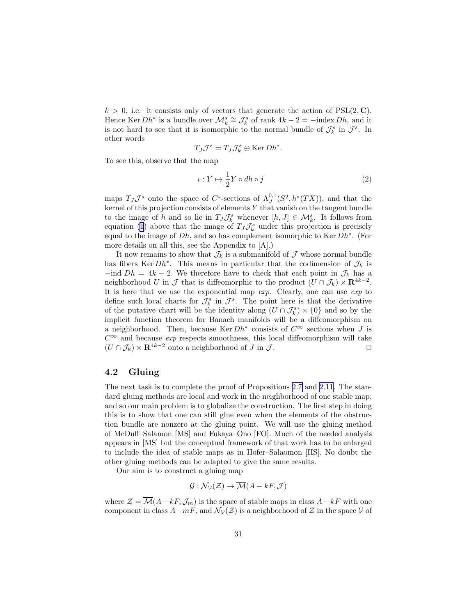<span id="page-30-0"></span> $k > 0$ , i.e. it consists only of vectors that generate the action of  $PSL(2, \mathbb{C})$ . Hence Ker  $Dh^*$  is a bundle over  $\mathcal{M}_k^s \cong \mathcal{J}_k^s$  of rank  $4k - 2 = -\text{index } Dh$ , and it is not hard to see that it is isomorphic to the normal bundle of  $\mathcal{J}_k^s$  in  $\mathcal{J}^s$ . In other words

$$
T_J\mathcal{J}^s=T_J\mathcal{J}^s_k\oplus\operatorname{Ker}\nolimits Dh^*.
$$

To see this, observe that the map

$$
\iota: Y \mapsto \frac{1}{2}Y \circ dh \circ j \tag{2}
$$

maps  $T_J\mathcal{J}^s$  onto the space of  $C^s$ -sections of  $\Lambda_J^{0,1}(S^2, h^*(TX))$ , and that the kernel of this projection consists of elements  $Y$  that vanish on the tangent bundle to the image of h and so lie in  $T_J \mathcal{J}_k^s$  whenever  $[h, J] \in \mathcal{M}_k^s$ . It follows from equation [\(1](#page-29-0)) above that the image of  $T_J \mathcal{J}_k^s$  under this projection is precisely equal to the image of  $Dh$ , and so has complement isomorphic to Ker  $Dh^*$ . (For more details on all this, see the Appendix to [A].)

It now remains to show that  $\mathcal{J}_k$  is a submanifold of  $\mathcal J$  whose normal bundle has fibers Ker  $Dh^*$ . This means in particular that the codimension of  $\mathcal{J}_k$  is  $-i$ ind  $Dh = 4k - 2$ . We therefore have to check that each point in  $\mathcal{J}_k$  has a neighborhood U in J that is diffeomorphic to the product  $(U \cap \mathcal{J}_k) \times \mathbf{R}^{4k-2}$ . It is here that we use the exponential map  $exp$ . Clearly, one can use  $exp$  to define such local charts for  $\mathcal{J}_k^s$  in  $\mathcal{J}^s$ . The point here is that the derivative of the putative chart will be the identity along  $(U \cap \mathcal{J}_k^s) \times \{0\}$  and so by the implicit function theorem for Banach manifolds will be a diffeomorphism on a neighborhood. Then, because Ker  $Dh^*$  consists of  $C^{\infty}$  sections when J is  $C^{\infty}$  and because exp respects smoothness, this local diffeomorphism will take  $(U \cap \mathcal{J}_k) \times \mathbf{R}^{4k-2}$  onto a neighborhood of J in  $\mathcal{J}$ .

### 4.2 Gluing

The next task is to complete the proof of Propositions [2.7](#page-10-0) and [2.11](#page-16-0). The standard gluing methods are local and work in the neighborhood of one stable map, and so our main problem is to globalize the construction. The first step in doing this is to show that one can still glue even when the elements of the obstruction bundle are nonzero at the gluing point. We will use the gluing method of McDuff–Salamon [MS] and Fukaya–Ono [FO]. Much of the needed analysis appears in [MS] but the conceptual framework of that work has to be enlarged to include the idea of stable maps as in Hofer–Salaomon [HS]. No doubt the other gluing methods can be adapted to give the same results.

Our aim is to construct a gluing map

$$
\mathcal{G}: \mathcal{N}_{\mathcal{V}}(\mathcal{Z}) \to \overline{\mathcal{M}}(A - kF, \mathcal{J})
$$

where  $\mathcal{Z} = \overline{\mathcal{M}}(A-kF,\mathcal{J}_m)$  is the space of stable maps in class  $A-kF$  with one component in class  $A-mF$ , and  $\mathcal{N}_{\mathcal{V}}(\mathcal{Z})$  is a neighborhood of  $\mathcal Z$  in the space  $\mathcal V$  of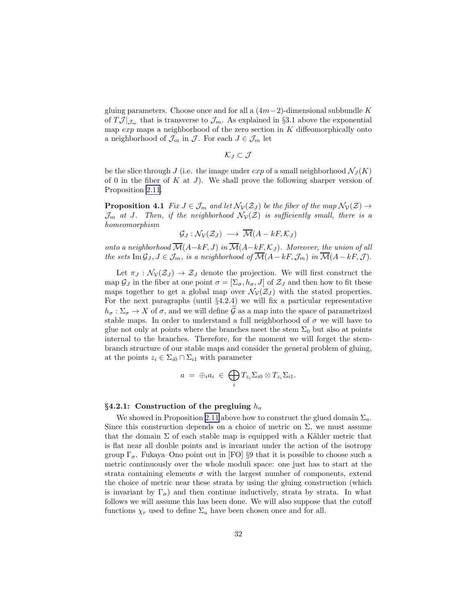<span id="page-31-0"></span>gluing parameters. Choose once and for all a  $(4m-2)$ -dimensional subbundle K of  $T\mathcal{J}|_{\mathcal{J}_m}$  that is transverse to  $\mathcal{J}_m$ . As explained in §3.1 above the exponential map  $exp$  maps a neighborhood of the zero section in  $K$  diffeomorphically onto a neighborhood of  $\mathcal{J}_m$  in  $\mathcal{J}$ . For each  $J \in \mathcal{J}_m$  let

$$
\mathcal{K}_J \subset \mathcal{J}
$$

be the slice through J (i.e. the image under  $exp$  of a small neighborhood  $\mathcal{N}_J(K)$ ) of 0 in the fiber of K at J). We shall prove the following sharper version of Proposition [2.11](#page-16-0).

**Proposition 4.1** Fix  $J \in \mathcal{J}_m$  and let  $\mathcal{N}_{\mathcal{V}}(\mathcal{Z}_J)$  be the fiber of the map  $\mathcal{N}_{\mathcal{V}}(\mathcal{Z}) \to$  $\mathcal{J}_m$  at J. Then, if the neighborhood  $\mathcal{N}_{\mathcal{V}}(\mathcal{Z})$  is sufficiently small, there is a homeomorphism

$$
\mathcal{G}_J:\mathcal{N}_\mathcal{V}(\mathcal{Z}_J)\longrightarrow \overline{\mathcal{M}}(A-kF,\mathcal{K}_J)
$$

onto a neighborhood  $\overline{\mathcal{M}}(A-kF, J)$  in  $\overline{\mathcal{M}}(A-kF, \mathcal{K}_J)$ . Moreover, the union of all the sets Im  $\mathcal{G}_J, J \in \mathcal{J}_m$ , is a neighborhood of  $\overline{\mathcal{M}}(A - kF, \mathcal{J}_m)$  in  $\overline{\mathcal{M}}(A - kF, \mathcal{J})$ .

Let  $\pi_J : \mathcal{N}_\mathcal{V}(\mathcal{Z}_J) \to \mathcal{Z}_J$  denote the projection. We will first construct the map  $\mathcal{G}_J$  in the fiber at one point  $\sigma = [\Sigma_{\sigma}, h_{\sigma}, J]$  of  $\mathcal{Z}_J$  and then how to fit these maps together to get a global map over  $\mathcal{N}_{\mathcal{V}}(\mathcal{Z}_J)$  with the stated properties. For the next paragraphs (until  $\S4.2.4$ ) we will fix a particular representative  $h_{\sigma} : \Sigma_{\sigma} \to X$  of  $\sigma$ , and we will define G as a map into the space of parametrized stable maps. In order to understand a full neighborhood of  $\sigma$  we will have to glue not only at points where the branches meet the stem  $\Sigma_0$  but also at points internal to the branches. Therefore, for the moment we will forget the stembranch structure of our stable maps and consider the general problem of gluing, at the points  $z_i \in \Sigma_{i0} \cap \Sigma_{i1}$  with parameter

$$
a = \bigoplus_i a_i \in \bigoplus_i T_{z_i} \Sigma_{i0} \otimes T_{z_i} \Sigma_{i1}.
$$

#### §4.2.1: Construction of the pregluing  $h_a$

We showed in Proposition [2.11](#page-16-0) above how to construct the glued domain  $\Sigma_a$ . Since this construction depends on a choice of metric on  $\Sigma$ , we must assume that the domain  $\Sigma$  of each stable map is equipped with a Kähler metric that is flat near all double points and is invariant under the action of the isotropy group  $\Gamma_{\sigma}$ . Fukaya–Ono point out in [FO] §9 that it is possible to choose such a metric continuously over the whole moduli space: one just has to start at the strata containing elements  $\sigma$  with the largest number of components, extend the choice of metric near these strata by using the gluing construction (which is invariant by  $\Gamma_{\sigma}$ ) and then continue inductively, strata by strata. In what follows we will assume this has been done. We will also suppose that the cutoff functions  $\chi_r$  used to define  $\Sigma_a$  have been chosen once and for all.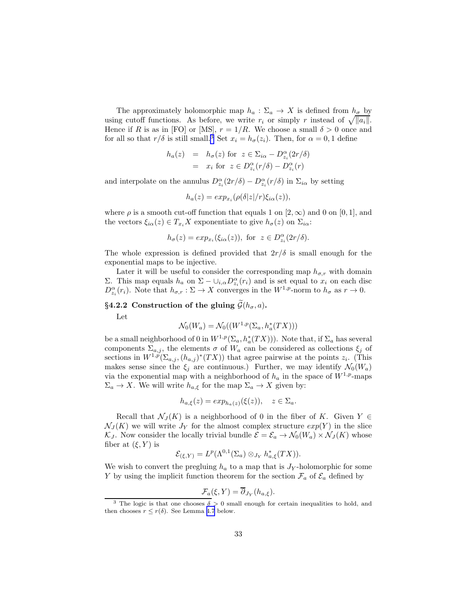The approximately holomorphic map  $h_a: \Sigma_a \to X$  is defined from  $h_\sigma$  by using cutoff functions. As before, we write  $r_i$  or simply r instead of  $\sqrt{\|a_i\|}$ . Hence if R is as in [FO] or [MS],  $r = 1/R$ . We choose a small  $\delta > 0$  once and for all so that  $r/\delta$  is still small.<sup>3</sup> Set  $x_i = h_\sigma(z_i)$ . Then, for  $\alpha = 0, 1$  define

$$
h_a(z) = h_{\sigma}(z) \text{ for } z \in \Sigma_{i\alpha} - D_{z_i}^{\alpha}(2r/\delta)
$$
  
=  $x_i \text{ for } z \in D_{z_i}^{\alpha}(r/\delta) - D_{z_i}^{\alpha}(r)$ 

and interpolate on the annulus  $D_{z_i}^{\alpha}(2r/\delta) - D_{z_i}^{\alpha}(r/\delta)$  in  $\Sigma_{i\alpha}$  by setting

$$
h_a(z) = exp_{x_i}(\rho(\delta |z|/r)\xi_{i\alpha}(z)),
$$

where  $\rho$  is a smooth cut-off function that equals 1 on [2,  $\infty$ ) and 0 on [0, 1], and the vectors  $\xi_{i\alpha}(z) \in T_{x_i}X$  exponentiate to give  $h_{\sigma}(z)$  on  $\Sigma_{i\alpha}$ :

$$
h_{\sigma}(z) = exp_{x_i}(\xi_{i\alpha}(z)), \text{ for } z \in D_{z_i}^{\alpha}(2r/\delta).
$$

The whole expression is defined provided that  $2r/\delta$  is small enough for the exponential maps to be injective.

Later it will be useful to consider the corresponding map  $h_{\sigma,r}$  with domain Σ. This map equals  $h_a$  on Σ − ∪<sub>i,α</sub> $D_{z_i}^{\alpha}(r_i)$  and is set equal to  $x_i$  on each disc  $D_{z_i}^{\alpha}(r_i)$ . Note that  $h_{\sigma,r} : \Sigma \to X$  converges in the  $W^{1,p}$ -norm to  $h_{\sigma}$  as  $r \to 0$ .

§4.2.2 Construction of the gluing  $\widetilde{\mathcal{G}}(h_{\sigma},a)$ .

Let

$$
\mathcal{N}_0(W_a) = \mathcal{N}_0((W^{1,p}(\Sigma_a, h_a^*(TX)))
$$

be a small neighborhood of 0 in  $W^{1,p}(\Sigma_a, h_a^*(TX)))$ . Note that, if  $\Sigma_a$  has several components  $\Sigma_{a,j}$ , the elements  $\sigma$  of  $W_a$  can be considered as collections  $\xi_j$  of sections in  $W^{1,p}(\Sigma_{a,j}, (h_{a,j})^*(TX))$  that agree pairwise at the points  $z_i$ . (This makes sense since the  $\xi_i$  are continuous.) Further, we may identify  $\mathcal{N}_0(W_a)$ via the exponential map with a neighborhood of  $h_a$  in the space of  $W^{1,p}$ -maps  $\Sigma_a \to X$ . We will write  $h_{a,\xi}$  for the map  $\Sigma_a \to X$  given by:

$$
h_{a,\xi}(z) = exp_{h_a(z)}(\xi(z)), \quad z \in \Sigma_a.
$$

Recall that  $\mathcal{N}_I(K)$  is a neighborhood of 0 in the fiber of K. Given  $Y \in$  $\mathcal{N}_J(K)$  we will write  $J_Y$  for the almost complex structure  $exp(Y)$  in the slice  $\mathcal{K}_J$ . Now consider the locally trivial bundle  $\mathcal{E} = \mathcal{E}_a \to \mathcal{N}_0(W_a) \times \mathcal{N}_J(K)$  whose fiber at  $(\xi, Y)$  is

$$
\mathcal{E}_{(\xi,Y)} = L^p(\Lambda^{0,1}(\Sigma_a) \otimes_{J_Y} h_{a,\xi}^*(TX)).
$$

We wish to convert the pregluing  $h_a$  to a map that is  $J_Y$ -holomorphic for some Y by using the implicit function theorem for the section  $\mathcal{F}_a$  of  $\mathcal{E}_a$  defined by

$$
\mathcal{F}_a(\xi, Y) = \overline{\partial}_{J_Y}(h_{a,\xi}).
$$

<sup>&</sup>lt;sup>3</sup> The logic is that one chooses  $\delta > 0$  small enough for certain inequalities to hold, and then chooses  $r \leq r(\delta)$ . See Lemma [4.7](#page-36-0) below.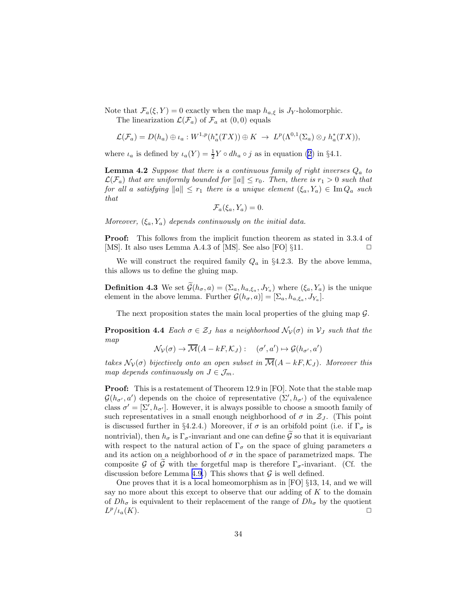<span id="page-33-0"></span>Note that  $\mathcal{F}_a(\xi, Y) = 0$  exactly when the map  $h_{a,\xi}$  is  $J_Y$ -holomorphic.

The linearization  $\mathcal{L}(\mathcal{F}_a)$  of  $\mathcal{F}_a$  at  $(0,0)$  equals

$$
\mathcal{L}(\mathcal{F}_a) = D(h_a) \oplus \iota_a: W^{1,p}(h_a^*(TX)) \oplus K \to L^p(\Lambda^{0,1}(\Sigma_a) \otimes_J h_a^*(TX)),
$$

where  $\iota_a$  is defined by  $\iota_a(Y) = \frac{1}{2}Y \circ dh_a \circ j$  as in equation [\(2](#page-30-0)) in §4.1.

**Lemma 4.2** Suppose that there is a continuous family of right inverses  $Q_a$  to  $\mathcal{L}(\mathcal{F}_a)$  that are uniformly bounded for  $||a|| \leq r_0$ . Then, there is  $r_1 > 0$  such that for all a satisfying  $||a|| \leq r_1$  there is a unique element  $(\xi_a, Y_a) \in \text{Im } Q_a$  such that

$$
\mathcal{F}_a(\xi_a, Y_a) = 0.
$$

Moreover,  $(\xi_a, Y_a)$  depends continuously on the initial data.

Proof: This follows from the implicit function theorem as stated in 3.3.4 of [MS]. It also uses Lemma A.4.3 of [MS]. See also [FO]  $\S11$ .

We will construct the required family  $Q_a$  in §4.2.3. By the above lemma, this allows us to define the gluing map.

**Definition 4.3** We set  $\mathcal{G}(h_{\sigma}, a) = (\Sigma_a, h_{a, \xi_a}, J_{Y_a})$  where  $(\xi_a, Y_a)$  is the unique element in the above lemma. Further  $\mathcal{G}(h_{\sigma}, a)$ ] = [ $\Sigma_a, h_{a, \xi_a}, J_{Y_a}$ ].

The next proposition states the main local properties of the gluing map  $\mathcal{G}$ .

**Proposition 4.4** Each  $\sigma \in \mathcal{Z}_J$  has a neighborhood  $\mathcal{N}_{\mathcal{V}}(\sigma)$  in  $\mathcal{V}_J$  such that the map

 $\mathcal{N}_{\mathcal{V}}(\sigma) \to \overline{\mathcal{M}}(A - kF, \mathcal{K}_J) : \quad (\sigma', a') \mapsto \mathcal{G}(h_{\sigma'}, a')$ 

takes  $\mathcal{N}_{\mathcal{V}}(\sigma)$  bijectively onto an open subset in  $\overline{\mathcal{M}}(A - kF, \mathcal{K}_J)$ . Moreover this map depends continuously on  $J \in \mathcal{J}_m$ .

Proof: This is a restatement of Theorem 12.9 in [FO]. Note that the stable map  $\mathcal{G}(h_{\sigma'}, a')$  depends on the choice of representative  $(\Sigma', h_{\sigma'})$  of the equivalence class  $\sigma' = [\Sigma', h_{\sigma'}]$ . However, it is always possible to choose a smooth family of such representatives in a small enough neighborhood of  $\sigma$  in  $\mathcal{Z}_J$ . (This point is discussed further in §4.2.4.) Moreover, if  $\sigma$  is an orbifold point (i.e. if  $\Gamma_{\sigma}$  is nontrivial), then  $h_{\sigma}$  is  $\Gamma_{\sigma}$ -invariant and one can define  $\tilde{\mathcal{G}}$  so that it is equivariant with respect to the natural action of  $\Gamma_{\sigma}$  on the space of gluing parameters a and its action on a neighborhood of  $\sigma$  in the space of parametrized maps. The composite G of G with the forgetful map is therefore  $\Gamma_{\sigma}$ -invariant. (Cf. the discussion before Lemma [4.9.](#page-40-0)) This shows that  $G$  is well defined.

One proves that it is a local homeomorphism as in [FO] §13, 14, and we will say no more about this except to observe that our adding of  $K$  to the domain of  $Dh_{\sigma}$  is equivalent to their replacement of the range of  $Dh_{\sigma}$  by the quotient  $L^p/\iota_a(K)$ .  $p/\iota_a(K)$ .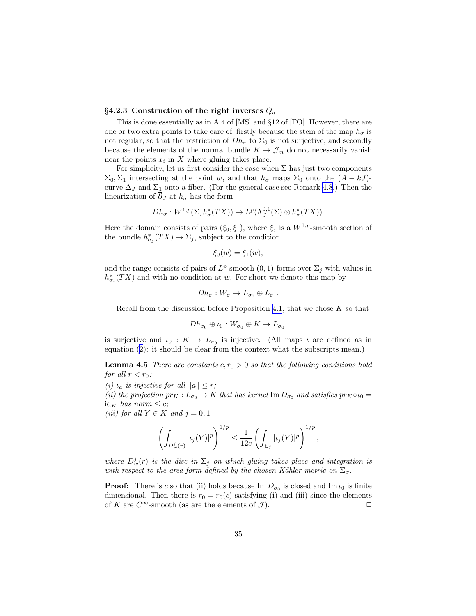#### <span id="page-34-0"></span>§4.2.3 Construction of the right inverses  $Q_a$

This is done essentially as in A.4 of [MS] and §12 of [FO]. However, there are one or two extra points to take care of, firstly because the stem of the map  $h_{\sigma}$  is not regular, so that the restriction of  $Dh_{\sigma}$  to  $\Sigma_0$  is not surjective, and secondly because the elements of the normal bundle  $K\to \mathcal{J}_m$  do not necessarily vanish near the points  $x_i$  in X where gluing takes place.

For simplicity, let us first consider the case when  $\Sigma$  has just two components  $\Sigma_0$ ,  $\Sigma_1$  intersecting at the point w, and that  $h_{\sigma}$  maps  $\Sigma_0$  onto the  $(A - kJ)$ curve  $\Delta_J$  and  $\Sigma_1$  onto a fiber. (For the general case see Remark [4.8](#page-38-0).) Then the linearization of  $\overline{\partial}_J$  at  $h_{\sigma}$  has the form

$$
Dh_{\sigma}: W^{1,p}(\Sigma, h_{\sigma}^*(TX)) \to L^p(\Lambda_J^{0,1}(\Sigma) \otimes h_{\sigma}^*(TX)).
$$

Here the domain consists of pairs  $(\xi_0, \xi_1)$ , where  $\xi_j$  is a  $W^{1,p}$ -smooth section of the bundle  $h^*_{\sigma_j}(TX) \to \Sigma_j$ , subject to the condition

$$
\xi_0(w) = \xi_1(w),
$$

and the range consists of pairs of  $L^p$ -smooth  $(0, 1)$ -forms over  $\Sigma_j$  with values in  $h^*_{\sigma_j}(TX)$  and with no condition at w. For short we denote this map by

$$
Dh_{\sigma}: W_{\sigma} \to L_{\sigma_0} \oplus L_{\sigma_1}.
$$

Recall from the discussion before Proposition [4.1](#page-31-0), that we chose  $K$  so that

$$
Dh_{\sigma_0}\oplus \iota_0: W_{\sigma_0}\oplus K\to L_{\sigma_0}.
$$

is surjective and  $\iota_0: K \to L_{\sigma_0}$  is injective. (All maps  $\iota$  are defined as in equation [\(2](#page-30-0)): it should be clear from the context what the subscripts mean.)

**Lemma 4.5** There are constants  $c, r_0 > 0$  so that the following conditions hold for all  $r < r_0$ :

(i)  $\iota_a$  is injective for all  $||a|| \leq r$ ;

(ii) the projection  $pr_K : L_{\sigma_0} \to K$  that has kernel  $\text{Im } D_{\sigma_0}$  and satisfies  $pr_K \circ \iota_0 =$  $id_K$  has norm  $\leq c$ ;

(iii) for all  $Y \in K$  and  $j = 0, 1$ 

$$
\left(\int_{D_w^j(r)} |\iota_j(Y)|^p\right)^{1/p} \leq \frac{1}{12c} \left(\int_{\Sigma_j} |\iota_j(Y)|^p\right)^{1/p},
$$

where  $D_w^j(r)$  is the disc in  $\Sigma_j$  on which gluing takes place and integration is with respect to the area form defined by the chosen Kähler metric on  $\Sigma_{\sigma}$ .

**Proof:** There is c so that (ii) holds because  $\text{Im } D_{\sigma_0}$  is closed and  $\text{Im } \iota_0$  is finite dimensional. Then there is  $r_0 = r_0(c)$  satisfying (i) and (iii) since the elements of K are  $C^{\infty}$ -smooth (as are the elements of  $\mathcal{J}$ ).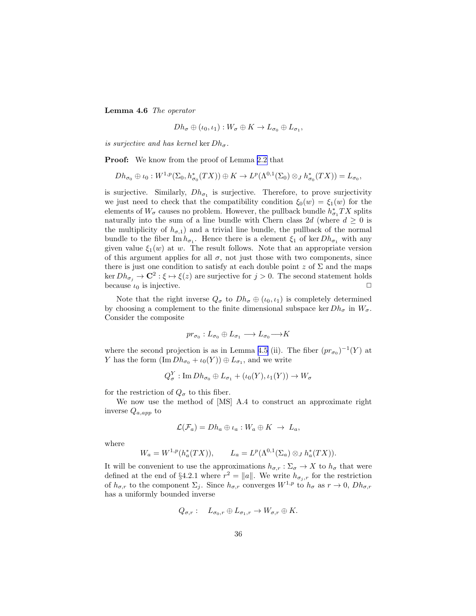Lemma 4.6 The operator

$$
Dh_{\sigma} \oplus (\iota_0, \iota_1) : W_{\sigma} \oplus K \to L_{\sigma_0} \oplus L_{\sigma_1},
$$

is surjective and has kernel ker  $Dh_{\sigma}$ .

**Proof:** We know from the proof of Lemma [2.2](#page-7-0) that

$$
Dh_{\sigma_0} \oplus \iota_0: W^{1,p}(\Sigma_0, h^*_{\sigma_0}(TX)) \oplus K \to L^p(\Lambda^{0,1}(\Sigma_0) \otimes_J h^*_{\sigma_0}(TX)) = L_{\sigma_0},
$$

is surjective. Similarly,  $Dh_{\sigma_1}$  is surjective. Therefore, to prove surjectivity we just need to check that the compatibility condition  $\xi_0(w) = \xi_1(w)$  for the elements of  $W_{\sigma}$  causes no problem. However, the pullback bundle  $h_{\sigma_1}^*TX$  splits naturally into the sum of a line bundle with Chern class 2d (where  $d \geq 0$  is the multiplicity of  $h_{\sigma,1}$  and a trivial line bundle, the pullback of the normal bundle to the fiber Im  $h_{\sigma_1}$ . Hence there is a element  $\xi_1$  of ker  $Dh_{\sigma_1}$  with any given value  $\xi_1(w)$  at w. The result follows. Note that an appropriate version of this argument applies for all  $\sigma$ , not just those with two components, since there is just one condition to satisfy at each double point z of  $\Sigma$  and the maps ker  $Dh_{\sigma_j} \to \mathbb{C}^2 : \xi \mapsto \xi(z)$  are surjective for  $j > 0$ . The second statement holds because  $\iota_0$  is injective.  $\Box$ 

Note that the right inverse  $Q_{\sigma}$  to  $Dh_{\sigma} \oplus (\iota_0, \iota_1)$  is completely determined by choosing a complement to the finite dimensional subspace ker  $Dh_{\sigma}$  in  $W_{\sigma}$ . Consider the composite

$$
pr_{\sigma_0}: L_{\sigma_0} \oplus L_{\sigma_1} \longrightarrow L_{\sigma_0} \longrightarrow K
$$

where the second projection is as in Lemma [4.5](#page-34-0) (ii). The fiber  $(pr_{\sigma_0})^{-1}(Y)$  at Y has the form  $(\text{Im }Dh_{\sigma_0} + \iota_0(Y)) \oplus L_{\sigma_1}$ , and we write

$$
Q_{\sigma}^{Y}: \operatorname{Im} Dh_{\sigma_0} \oplus L_{\sigma_1} + (\iota_0(Y), \iota_1(Y)) \to W_{\sigma}
$$

for the restriction of  $Q_{\sigma}$  to this fiber.

We now use the method of [MS] A.4 to construct an approximate right inverse  $Q_{a,app}$  to

$$
\mathcal{L}(\mathcal{F}_a)=Dh_a\oplus\iota_a:W_a\oplus K\ \to\ L_a,
$$

where

$$
W_a = W^{1,p}(h_a^*(TX)),
$$
  $L_a = L^p(\Lambda^{0,1}(\Sigma_a) \otimes J h_a^*(TX)).$ 

It will be convenient to use the approximations  $h_{\sigma,r} : \Sigma_{\sigma} \to X$  to  $h_{\sigma}$  that were defined at the end of §4.2.1 where  $r^2 = ||a||$ . We write  $h_{\sigma_j,r}$  for the restriction of  $h_{\sigma,r}$  to the component  $\Sigma_j$ . Since  $h_{\sigma,r}$  converges  $W^{1,p}$  to  $h_{\sigma}$  as  $r \to 0$ ,  $Dh_{\sigma,r}$ has a uniformly bounded inverse

$$
Q_{\sigma,r}:\quad L_{\sigma_0,r}\oplus L_{\sigma_1,r}\to W_{\sigma,r}\oplus K.
$$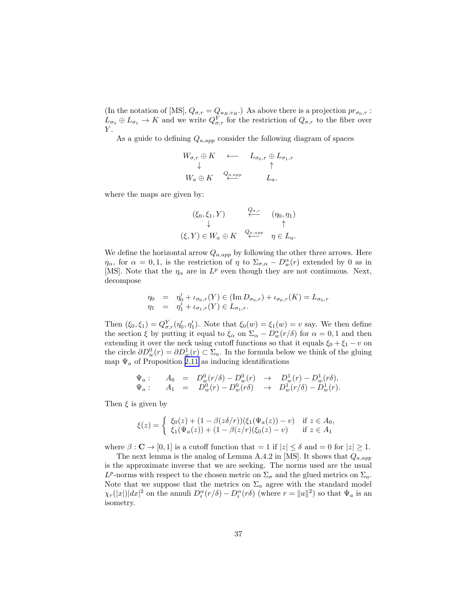<span id="page-36-0"></span>(In the notation of [MS],  $Q_{\sigma,r} = Q_{u_R,v_R}$ .) As above there is a projection  $pr_{\sigma_0,r}$ :  $L_{\sigma_0} \oplus L_{\sigma_1} \to K$  and we write  $Q^Y_{\sigma,r}$  for the restriction of  $Q_{\sigma,r}$  to the fiber over  $Y$ .

As a guide to defining  $Q_{a,app}$  consider the following diagram of spaces

$$
W_{\sigma,r} \oplus K \quad \leftarrow \quad L_{\sigma_0,r} \oplus L_{\sigma_1,r}
$$
  

$$
\downarrow \qquad \qquad \uparrow
$$
  

$$
W_a \oplus K \quad \stackrel{Q_{a,app}}{\longleftarrow} \quad L_a.
$$

where the maps are given by:

$$
\begin{array}{ccc}\n(\xi_0, \xi_1, Y) & \xleftarrow{Q_{\sigma,r}} & (\eta_0, \eta_1) \\
\downarrow & \uparrow & \uparrow \\
(\xi, Y) \in W_a \oplus K & \xleftarrow{Q_{\rho, app}} & \eta \in L_a.\n\end{array}
$$

We define the horizontal arrow  $Q_{a,app}$  by following the other three arrows. Here  $\eta_{\alpha}$ , for  $\alpha = 0, 1$ , is the restriction of  $\eta$  to  $\Sigma_{\sigma,\alpha} - D_w^{\alpha}(r)$  extended by 0 as in [MS]. Note that the  $\eta_{\alpha}$  are in  $L^p$  even though they are not continuous. Next, decompose

$$
\eta_0 = \eta'_0 + \iota_{\sigma_0, r}(Y) \in (\operatorname{Im} D_{\sigma_0, r}) + \iota_{\sigma_0, r}(K) = L_{\sigma_0, r}
$$
  

$$
\eta_1 = \eta'_1 + \iota_{\sigma_1, r}(Y) \in L_{\sigma_1, r}.
$$

Then  $(\xi_0, \xi_1) = Q_{\sigma,r}^Y(\eta'_0, \eta'_1)$ . Note that  $\xi_0(w) = \xi_1(w) = v$  say. We then define the section  $\xi$  by putting it equal to  $\xi_{\alpha}$  on  $\Sigma_{\alpha} - D_{w}^{\alpha}(r/\delta)$  for  $\alpha = 0, 1$  and then extending it over the neck using cutoff functions so that it equals  $\xi_0 + \xi_1 - v$  on the circle  $\partial D_w^0(r) = \partial D_w^1(r) \subset \Sigma_a$ . In the formula below we think of the gluing map  $\Psi_a$  of Proposition [2.11](#page-16-0) as inducing identifications

$$
\Psi_a: \tA_0 = D_w^0(r/\delta) - D_w^0(r) \rightarrow D_w^1(r) - D_w^1(r\delta), \n\Psi_a: \tA_1 = D_w^0(r) - D_w^0(r\delta) \rightarrow D_w^1(r/\delta) - D_w^1(r).
$$

Then  $\xi$  is given by

$$
\xi(z) = \begin{cases} \xi_0(z) + (1 - \beta(z\delta/r))(\xi_1(\Psi_a(z)) - v) & \text{if } z \in A_0, \\ \xi_1(\Psi_a(z)) + (1 - \beta(z/r)(\xi_0(z) - v) & \text{if } z \in A_1 \end{cases}
$$

where  $\beta : \mathbf{C} \to [0,1]$  is a cutoff function that  $= 1$  if  $|z| \leq \delta$  and  $= 0$  for  $|z| \geq 1$ .

The next lemma is the analog of Lemma A.4.2 in [MS]. It shows that  $Q_{a,app}$ is the approximate inverse that we are seeking. The norms used are the usual  $L^p$ -norms with respect to the chosen metric on  $\Sigma_{\sigma}$  and the glued metrics on  $\Sigma_a$ . Note that we suppose that the metrics on  $\Sigma_a$  agree with the standard model  $\chi_r(|x|)|dx|^2$  on the annuli  $D_i^{\alpha}(r/\delta) - D_i^{\alpha}(r\delta)$  (where  $r = ||a||^2$ ) so that  $\Psi_a$  is an isometry.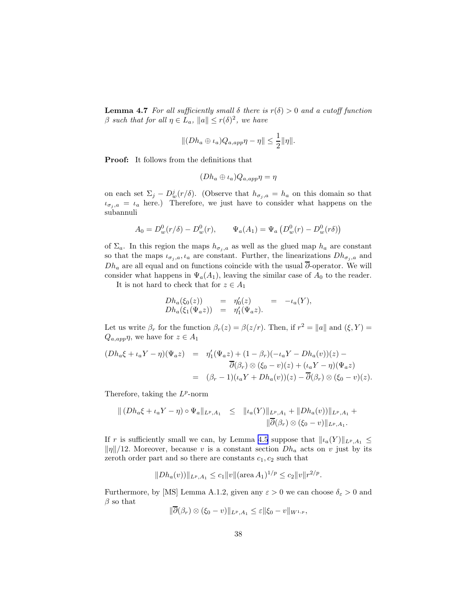**Lemma 4.7** For all sufficiently small  $\delta$  there is  $r(\delta) > 0$  and a cutoff function  $\beta$  such that for all  $\eta \in L_a$ ,  $||a|| \leq r(\delta)^2$ , we have

$$
||(Dh_a \oplus \iota_a)Q_{a,app}\eta - \eta|| \leq \frac{1}{2}||\eta||.
$$

Proof: It follows from the definitions that

$$
(Dh_a \oplus \iota_a)Q_{a,app}\eta = \eta
$$

on each set  $\Sigma_j - D_w^j(r/\delta)$ . (Observe that  $h_{\sigma_j, a} = h_a$  on this domain so that  $\iota_{\sigma_i,a} = \iota_a$  here.) Therefore, we just have to consider what happens on the subannuli

$$
A_0 = D_w^0(r/\delta) - D_w^0(r), \qquad \Psi_a(A_1) = \Psi_a \left( D_w^0(r) - D_w^0(r\delta) \right)
$$

of  $\Sigma_a$ . In this region the maps  $h_{\sigma_j,a}$  as well as the glued map  $h_a$  are constant so that the maps  $\iota_{\sigma_j, a}, \iota_a$  are constant. Further, the linearizations  $Dh_{\sigma_j, a}$  and  $Dh_a$  are all equal and on functions coincide with the usual  $\overline{\partial}$ -operator. We will consider what happens in  $\Psi_a(A_1)$ , leaving the similar case of  $A_0$  to the reader.

It is not hard to check that for  $z \in A_1$ 

$$
Dh_a(\xi_0(z)) = \eta'_0(z) = -\iota_a(Y), Dh_a(\xi_1(\Psi_a z)) = \eta'_1(\Psi_a z).
$$

Let us write  $\beta_r$  for the function  $\beta_r(z) = \beta(z/r)$ . Then, if  $r^2 = ||a||$  and  $(\xi, Y) =$  $Q_{a,app}\eta$ , we have for  $z \in A_1$ 

$$
(Dh_a\xi + \iota_a Y - \eta)(\Psi_a z) = \eta'_1(\Psi_a z) + (1 - \beta_r)(-\iota_a Y - Dh_a(v))(z) - \overline{\partial}(\beta_r) \otimes (\xi_0 - v)(z) + (\iota_a Y - \eta)(\Psi_a z) = (\beta_r - 1)(\iota_a Y + Dh_a(v))(z) - \overline{\partial}(\beta_r) \otimes (\xi_0 - v)(z).
$$

Therefore, taking the  $L^p$ -norm

$$
\| (Dh_a \xi + \iota_a Y - \eta) \circ \Psi_a \|_{L^p, A_1} \le \| \iota_a(Y) \|_{L^p, A_1} + \| Dh_a(v)) \|_{L^p, A_1} + \|\overline{\partial}(\beta_r) \otimes (\xi_0 - v) \|_{L^p, A_1}.
$$

If r is sufficiently small we can, by Lemma [4.5](#page-34-0) suppose that  $\|\iota_a(Y)\|_{L^p,A_1} \leq$  $\|\eta\|/12$ . Moreover, because v is a constant section  $Dh_a$  acts on v just by its zeroth order part and so there are constants  $c_1, c_2$  such that

$$
||Dh_a(v))||_{L^p,A_1} \le c_1 ||v|| (\text{area } A_1)^{1/p} \le c_2 ||v|| r^{2/p}.
$$

Furthermore, by [MS] Lemma A.1.2, given any  $\varepsilon > 0$  we can choose  $\delta_{\varepsilon} > 0$  and  $\beta$  so that

$$
\|\partial(\beta_r)\otimes(\xi_0-v)\|_{L^p,A_1}\leq\varepsilon\|\xi_0-v\|_{W^{1,p}},
$$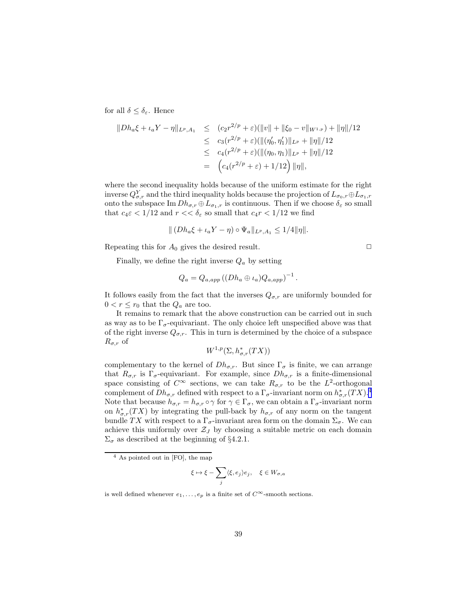<span id="page-38-0"></span>for all  $\delta \leq \delta_{\varepsilon}$ . Hence

$$
||Dh_a\xi + \iota_a Y - \eta||_{L^p, A_1} \leq (c_2 r^{2/p} + \varepsilon)(||v|| + ||\xi_0 - v||_{W^{1,p}}) + ||\eta||/12
$$
  
\n
$$
\leq c_3 (r^{2/p} + \varepsilon)(||(\eta'_0, \eta'_1)||_{L^p} + ||\eta||/12)
$$
  
\n
$$
\leq c_4 (r^{2/p} + \varepsilon)(||(\eta_0, \eta_1)||_{L^p} + ||\eta||/12)
$$
  
\n
$$
= (c_4 (r^{2/p} + \varepsilon) + 1/12) ||\eta||,
$$

where the second inequality holds because of the uniform estimate for the right inverse  $Q^Y_{\sigma,r}$  and the third inequality holds because the projection of  $L_{\sigma_0,r} \oplus L_{\sigma_1,r}$ onto the subspace  $\text{Im }Dh_{\sigma,r}\oplus L_{\sigma_1,r}$  is continuous. Then if we choose  $\delta_{\varepsilon}$  so small that  $c_4\varepsilon < 1/12$  and  $r \ll \delta_{\varepsilon}$  so small that  $c_4r < 1/12$  we find

$$
\| (Dh_a \xi + \iota_a Y - \eta) \circ \Psi_a \|_{L^p, A_1} \le 1/4 \|\eta\|.
$$

Repeating this for  $A_0$  gives the desired result.  $\Box$ 

Finally, we define the right inverse  $Q_a$  by setting

$$
Q_a = Q_{a,app} \left( (D h_a \oplus \iota_a) Q_{a,app} \right)^{-1}
$$

.

It follows easily from the fact that the inverses  $Q_{\sigma,r}$  are uniformly bounded for  $0 < r \leq r_0$  that the  $Q_a$  are too.

It remains to remark that the above construction can be carried out in such as way as to be  $\Gamma_{\sigma}$ -equivariant. The only choice left unspecified above was that of the right inverse  $Q_{\sigma,r}$ . This in turn is determined by the choice of a subspace  $R_{\sigma,r}$  of

$$
W^{1,p}(\Sigma, h^*_{\sigma,r}(TX))
$$

complementary to the kernel of  $Dh_{\sigma,r}$ . But since  $\Gamma_{\sigma}$  is finite, we can arrange that  $R_{\sigma,r}$  is  $\Gamma_{\sigma}$ -equivariant. For example, since  $Dh_{\sigma,r}$  is a finite-dimensional space consisting of  $C^{\infty}$  sections, we can take  $R_{\sigma,r}$  to be the  $L^2$ -orthogonal complement of  $Dh_{\sigma,r}$  defined with respect to a  $\Gamma_{\sigma}$ -invariant norm on  $h^*_{\sigma,r}(TX)$ .<sup>4</sup> Note that because  $h_{\sigma,r} = h_{\sigma,r} \circ \gamma$  for  $\gamma \in \Gamma_{\sigma}$ , we can obtain a  $\Gamma_{\sigma}$ -invariant norm on  $h_{\sigma,r}^*(TX)$  by integrating the pull-back by  $h_{\sigma,r}$  of any norm on the tangent bundle TX with respect to a  $\Gamma_{\sigma}$ -invariant area form on the domain  $\Sigma_{\sigma}$ . We can achieve this uniformly over  $\mathcal{Z}_J$  by choosing a suitable metric on each domain  $\Sigma_{\sigma}$  as described at the beginning of §4.2.1.

$$
\xi \mapsto \xi - \sum_{j} \langle \xi, e_j \rangle e_j, \quad \xi \in W_{\sigma, a}
$$

<sup>4</sup> As pointed out in [FO], the map

is well defined whenever  $e_1, \ldots, e_p$  is a finite set of  $C^{\infty}$ -smooth sections.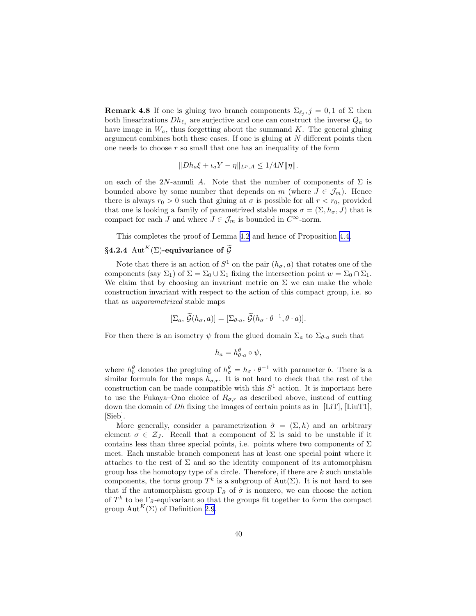**Remark 4.8** If one is gluing two branch components  $\Sigma_{\ell_j}, j = 0, 1$  of  $\Sigma$  then both linearizations  $Dh_{\ell_i}$  are surjective and one can construct the inverse  $Q_a$  to have image in  $W_a$ , thus forgetting about the summand K. The general gluing argument combines both these cases. If one is gluing at N different points then one needs to choose  $r$  so small that one has an inequality of the form

$$
||Dh_a \xi + \iota_a Y - \eta||_{L^p, A} \le 1/4N ||\eta||.
$$

on each of the 2N-annuli A. Note that the number of components of  $\Sigma$  is bounded above by some number that depends on m (where  $J \in \mathcal{J}_m$ ). Hence there is always  $r_0 > 0$  such that gluing at  $\sigma$  is possible for all  $r < r_0$ , provided that one is looking a family of parametrized stable maps  $\sigma = (\Sigma, h_{\sigma}, J)$  that is compact for each J and where  $J \in \mathcal{J}_m$  is bounded in  $C^{\infty}$ -norm.

This completes the proof of Lemma [4.2](#page-33-0) and hence of Proposition [4.4.](#page-33-0)

# §4.2.4 Aut<sup>K</sup>(Σ)-equivariance of  $\widetilde{\mathcal{G}}$

Note that there is an action of  $S^1$  on the pair  $(h_{\sigma}, a)$  that rotates one of the components (say  $\Sigma_1$ ) of  $\Sigma = \Sigma_0 \cup \Sigma_1$  fixing the intersection point  $w = \Sigma_0 \cap \Sigma_1$ . We claim that by choosing an invariant metric on  $\Sigma$  we can make the whole construction invariant with respect to the action of this compact group, i.e. so that as unparametrized stable maps

$$
[\Sigma_a, \widetilde{\mathcal{G}}(h_\sigma, a)] = [\Sigma_{\theta \cdot a}, \widetilde{\mathcal{G}}(h_\sigma \cdot \theta^{-1}, \theta \cdot a)].
$$

For then there is an isometry  $\psi$  from the glued domain  $\Sigma_a$  to  $\Sigma_{\theta_a}$  such that

$$
h_a = h^{\theta}_{\theta \cdot a} \circ \psi,
$$

where  $h_b^{\theta}$  denotes the pregluing of  $h_{\sigma}^{\theta} = h_{\sigma} \cdot \theta^{-1}$  with parameter b. There is a similar formula for the maps  $h_{\sigma,r}$ . It is not hard to check that the rest of the construction can be made compatible with this  $S<sup>1</sup>$  action. It is important here to use the Fukaya–Ono choice of  $R_{\sigma,r}$  as described above, instead of cutting down the domain of *Dh* fixing the images of certain points as in [LiT], [LiuT1], [Sieb].

More generally, consider a parametrization  $\tilde{\sigma} = (\Sigma, h)$  and an arbitrary element  $\sigma \in \mathcal{Z}_J$ . Recall that a component of  $\Sigma$  is said to be unstable if it contains less than three special points, i.e. points where two components of  $\Sigma$ meet. Each unstable branch component has at least one special point where it attaches to the rest of  $\Sigma$  and so the identity component of its automorphism group has the homotopy type of a circle. Therefore, if there are  $k$  such unstable components, the torus group  $T^k$  is a subgroup of  $\text{Aut}(\Sigma)$ . It is not hard to see that if the automorphism group  $\Gamma_{\tilde{\sigma}}$  of  $\tilde{\sigma}$  is nonzero, we can choose the action of  $T^k$  to be  $\Gamma_{\tilde{\sigma}}$ -equivariant so that the groups fit together to form the compact group  ${\rm Aut}^K(\Sigma)$  of Definition [2.9](#page-14-0).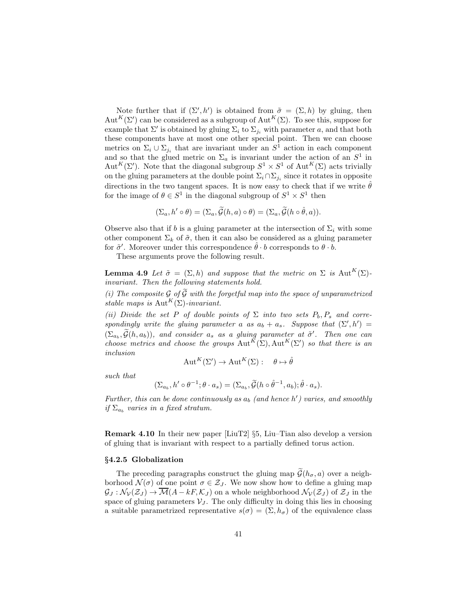<span id="page-40-0"></span>Note further that if  $(\Sigma', h')$  is obtained from  $\tilde{\sigma} = (\Sigma, h)$  by gluing, then  $\mathrm{Aut}^K(\Sigma')$  can be considered as a subgroup of  $\mathrm{Aut}^K(\Sigma)$ . To see this, suppose for example that  $\Sigma'$  is obtained by gluing  $\Sigma_i$  to  $\Sigma_{j_i}$  with parameter a, and that both these components have at most one other special point. Then we can choose metrics on  $\Sigma_i \cup \Sigma_{j_i}$  that are invariant under an  $S^1$  action in each component and so that the glued metric on  $\Sigma_a$  is invariant under the action of an  $S^1$  in  $\text{Aut}^K(\Sigma')$ . Note that the diagonal subgroup  $S^1 \times S^1$  of  $\text{Aut}^K(\Sigma)$  acts trivially on the gluing parameters at the double point  $\Sigma_i \cap \Sigma_{j_i}$  since it rotates in opposite directions in the two tangent spaces. It is now easy to check that if we write  $\theta$ for the image of  $\theta \in S^1$  in the diagonal subgroup of  $S^1 \times S^1$  then

$$
(\Sigma_a, h' \circ \theta) = (\Sigma_a, \widetilde{\mathcal{G}}(h, a) \circ \theta) = (\Sigma_a, \widetilde{\mathcal{G}}(h \circ \hat{\theta}, a)).
$$

Observe also that if b is a gluing parameter at the intersection of  $\Sigma_i$  with some other component  $\Sigma_k$  of  $\tilde{\sigma}$ , then it can also be considered as a gluing parameter for  $\tilde{\sigma}'$ . Moreover under this correspondence  $\hat{\theta} \cdot b$  corresponds to  $\theta \cdot b$ .

These arguments prove the following result.

**Lemma 4.9** Let  $\tilde{\sigma} = (\Sigma, h)$  and suppose that the metric on  $\Sigma$  is Aut<sup>K</sup>( $\Sigma$ )invariant. Then the following statements hold.

(i) The composite  $\mathcal G$  of  $\widetilde{\mathcal G}$  with the forgetful map into the space of unparametrized stable maps is  $\mathrm{Aut}^K(\Sigma)$ -invariant.

(ii) Divide the set P of double points of  $\Sigma$  into two sets  $P_b, P_s$  and correspondingly write the gluing parameter a as  $a_b + a_s$ . Suppose that  $(\Sigma', h') =$  $(\Sigma_{a_b}, \mathcal{G}(h, a_b))$ , and consider  $a_s$  as a gluing parameter at  $\tilde{\sigma}'$ . Then one can choose metrics and choose the groups  ${\rm Aut}^K(\Sigma)$ ,  ${\rm Aut}^K(\Sigma')$  so that there is an inclusion

$$
Aut^K(\Sigma') \to Aut^K(\Sigma): \quad \theta \mapsto \hat{\theta}
$$

such that

$$
(\Sigma_{a_b}, h' \circ \theta^{-1}; \theta \cdot a_s) = (\Sigma_{a_b}, \widetilde{\mathcal{G}}(h \circ \widehat{\theta}^{-1}, a_b); \widehat{\theta} \cdot a_s).
$$

Further, this can be done continuously as  $a_b$  (and hence h') varies, and smoothly if  $\Sigma_{a_b}$  varies in a fixed stratum.

Remark 4.10 In their new paper [LiuT2] §5, Liu–Tian also develop a version of gluing that is invariant with respect to a partially defined torus action.

#### §4.2.5 Globalization

The preceding paragraphs construct the gluing map  $\mathcal{G}(h_{\sigma}, a)$  over a neighborhood  $\mathcal{N}(\sigma)$  of one point  $\sigma \in \mathcal{Z}_J$ . We now show how to define a gluing map  $\mathcal{G}_J : \mathcal{N}_\mathcal{V}(\mathcal{Z}_J) \to \overline{\mathcal{M}}(A - kF, \mathcal{K}_J)$  on a whole neighborhood  $\mathcal{N}_\mathcal{V}(\mathcal{Z}_J)$  of  $\mathcal{Z}_J$  in the space of gluing parameters  $V_J$ . The only difficulty in doing this lies in choosing a suitable parametrized representative  $s(\sigma) = (\Sigma, h_{\sigma})$  of the equivalence class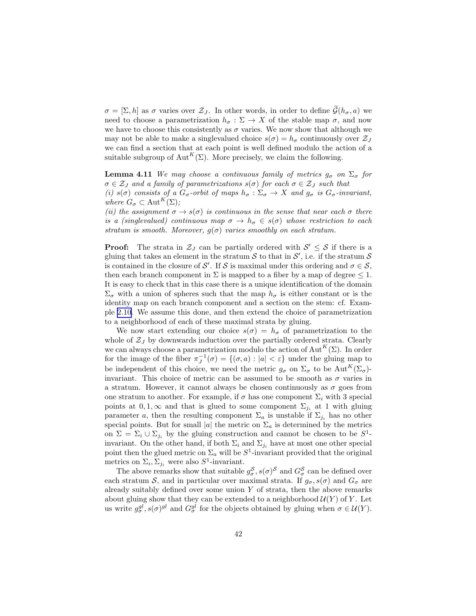<span id="page-41-0"></span> $\sigma = [\Sigma, h]$  as  $\sigma$  varies over  $\mathcal{Z}_J$ . In other words, in order to define  $\widetilde{\mathcal{G}}(h_{\sigma}, a)$  we need to choose a parametrization  $h_{\sigma} : \Sigma \to X$  of the stable map  $\sigma$ , and now we have to choose this consistently as  $\sigma$  varies. We now show that although we may not be able to make a singlevalued choice  $s(\sigma) = h_{\sigma}$  continuously over  $\mathcal{Z}_{J}$ we can find a section that at each point is well defined modulo the action of a suitable subgroup of  ${\rm Aut}^K(\Sigma)$ . More precisely, we claim the following.

**Lemma 4.11** We may choose a continuous family of metrics  $g_{\sigma}$  on  $\Sigma_{\sigma}$  for  $\sigma \in \mathcal{Z}_J$  and a family of parametrizations  $s(\sigma)$  for each  $\sigma \in \mathcal{Z}_J$  such that (i)  $s(\sigma)$  consists of a  $G_{\sigma}$ -orbit of maps  $h_{\sigma} : \Sigma_{\sigma} \to X$  and  $g_{\sigma}$  is  $G_{\sigma}$ -invariant, where  $G_{\sigma} \subset \text{Aut}^{K}(\Sigma)$ ;

(ii) the assignment  $\sigma \to s(\sigma)$  is continuous in the sense that near each  $\sigma$  there is a (singlevalued) continuous map  $\sigma \to h_{\sigma} \in s(\sigma)$  whose restriction to each stratum is smooth. Moreover,  $g(\sigma)$  varies smoothly on each stratum.

**Proof:** The strata in  $\mathcal{Z}_J$  can be partially ordered with  $\mathcal{S}' \leq \mathcal{S}$  if there is a gluing that takes an element in the stratum  $S$  to that in  $S'$ , i.e. if the stratum  $S$ is contained in the closure of S'. If S is maximal under this ordering and  $\sigma \in \mathcal{S}$ , then each branch component in  $\Sigma$  is mapped to a fiber by a map of degree  $\leq 1$ . It is easy to check that in this case there is a unique identification of the domain  $\Sigma_{\sigma}$  with a union of spheres such that the map  $h_{\sigma}$  is either constant or is the identity map on each branch component and a section on the stem: cf. Example [2.10.](#page-15-0) We assume this done, and then extend the choice of parametrization to a neighborhood of each of these maximal strata by gluing.

We now start extending our choice  $s(\sigma) = h_{\sigma}$  of parametrization to the whole of  $Z_J$  by downwards induction over the partially ordered strata. Clearly we can always choose a parametrization modulo the action of  $\mathrm{Aut}^K(\Sigma)$ . In order for the image of the fiber  $\pi_J^{-1}(\sigma) = \{(\sigma, a) : |a| < \varepsilon\}$  under the gluing map to be independent of this choice, we need the metric  $g_{\sigma}$  on  $\Sigma_{\sigma}$  to be  $\mathrm{Aut}^{K}(\Sigma_{\sigma})$ invariant. This choice of metric can be assumed to be smooth as  $\sigma$  varies in a stratum. However, it cannot always be chosen continuously as  $\sigma$  goes from one stratum to another. For example, if  $\sigma$  has one component  $\Sigma_i$  with 3 special points at  $0, 1, \infty$  and that is glued to some component  $\Sigma_{j_i}$  at 1 with gluing parameter a, then the resulting component  $\Sigma_a$  is unstable if  $\Sigma_{i_i}$  has no other special points. But for small |a| the metric on  $\Sigma_a$  is determined by the metrics on  $\Sigma = \Sigma_i \cup \Sigma_{j_i}$  by the gluing construction and cannot be chosen to be  $S^1$ invariant. On the other hand, if both  $\Sigma_i$  and  $\Sigma_{j_i}$  have at most one other special point then the glued metric on  $\Sigma_a$  will be  $S^1$ -invariant provided that the original metrics on  $\Sigma_i$ ,  $\Sigma_{j_i}$  were also  $S^1$ -invariant.

The above remarks show that suitable  $g_{\sigma}^{\mathcal{S}}, s(\sigma)^{\mathcal{S}}$  and  $G_{\sigma}^{\mathcal{S}}$  can be defined over each stratum S, and in particular over maximal strata. If  $g_{\sigma}$ ,  $s(\sigma)$  and  $G_{\sigma}$  are already suitably defined over some union  $Y$  of strata, then the above remarks about gluing show that they can be extended to a neighborhood  $\mathcal{U}(Y)$  of Y. Let us write  $g_{\sigma}^{gl}, s(\sigma)^{gl}$  and  $G_{\sigma}^{gl}$  for the objects obtained by gluing when  $\sigma \in \mathcal{U}(Y)$ .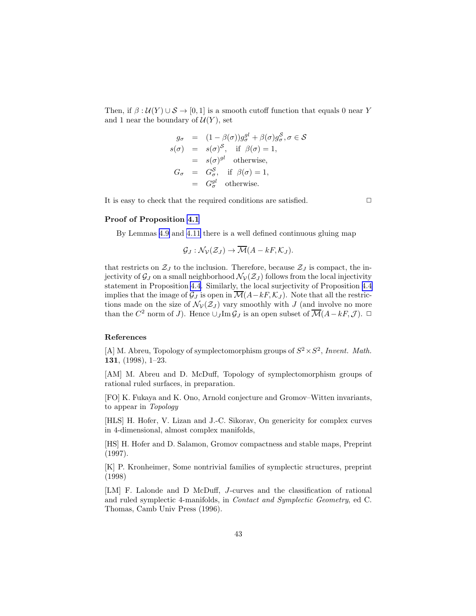Then, if  $\beta : \mathcal{U}(Y) \cup \mathcal{S} \rightarrow [0, 1]$  is a smooth cutoff function that equals 0 near Y and 1 near the boundary of  $\mathcal{U}(Y)$ , set

$$
g_{\sigma} = (1 - \beta(\sigma))g_{\sigma}^{gl} + \beta(\sigma)g_{\sigma}^{S}, \sigma \in S
$$
  
\n
$$
s(\sigma) = s(\sigma)^{S}, \text{ if } \beta(\sigma) = 1,
$$
  
\n
$$
= s(\sigma)^{gl} \text{ otherwise,}
$$
  
\n
$$
G_{\sigma} = G_{\sigma}^{S}, \text{ if } \beta(\sigma) = 1,
$$
  
\n
$$
= G_{\sigma}^{gl} \text{ otherwise.}
$$

It is easy to check that the required conditions are satisfied.  $\Box$ 

Proof of Proposition [4.1](#page-31-0)

By Lemmas [4.9](#page-40-0) and [4.11](#page-41-0) there is a well defined continuous gluing map

$$
\mathcal{G}_J: \mathcal{N}_\mathcal{V}(\mathcal{Z}_J) \to \overline{\mathcal{M}}(A - kF, \mathcal{K}_J).
$$

that restricts on  $\mathcal{Z}_J$  to the inclusion. Therefore, because  $\mathcal{Z}_J$  is compact, the injectivity of  $\mathcal{G}_J$  on a small neighborhood  $\mathcal{N}_\mathcal{V}(\mathcal{Z}_J)$  follows from the local injectivity statement in Proposition [4.4](#page-33-0). Similarly, the local surjectivity of Proposition [4.4](#page-33-0) implies that the image of  $\mathcal{G}_J$  is open in  $\overline{\mathcal{M}}(A-kF, \mathcal{K}_J)$ . Note that all the restrictions made on the size of  $\mathcal{N}_{\mathcal{V}}(\mathcal{Z}_{J})$  vary smoothly with J (and involve no more than the  $C^2$  norm of J). Hence  $\cup_J \text{Im } \mathcal{G}_J$  is an open subset of  $\overline{\mathcal{M}}(A-kF,\mathcal{J})$ .  $\Box$ 

#### References

[A] M. Abreu, Topology of symplectomorphism groups of  $S^2 \times S^2$ , Invent. Math. 131, (1998), 1–23.

[AM] M. Abreu and D. McDuff, Topology of symplectomorphism groups of rational ruled surfaces, in preparation.

[FO] K. Fukaya and K. Ono, Arnold conjecture and Gromov–Witten invariants, to appear in Topology

[HLS] H. Hofer, V. Lizan and J.-C. Sikorav, On genericity for complex curves in 4-dimensional, almost complex manifolds,

[HS] H. Hofer and D. Salamon, Gromov compactness and stable maps, Preprint (1997).

[K] P. Kronheimer, Some nontrivial families of symplectic structures, preprint (1998)

[LM] F. Lalonde and D McDuff, J-curves and the classification of rational and ruled symplectic 4-manifolds, in Contact and Symplectic Geometry, ed C. Thomas, Camb Univ Press (1996).